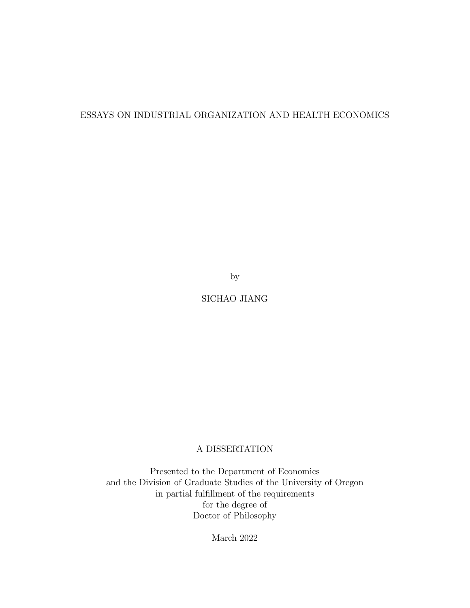### ESSAYS ON INDUSTRIAL ORGANIZATION AND HEALTH ECONOMICS

by

SICHAO JIANG

### A DISSERTATION

Presented to the Department of Economics and the Division of Graduate Studies of the University of Oregon in partial fulfillment of the requirements for the degree of Doctor of Philosophy

March 2022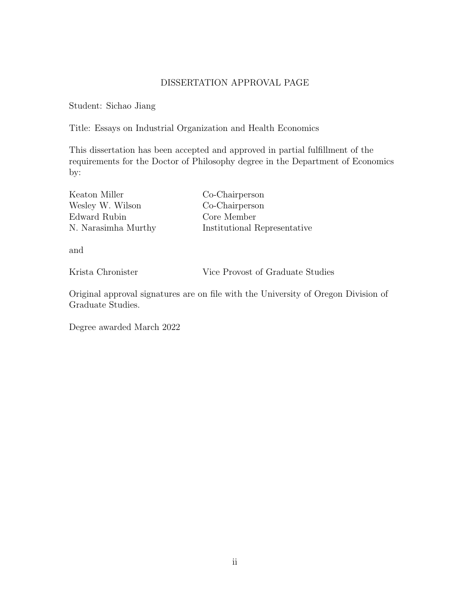### DISSERTATION APPROVAL PAGE

Student: Sichao Jiang

Title: Essays on Industrial Organization and Health Economics

This dissertation has been accepted and approved in partial fulfillment of the requirements for the Doctor of Philosophy degree in the Department of Economics by:

| Co-Chairperson               |
|------------------------------|
| Co-Chairperson               |
| Core Member                  |
| Institutional Representative |
|                              |

and

Krista Chronister Vice Provost of Graduate Studies

Original approval signatures are on file with the University of Oregon Division of Graduate Studies.

Degree awarded March 2022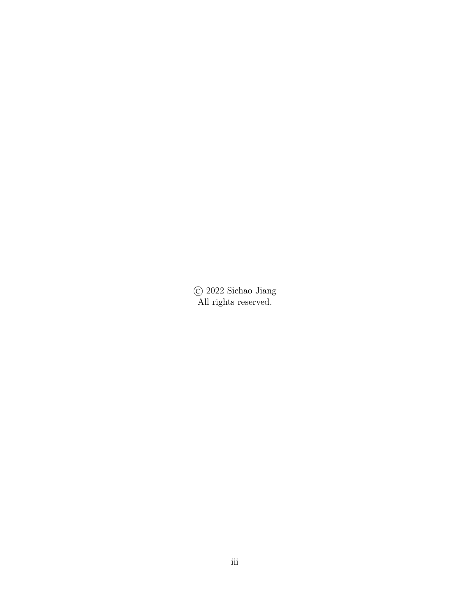© 2022 Sichao Jiang All rights reserved.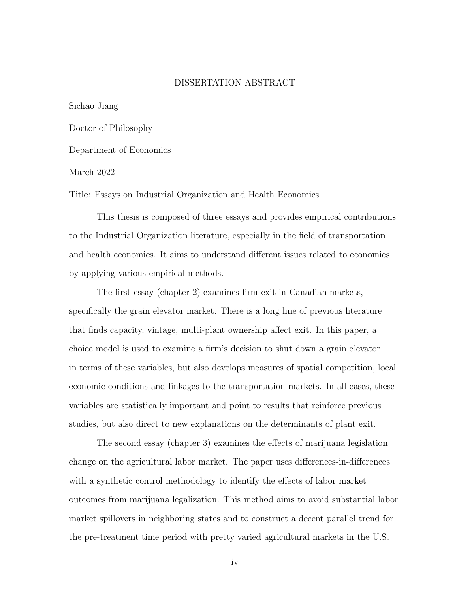#### DISSERTATION ABSTRACT

Sichao Jiang

Doctor of Philosophy

Department of Economics

March 2022

Title: Essays on Industrial Organization and Health Economics

This thesis is composed of three essays and provides empirical contributions to the Industrial Organization literature, especially in the field of transportation and health economics. It aims to understand different issues related to economics by applying various empirical methods.

The first essay (chapter 2) examines firm exit in Canadian markets, specifically the grain elevator market. There is a long line of previous literature that finds capacity, vintage, multi-plant ownership affect exit. In this paper, a choice model is used to examine a firm's decision to shut down a grain elevator in terms of these variables, but also develops measures of spatial competition, local economic conditions and linkages to the transportation markets. In all cases, these variables are statistically important and point to results that reinforce previous studies, but also direct to new explanations on the determinants of plant exit.

The second essay (chapter 3) examines the effects of marijuana legislation change on the agricultural labor market. The paper uses differences-in-differences with a synthetic control methodology to identify the effects of labor market outcomes from marijuana legalization. This method aims to avoid substantial labor market spillovers in neighboring states and to construct a decent parallel trend for the pre-treatment time period with pretty varied agricultural markets in the U.S.

iv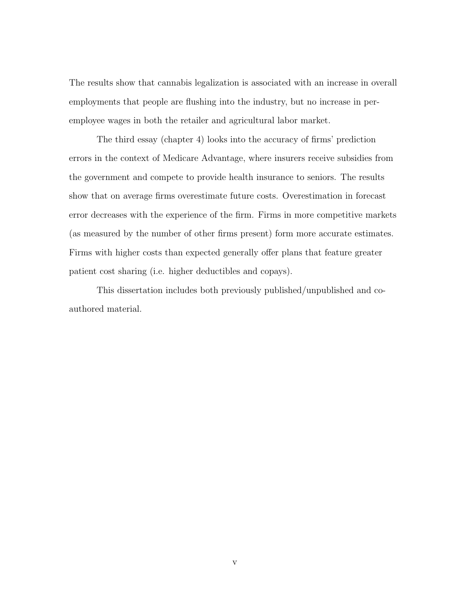The results show that cannabis legalization is associated with an increase in overall employments that people are flushing into the industry, but no increase in peremployee wages in both the retailer and agricultural labor market.

The third essay (chapter 4) looks into the accuracy of firms' prediction errors in the context of Medicare Advantage, where insurers receive subsidies from the government and compete to provide health insurance to seniors. The results show that on average firms overestimate future costs. Overestimation in forecast error decreases with the experience of the firm. Firms in more competitive markets (as measured by the number of other firms present) form more accurate estimates. Firms with higher costs than expected generally offer plans that feature greater patient cost sharing (i.e. higher deductibles and copays).

This dissertation includes both previously published/unpublished and coauthored material.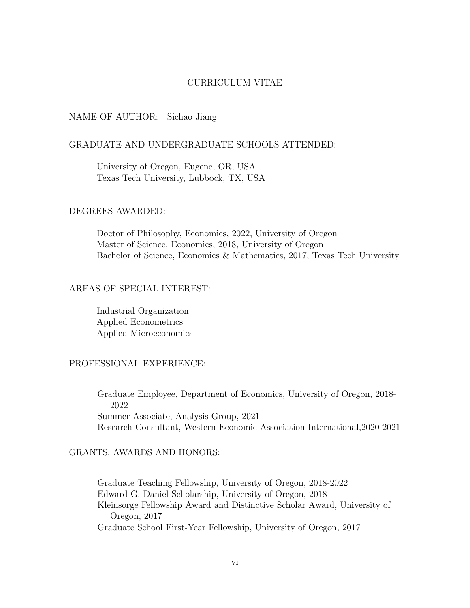#### CURRICULUM VITAE

#### NAME OF AUTHOR: Sichao Jiang

### GRADUATE AND UNDERGRADUATE SCHOOLS ATTENDED:

University of Oregon, Eugene, OR, USA Texas Tech University, Lubbock, TX, USA

### DEGREES AWARDED:

Doctor of Philosophy, Economics, 2022, University of Oregon Master of Science, Economics, 2018, University of Oregon Bachelor of Science, Economics & Mathematics, 2017, Texas Tech University

### AREAS OF SPECIAL INTEREST:

Industrial Organization Applied Econometrics Applied Microeconomics

### PROFESSIONAL EXPERIENCE:

Graduate Employee, Department of Economics, University of Oregon, 2018- 2022 Summer Associate, Analysis Group, 2021 Research Consultant, Western Economic Association International,2020-2021

### GRANTS, AWARDS AND HONORS:

Graduate Teaching Fellowship, University of Oregon, 2018-2022 Edward G. Daniel Scholarship, University of Oregon, 2018 Kleinsorge Fellowship Award and Distinctive Scholar Award, University of Oregon, 2017 Graduate School First-Year Fellowship, University of Oregon, 2017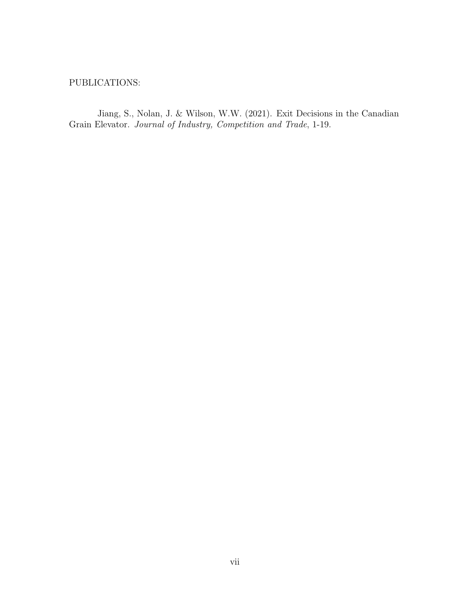### PUBLICATIONS:

Jiang, S., Nolan, J. & Wilson, W.W. (2021). Exit Decisions in the Canadian Grain Elevator. Journal of Industry, Competition and Trade, 1-19.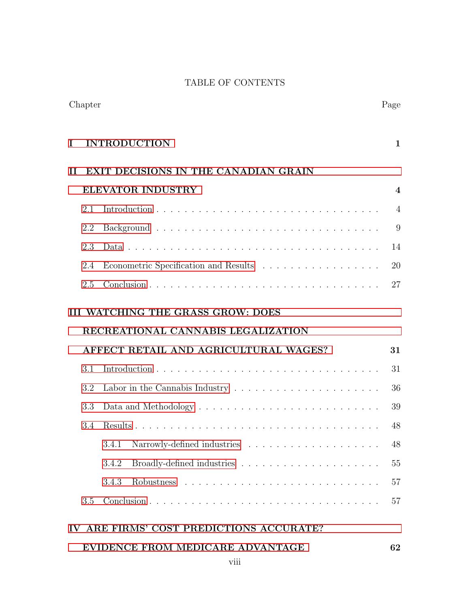### TABLE OF CONTENTS

| I                                           |     | <b>INTRODUCTION</b>                                                                      | $\mathbf{1}$             |
|---------------------------------------------|-----|------------------------------------------------------------------------------------------|--------------------------|
| П                                           |     | <b>EXIT DECISIONS IN THE CANADIAN GRAIN</b>                                              |                          |
|                                             |     | <b>ELEVATOR INDUSTRY</b>                                                                 | $\overline{\mathcal{A}}$ |
|                                             | 2.1 |                                                                                          | 4                        |
|                                             | 2.2 |                                                                                          | 9                        |
|                                             | 2.3 |                                                                                          | 14                       |
|                                             | 2.4 | Econometric Specification and Results                                                    | 20                       |
|                                             | 2.5 |                                                                                          | 27                       |
|                                             |     | <b>III WATCHING THE GRASS GROW: DOES</b>                                                 |                          |
|                                             |     | RECREATIONAL CANNABIS LEGALIZATION                                                       |                          |
| AFFECT RETAIL AND AGRICULTURAL WAGES?<br>31 |     |                                                                                          |                          |
|                                             | 3.1 |                                                                                          | 31                       |
|                                             | 3.2 | Labor in the Cannabis Industry $\ldots \ldots \ldots \ldots \ldots \ldots \ldots \ldots$ | 36                       |
|                                             | 3.3 |                                                                                          | 39                       |
|                                             | 3.4 |                                                                                          | 48                       |
|                                             |     | 3.4.1                                                                                    | 48                       |
|                                             |     | 3.4.2                                                                                    | 55                       |
|                                             |     | 3.4.3                                                                                    | 57                       |
|                                             | 3.5 |                                                                                          | 57                       |
|                                             |     | IV ARE FIRMS' COST PREDICTIONS ACCURATE?                                                 |                          |
|                                             |     | EVIDENCE FROM MEDICARE ADVANTAGE<br>viii                                                 | 62                       |

### Chapter Page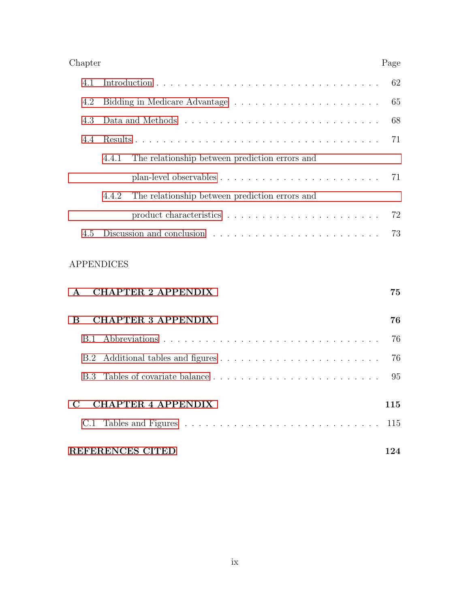| Chapter | Page |
|---------|------|
|---------|------|

| 4.3 |                                                         |                                                                                      | 68 |
|-----|---------------------------------------------------------|--------------------------------------------------------------------------------------|----|
| 4.4 |                                                         |                                                                                      |    |
|     |                                                         | 4.4.1 The relationship between prediction errors and                                 |    |
|     |                                                         | plan-level observables $\ldots \ldots \ldots \ldots \ldots \ldots \ldots \ldots$ 71  |    |
|     | The relationship between prediction errors and<br>4.4.2 |                                                                                      |    |
|     |                                                         | product characteristics $\ldots \ldots \ldots \ldots \ldots \ldots \ldots \ldots$ 72 |    |
| 4.5 |                                                         |                                                                                      |    |

### APPENDICES

| $\mathbf{A}$ | <b>CHAPTER 2 APPENDIX</b> | 75  |
|--------------|---------------------------|-----|
| B            | <b>CHAPTER 3 APPENDIX</b> | 76  |
|              |                           | 76  |
|              |                           | 76  |
|              |                           | 95  |
|              | <b>CHAPTER 4 APPENDIX</b> | 115 |
|              |                           |     |
|              | <b>REFERENCES CITED</b>   |     |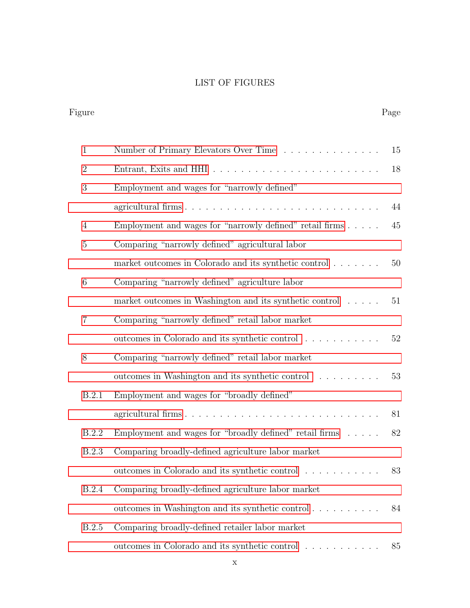### LIST OF FIGURES

| Figure         |              |                                                                       | Page   |
|----------------|--------------|-----------------------------------------------------------------------|--------|
| $\mathbf{1}$   |              | Number of Primary Elevators Over Time                                 | 15     |
| $\overline{2}$ |              |                                                                       | 18     |
| 3              |              | Employment and wages for "narrowly defined"                           |        |
|                |              | agricultural firms                                                    | 44     |
| $\overline{4}$ |              | Employment and wages for "narrowly defined" retail firms $\ldots$ .   | 45     |
| $\overline{5}$ |              | Comparing "narrowly defined" agricultural labor                       |        |
|                |              | market outcomes in Colorado and its synthetic control                 | $50\,$ |
| $\,$ 6 $\,$    |              | Comparing "narrowly defined" agriculture labor                        |        |
|                |              | market outcomes in Washington and its synthetic control               | 51     |
| $\overline{7}$ |              | Comparing "narrowly defined" retail labor market                      |        |
|                |              | outcomes in Colorado and its synthetic control $\ldots \ldots \ldots$ | 52     |
| 8              |              | Comparing "narrowly defined" retail labor market                      |        |
|                |              | outcomes in Washington and its synthetic control                      | 53     |
|                | B.2.1        | Employment and wages for "broadly defined"                            |        |
|                |              |                                                                       | 81     |
|                | <b>B.2.2</b> | Employment and wages for "broadly defined" retail firms $\ldots$ .    | 82     |
|                | B.2.3        | Comparing broadly-defined agriculture labor market                    |        |
|                |              | outcomes in Colorado and its synthetic control                        | 83     |
|                | <b>B.2.4</b> | Comparing broadly-defined agriculture labor market                    |        |
|                |              |                                                                       |        |
|                |              | outcomes in Washington and its synthetic control                      | 84     |
|                | <b>B.2.5</b> | Comparing broadly-defined retailer labor market                       |        |
|                |              | outcomes in Colorado and its synthetic control                        | 85     |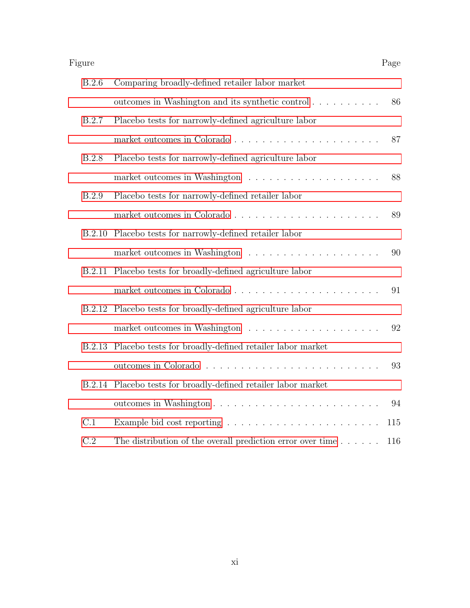| Figure       |                                                                                  | Page |
|--------------|----------------------------------------------------------------------------------|------|
| B.2.6        | Comparing broadly-defined retailer labor market                                  |      |
|              | outcomes in Washington and its synthetic control                                 | 86   |
| B.2.7        | Placebo tests for narrowly-defined agriculture labor                             |      |
|              |                                                                                  | 87   |
| <b>B.2.8</b> | Placebo tests for narrowly-defined agriculture labor                             |      |
|              |                                                                                  | 88   |
| B.2.9        | Placebo tests for narrowly-defined retailer labor                                |      |
|              |                                                                                  | 89   |
| B.2.10       | Placebo tests for narrowly-defined retailer labor                                |      |
|              |                                                                                  | 90   |
| B.2.11       | Placebo tests for broadly-defined agriculture labor                              |      |
|              |                                                                                  | 91   |
| B.2.12       | Placebo tests for broadly-defined agriculture labor                              |      |
|              | market outcomes in Washington $\ldots \ldots \ldots \ldots \ldots \ldots \ldots$ | 92   |
| B.2.13       | Placebo tests for broadly-defined retailer labor market                          |      |
|              |                                                                                  | 93   |
| B.2.14       | Placebo tests for broadly-defined retailer labor market                          |      |
|              |                                                                                  | 94   |
| C.1          |                                                                                  | 115  |
| C.2          | The distribution of the overall prediction error over time $\ldots \ldots$       | 116  |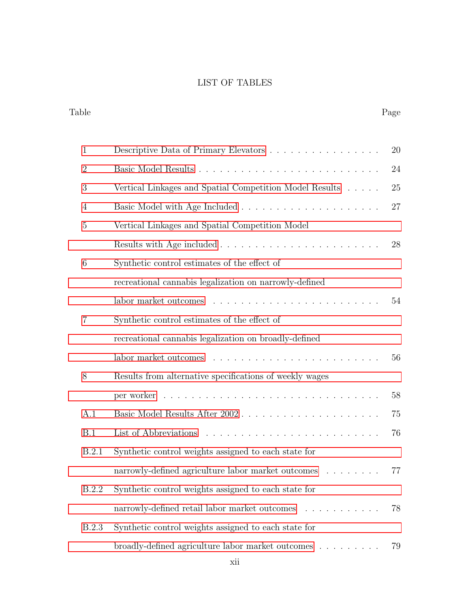### LIST OF TABLES

Table Page

# [1 Descriptive Data of Primary Elevators](#page-33-1) . . . . . . . . . . . . . . . . 20 [2 Basic Model Results](#page-37-0) . . . . . . . . . . . . . . . . . . . . . . . . . . 24 [3 Vertical Linkages and Spatial Competition Model Results](#page-38-0) . . . . . 25 [4 Basic Model with Age Included](#page-40-1) . . . . . . . . . . . . . . . . . . . . 27 [5 Vertical Linkages and Spatial Competition Model](#page-41-0) [Results with Age included](#page-41-0) . . . . . . . . . . . . . . . . . . . . . . . 28 [6 Synthetic control estimates of the effect of](#page-67-0) [recreational cannabis legalization on narrowly-defined](#page-67-0) [labor market outcomes](#page-67-0) . . . . . . . . . . . . . . . . . . . . . . . . 54 [7 Synthetic control estimates of the effect of](#page-69-0) [recreational cannabis legalization on broadly-defined](#page-69-0) [labor market outcomes](#page-69-0) . . . . . . . . . . . . . . . . . . . . . . . . 56 [8 Results from alternative specifications of weekly wages](#page-71-0)

| narrowly-defined agriculture labor market outcomes 77      |  |
|------------------------------------------------------------|--|
| B.2.2 Synthetic control weights assigned to each state for |  |
| narrowly-defined retail labor market outcomes 78           |  |
|                                                            |  |

[A.1 Basic Model Results After 2002](#page-88-1) . . . . . . . . . . . . . . . . . . . . 75

[B.1 List of Abbreviations](#page-89-3) . . . . . . . . . . . . . . . . . . . . . . . . . 76

[B.2.1 Synthetic control weights assigned to each state for](#page-90-0)

[per worker](#page-71-0) . . . . . . . . . . . . . . . . . . . . . . . . . . . . . . . 58

[B.2.3 Synthetic control weights assigned to each state for](#page-92-0) [broadly-defined agriculture labor market outcomes](#page-92-0) . . . . . . . . . 79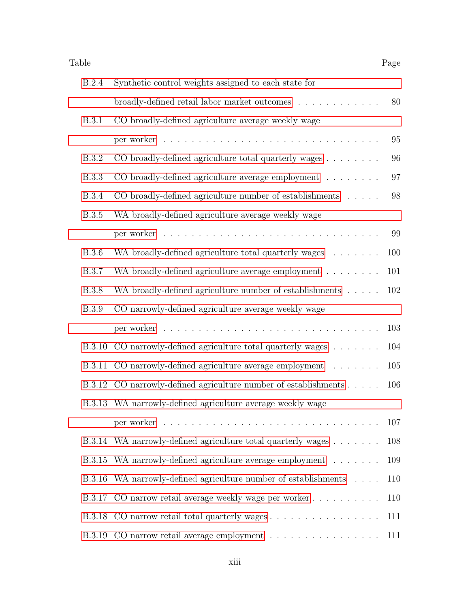| Table         |                                                                                  | Page |
|---------------|----------------------------------------------------------------------------------|------|
| <b>B.2.4</b>  | Synthetic control weights assigned to each state for                             |      |
|               | broadly-defined retail labor market outcomes                                     | 80   |
| <b>B.3.1</b>  | CO broadly-defined agriculture average weekly wage                               |      |
|               |                                                                                  | 95   |
| <b>B.3.2</b>  | CO broadly-defined agriculture total quarterly wages                             | 96   |
| <b>B.3.3</b>  | CO broadly-defined agriculture average employment                                | 97   |
| <b>B.3.4</b>  | CO broadly-defined agriculture number of establishments $\ldots$ .               | 98   |
| <b>B.3.5</b>  | WA broadly-defined agriculture average weekly wage                               |      |
|               |                                                                                  | 99   |
| <b>B.3.6</b>  | WA broadly-defined agriculture total quarterly wages                             | 100  |
| <b>B.3.7</b>  | WA broadly-defined agriculture average employment                                | 101  |
| <b>B.3.8</b>  | WA broadly-defined agriculture number of establishments                          | 102  |
| <b>B.3.9</b>  | CO narrowly-defined agriculture average weekly wage                              |      |
|               |                                                                                  | 103  |
| <b>B.3.10</b> | CO narrowly-defined agriculture total quarterly wages $\ldots \ldots$            | 104  |
|               | B.3.11 CO narrowly-defined agriculture average employment                        | 105  |
|               | B.3.12 CO narrowly-defined agriculture number of establishments                  | 106  |
|               | B.3.13 WA narrowly-defined agriculture average weekly wage                       |      |
|               |                                                                                  | 107  |
|               | B.3.14 WA narrowly-defined agriculture total quarterly wages                     | 108  |
| B.3.15        | WA narrowly-defined agriculture average employment                               | 109  |
| B.3.16        | WA narrowly-defined agriculture number of establishments                         | 110  |
|               | B.3.17 CO narrow retail average weekly wage per worker                           | 110  |
|               | B.3.18 CO narrow retail total quarterly wages                                    | 111  |
|               | B.3.19 CO narrow retail average employment $\dots \dots \dots \dots \dots \dots$ | 111  |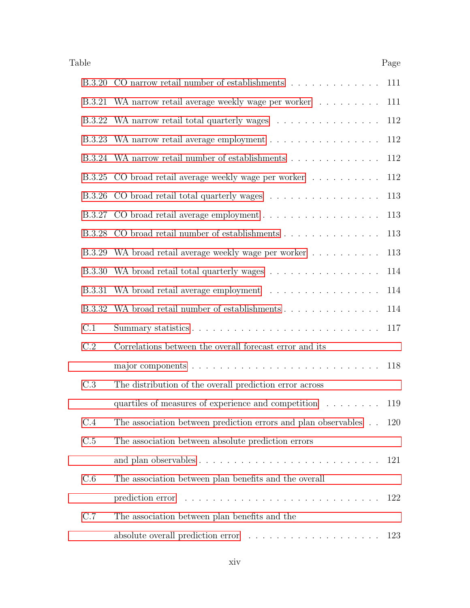| Table         |                                                                                   | Page |
|---------------|-----------------------------------------------------------------------------------|------|
|               | B.3.20 CO narrow retail number of establishments                                  | 111  |
|               | B.3.21 WA narrow retail average weekly wage per worker                            | 111  |
|               | B.3.22 WA narrow retail total quarterly wages                                     | 112  |
| <b>B.3.23</b> | WA narrow retail average employment                                               | 112  |
|               | B.3.24 WA narrow retail number of establishments                                  | 112  |
| <b>B.3.25</b> | CO broad retail average weekly wage per worker                                    | 112  |
| <b>B.3.26</b> | CO broad retail total quarterly wages                                             | 113  |
|               |                                                                                   | 113  |
|               | B.3.28 CO broad retail number of establishments                                   | 113  |
| B.3.29        | WA broad retail average weekly wage per worker                                    | 113  |
| <b>B.3.30</b> | WA broad retail total quarterly wages                                             | 114  |
| B.3.31        | WA broad retail average employment                                                | 114  |
| B.3.32        | WA broad retail number of establishments                                          | 114  |
| C.1           |                                                                                   | 117  |
| C.2           | Correlations between the overall forecast error and its                           |      |
|               |                                                                                   | 118  |
| C.3           | The distribution of the overall prediction error across                           |      |
|               | quartiles of measures of experience and competition                               | 119  |
| C.4           | The association between prediction errors and plan observables                    | 120  |
| C.5           | The association between absolute prediction errors                                |      |
|               |                                                                                   | 121  |
| C.6           | The association between plan benefits and the overall                             |      |
|               |                                                                                   | 122  |
| C.7           | The association between plan benefits and the                                     |      |
|               | absolute overall prediction error $\ldots \ldots \ldots \ldots \ldots \ldots 123$ |      |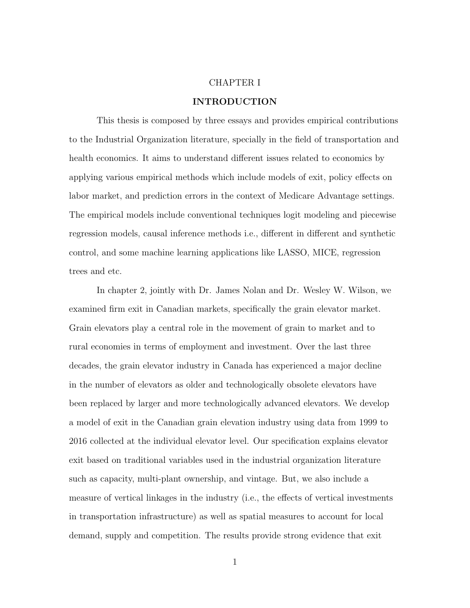#### CHAPTER I

### INTRODUCTION

<span id="page-14-0"></span>This thesis is composed by three essays and provides empirical contributions to the Industrial Organization literature, specially in the field of transportation and health economics. It aims to understand different issues related to economics by applying various empirical methods which include models of exit, policy effects on labor market, and prediction errors in the context of Medicare Advantage settings. The empirical models include conventional techniques logit modeling and piecewise regression models, causal inference methods i.e., different in different and synthetic control, and some machine learning applications like LASSO, MICE, regression trees and etc.

In chapter 2, jointly with Dr. James Nolan and Dr. Wesley W. Wilson, we examined firm exit in Canadian markets, specifically the grain elevator market. Grain elevators play a central role in the movement of grain to market and to rural economies in terms of employment and investment. Over the last three decades, the grain elevator industry in Canada has experienced a major decline in the number of elevators as older and technologically obsolete elevators have been replaced by larger and more technologically advanced elevators. We develop a model of exit in the Canadian grain elevation industry using data from 1999 to 2016 collected at the individual elevator level. Our specification explains elevator exit based on traditional variables used in the industrial organization literature such as capacity, multi-plant ownership, and vintage. But, we also include a measure of vertical linkages in the industry (i.e., the effects of vertical investments in transportation infrastructure) as well as spatial measures to account for local demand, supply and competition. The results provide strong evidence that exit

1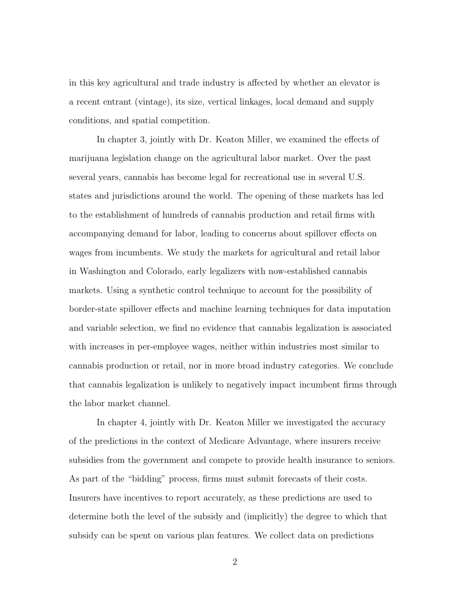in this key agricultural and trade industry is affected by whether an elevator is a recent entrant (vintage), its size, vertical linkages, local demand and supply conditions, and spatial competition.

In chapter 3, jointly with Dr. Keaton Miller, we examined the effects of marijuana legislation change on the agricultural labor market. Over the past several years, cannabis has become legal for recreational use in several U.S. states and jurisdictions around the world. The opening of these markets has led to the establishment of hundreds of cannabis production and retail firms with accompanying demand for labor, leading to concerns about spillover effects on wages from incumbents. We study the markets for agricultural and retail labor in Washington and Colorado, early legalizers with now-established cannabis markets. Using a synthetic control technique to account for the possibility of border-state spillover effects and machine learning techniques for data imputation and variable selection, we find no evidence that cannabis legalization is associated with increases in per-employee wages, neither within industries most similar to cannabis production or retail, nor in more broad industry categories. We conclude that cannabis legalization is unlikely to negatively impact incumbent firms through the labor market channel.

In chapter 4, jointly with Dr. Keaton Miller we investigated the accuracy of the predictions in the context of Medicare Advantage, where insurers receive subsidies from the government and compete to provide health insurance to seniors. As part of the "bidding" process, firms must submit forecasts of their costs. Insurers have incentives to report accurately, as these predictions are used to determine both the level of the subsidy and (implicitly) the degree to which that subsidy can be spent on various plan features. We collect data on predictions

2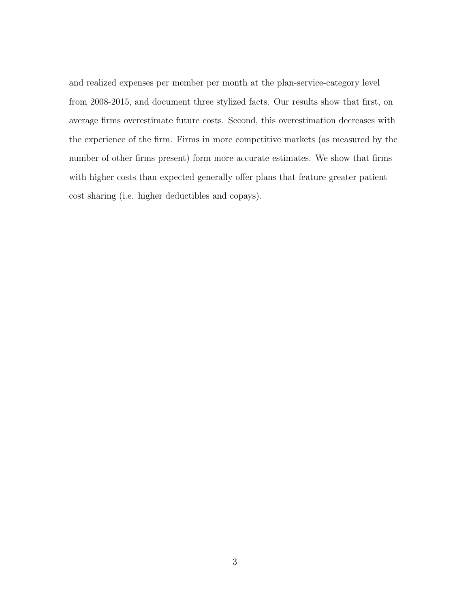and realized expenses per member per month at the plan-service-category level from 2008-2015, and document three stylized facts. Our results show that first, on average firms overestimate future costs. Second, this overestimation decreases with the experience of the firm. Firms in more competitive markets (as measured by the number of other firms present) form more accurate estimates. We show that firms with higher costs than expected generally offer plans that feature greater patient cost sharing (i.e. higher deductibles and copays).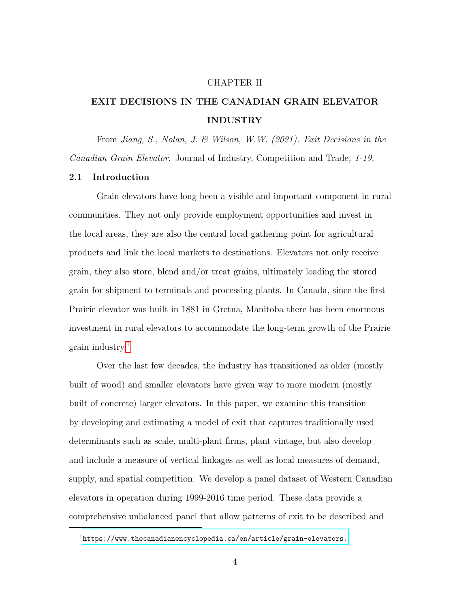#### CHAPTER II

## <span id="page-17-0"></span>EXIT DECISIONS IN THE CANADIAN GRAIN ELEVATOR INDUSTRY

From Jiang, S., Nolan, J. & Wilson, W.W. (2021). Exit Decisions in the Canadian Grain Elevator. Journal of Industry, Competition and Trade, 1-19.

### <span id="page-17-1"></span>2.1 Introduction

Grain elevators have long been a visible and important component in rural communities. They not only provide employment opportunities and invest in the local areas, they are also the central local gathering point for agricultural products and link the local markets to destinations. Elevators not only receive grain, they also store, blend and/or treat grains, ultimately loading the stored grain for shipment to terminals and processing plants. In Canada, since the first Prairie elevator was built in 1881 in Gretna, Manitoba there has been enormous investment in rural elevators to accommodate the long-term growth of the Prairie grain industry.[1](#page-17-2)

Over the last few decades, the industry has transitioned as older (mostly built of wood) and smaller elevators have given way to more modern (mostly built of concrete) larger elevators. In this paper, we examine this transition by developing and estimating a model of exit that captures traditionally used determinants such as scale, multi-plant firms, plant vintage, but also develop and include a measure of vertical linkages as well as local measures of demand, supply, and spatial competition. We develop a panel dataset of Western Canadian elevators in operation during 1999-2016 time period. These data provide a comprehensive unbalanced panel that allow patterns of exit to be described and

<span id="page-17-2"></span> $1$ <https://www.thecanadianencyclopedia.ca/en/article/grain-elevators.>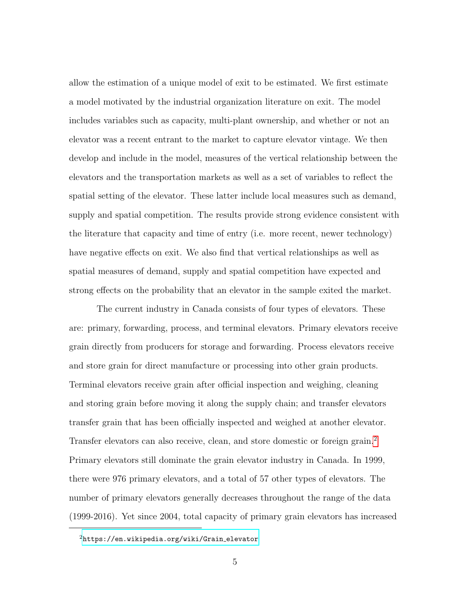allow the estimation of a unique model of exit to be estimated. We first estimate a model motivated by the industrial organization literature on exit. The model includes variables such as capacity, multi-plant ownership, and whether or not an elevator was a recent entrant to the market to capture elevator vintage. We then develop and include in the model, measures of the vertical relationship between the elevators and the transportation markets as well as a set of variables to reflect the spatial setting of the elevator. These latter include local measures such as demand, supply and spatial competition. The results provide strong evidence consistent with the literature that capacity and time of entry (i.e. more recent, newer technology) have negative effects on exit. We also find that vertical relationships as well as spatial measures of demand, supply and spatial competition have expected and strong effects on the probability that an elevator in the sample exited the market.

The current industry in Canada consists of four types of elevators. These are: primary, forwarding, process, and terminal elevators. Primary elevators receive grain directly from producers for storage and forwarding. Process elevators receive and store grain for direct manufacture or processing into other grain products. Terminal elevators receive grain after official inspection and weighing, cleaning and storing grain before moving it along the supply chain; and transfer elevators transfer grain that has been officially inspected and weighed at another elevator. Transfer elevators can also receive, clean, and store domestic or foreign grain.<sup>[2](#page-18-0)</sup> Primary elevators still dominate the grain elevator industry in Canada. In 1999, there were 976 primary elevators, and a total of 57 other types of elevators. The number of primary elevators generally decreases throughout the range of the data (1999-2016). Yet since 2004, total capacity of primary grain elevators has increased

<span id="page-18-0"></span> $2$ [https://en.wikipedia.org/wiki/Grain](https://en.wikipedia.org/wiki/Grain_elevator)\_elevator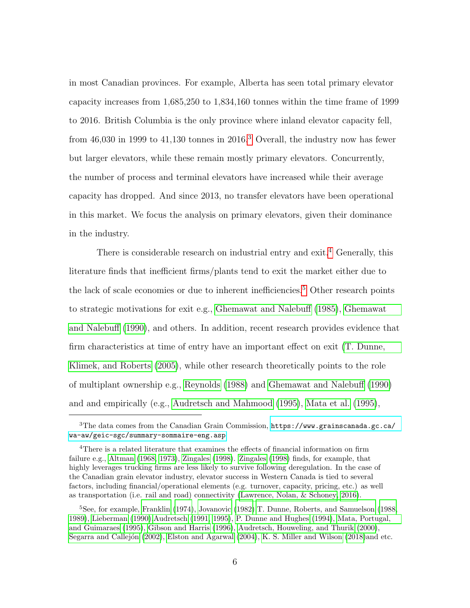in most Canadian provinces. For example, Alberta has seen total primary elevator capacity increases from 1,685,250 to 1,834,160 tonnes within the time frame of 1999 to 2016. British Columbia is the only province where inland elevator capacity fell, from  $46,030$  $46,030$  $46,030$  in 1999 to  $41,130$  tonnes in  $2016<sup>3</sup>$  Overall, the industry now has fewer but larger elevators, while these remain mostly primary elevators. Concurrently, the number of process and terminal elevators have increased while their average capacity has dropped. And since 2013, no transfer elevators have been operational in this market. We focus the analysis on primary elevators, given their dominance in the industry.

There is considerable research on industrial entry and exit.<sup>[4](#page-19-1)</sup> Generally, this literature finds that inefficient firms/plants tend to exit the market either due to the lack of scale economies or due to inherent inefficiencies.<sup>[5](#page-19-2)</sup> Other research points to strategic motivations for exit e.g., [Ghemawat and Nalebuff](#page-143-0) [\(1985\)](#page-143-0), [Ghemawat](#page-143-1) [and Nalebuff](#page-143-1) [\(1990\)](#page-143-1), and others. In addition, recent research provides evidence that firm characteristics at time of entry have an important effect on exit [\(T. Dunne,](#page-141-0) [Klimek, and Roberts](#page-141-0) [\(2005\)](#page-141-0), while other research theoretically points to the role of multiplant ownership e.g., [Reynolds](#page-147-0) [\(1988\)](#page-147-0) and [Ghemawat and Nalebuff](#page-143-1) [\(1990\)](#page-143-1) and and empirically (e.g., [Audretsch and Mahmood](#page-138-0) [\(1995\)](#page-138-0), [Mata et al.](#page-146-0) [\(1995\)](#page-146-0),

<span id="page-19-0"></span><sup>&</sup>lt;sup>3</sup>The data comes from the Canadian Grain Commission, [https://www.grainscanada.gc.ca/](https://www.grainscanada.gc.ca/wa-aw/geic-sgc/summary-sommaire-eng.asp) [wa-aw/geic-sgc/summary-sommaire-eng.asp](https://www.grainscanada.gc.ca/wa-aw/geic-sgc/summary-sommaire-eng.asp)

<span id="page-19-1"></span><sup>4</sup>There is a related literature that examines the effects of financial information on firm failure e.g., [Altman](#page-137-1) [\(1968,](#page-137-1) [1973\)](#page-137-2), [Zingales](#page-150-0) [\(1998\)](#page-150-0). [Zingales](#page-150-0) [\(1998\)](#page-150-0) finds, for example, that highly leverages trucking firms are less likely to survive following deregulation. In the case of the Canadian grain elevator industry, elevator success in Western Canada is tied to several factors, including financial/operational elements (e.g. turnover, capacity, pricing, etc.) as well as transportation (i.e. rail and road) connectivity [\(Lawrence, Nolan, & Schoney, 2016\)](#page-145-0).

<span id="page-19-2"></span><sup>5</sup>See, for example, [Franklin](#page-142-0) [\(1974\)](#page-142-0), [Jovanovic](#page-144-0) [\(1982\)](#page-144-0)[,T. Dunne, Roberts, and Samuelson](#page-141-1) [\(1988,](#page-141-1) [1989\)](#page-141-2), [Lieberman](#page-145-1) [\(1990\)](#page-145-1)[,Audretsch](#page-137-3) [\(1991,](#page-137-3) [1995\)](#page-138-1), [P. Dunne and Hughes](#page-141-3) [\(1994\)](#page-141-3), [Mata, Portugal,](#page-146-0) [and Guimaraes](#page-146-0) [\(1995\)](#page-146-0), [Gibson and Harris](#page-143-2) [\(1996\)](#page-143-2), [Audretsch, Houweling, and Thurik](#page-138-2) [\(2000\)](#page-138-2), Segarra and Callejón [\(2002\)](#page-148-0), [Elston and Agarwal](#page-141-4) [\(2004\)](#page-141-4), [K. S. Miller and Wilson](#page-146-1) [\(2018\)](#page-146-1)and etc.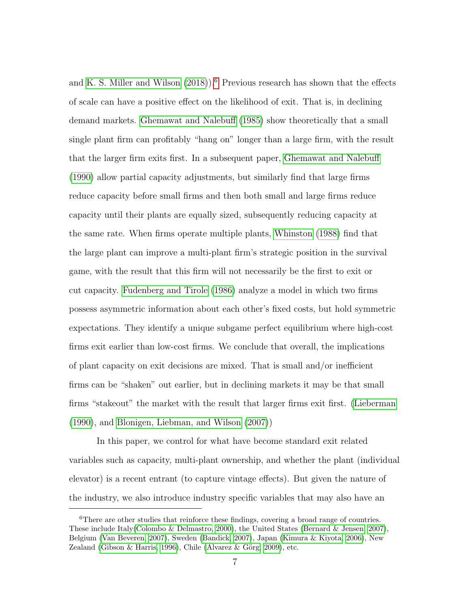and [K. S. Miller and Wilson](#page-146-1)  $(2018)$ .<sup>[6](#page-20-0)</sup> Previous research has shown that the effects of scale can have a positive effect on the likelihood of exit. That is, in declining demand markets. [Ghemawat and Nalebuff](#page-143-0) [\(1985\)](#page-143-0) show theoretically that a small single plant firm can profitably "hang on" longer than a large firm, with the result that the larger firm exits first. In a subsequent paper, [Ghemawat and Nalebuff](#page-143-1) [\(1990\)](#page-143-1) allow partial capacity adjustments, but similarly find that large firms reduce capacity before small firms and then both small and large firms reduce capacity until their plants are equally sized, subsequently reducing capacity at the same rate. When firms operate multiple plants, [Whinston](#page-150-1) [\(1988\)](#page-150-1) find that the large plant can improve a multi-plant firm's strategic position in the survival game, with the result that this firm will not necessarily be the first to exit or cut capacity. [Fudenberg and Tirole](#page-142-1) [\(1986\)](#page-142-1) analyze a model in which two firms possess asymmetric information about each other's fixed costs, but hold symmetric expectations. They identify a unique subgame perfect equilibrium where high-cost firms exit earlier than low-cost firms. We conclude that overall, the implications of plant capacity on exit decisions are mixed. That is small and/or inefficient firms can be "shaken" out earlier, but in declining markets it may be that small firms "stakeout" the market with the result that larger firms exit first. [\(Lieberman](#page-145-1) [\(1990\)](#page-145-1), and [Blonigen, Liebman, and Wilson](#page-139-0) [\(2007\)](#page-139-0))

In this paper, we control for what have become standard exit related variables such as capacity, multi-plant ownership, and whether the plant (individual elevator) is a recent entrant (to capture vintage effects). But given the nature of the industry, we also introduce industry specific variables that may also have an

<span id="page-20-0"></span><sup>&</sup>lt;sup>6</sup>There are other studies that reinforce these findings, covering a broad range of countries. These include Italy[\(Colombo & Delmastro, 2000\)](#page-140-0), the United States [\(Bernard & Jensen, 2007\)](#page-138-3), Belgium [\(Van Beveren, 2007\)](#page-149-0), Sweden [\(Bandick, 2007\)](#page-138-4), Japan [\(Kimura & Kiyota, 2006\)](#page-145-2), New Zealand [\(Gibson & Harris, 1996\)](#page-143-2), Chile (Alvarez & Görg, 2009), etc.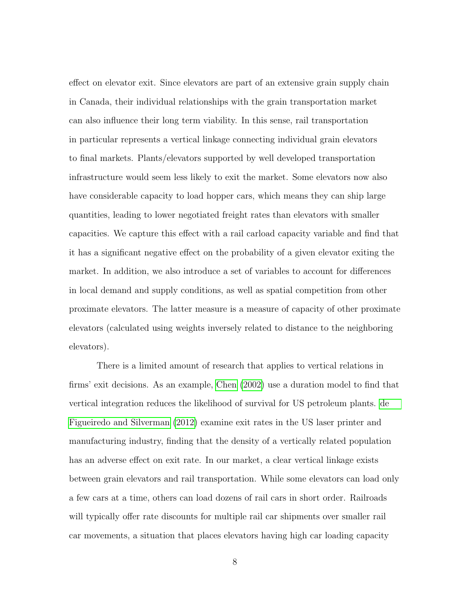effect on elevator exit. Since elevators are part of an extensive grain supply chain in Canada, their individual relationships with the grain transportation market can also influence their long term viability. In this sense, rail transportation in particular represents a vertical linkage connecting individual grain elevators to final markets. Plants/elevators supported by well developed transportation infrastructure would seem less likely to exit the market. Some elevators now also have considerable capacity to load hopper cars, which means they can ship large quantities, leading to lower negotiated freight rates than elevators with smaller capacities. We capture this effect with a rail carload capacity variable and find that it has a significant negative effect on the probability of a given elevator exiting the market. In addition, we also introduce a set of variables to account for differences in local demand and supply conditions, as well as spatial competition from other proximate elevators. The latter measure is a measure of capacity of other proximate elevators (calculated using weights inversely related to distance to the neighboring elevators).

There is a limited amount of research that applies to vertical relations in firms' exit decisions. As an example, [Chen](#page-140-1) [\(2002\)](#page-140-1) use a duration model to find that vertical integration reduces the likelihood of survival for US petroleum plants. [de](#page-141-5) [Figueiredo and Silverman](#page-141-5) [\(2012\)](#page-141-5) examine exit rates in the US laser printer and manufacturing industry, finding that the density of a vertically related population has an adverse effect on exit rate. In our market, a clear vertical linkage exists between grain elevators and rail transportation. While some elevators can load only a few cars at a time, others can load dozens of rail cars in short order. Railroads will typically offer rate discounts for multiple rail car shipments over smaller rail car movements, a situation that places elevators having high car loading capacity

8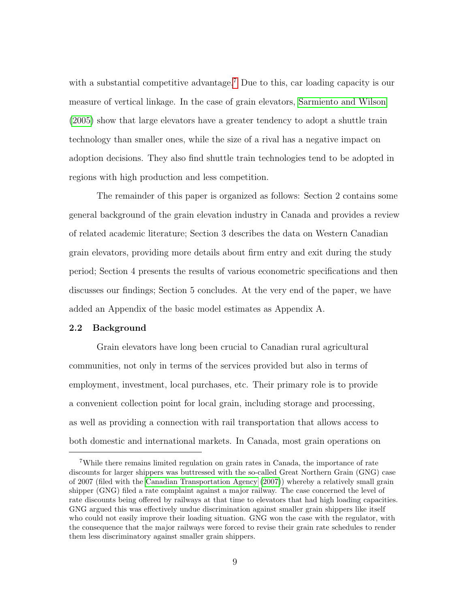with a substantial competitive advantage.<sup>[7](#page-22-1)</sup> Due to this, car loading capacity is our measure of vertical linkage. In the case of grain elevators, [Sarmiento and Wilson](#page-147-1) [\(2005\)](#page-147-1) show that large elevators have a greater tendency to adopt a shuttle train technology than smaller ones, while the size of a rival has a negative impact on adoption decisions. They also find shuttle train technologies tend to be adopted in regions with high production and less competition.

The remainder of this paper is organized as follows: Section 2 contains some general background of the grain elevation industry in Canada and provides a review of related academic literature; Section 3 describes the data on Western Canadian grain elevators, providing more details about firm entry and exit during the study period; Section 4 presents the results of various econometric specifications and then discusses our findings; Section 5 concludes. At the very end of the paper, we have added an Appendix of the basic model estimates as Appendix A.

#### <span id="page-22-0"></span>2.2 Background

Grain elevators have long been crucial to Canadian rural agricultural communities, not only in terms of the services provided but also in terms of employment, investment, local purchases, etc. Their primary role is to provide a convenient collection point for local grain, including storage and processing, as well as providing a connection with rail transportation that allows access to both domestic and international markets. In Canada, most grain operations on

<span id="page-22-1"></span><sup>7</sup>While there remains limited regulation on grain rates in Canada, the importance of rate discounts for larger shippers was buttressed with the so-called Great Northern Grain (GNG) case of 2007 (filed with the [Canadian Transportation Agency](#page-139-1) [\(2007\)](#page-139-1)) whereby a relatively small grain shipper (GNG) filed a rate complaint against a major railway. The case concerned the level of rate discounts being offered by railways at that time to elevators that had high loading capacities. GNG argued this was effectively undue discrimination against smaller grain shippers like itself who could not easily improve their loading situation. GNG won the case with the regulator, with the consequence that the major railways were forced to revise their grain rate schedules to render them less discriminatory against smaller grain shippers.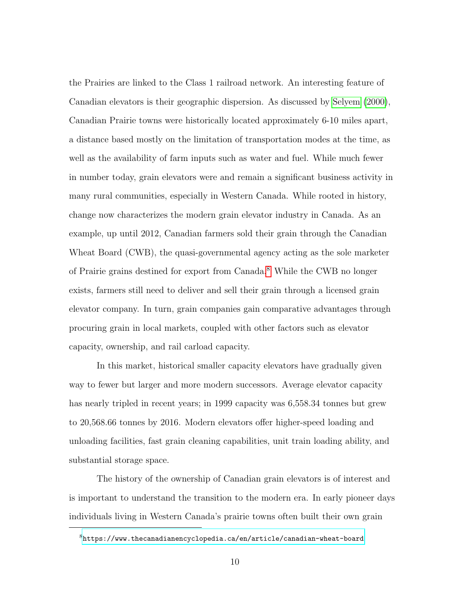the Prairies are linked to the Class 1 railroad network. An interesting feature of Canadian elevators is their geographic dispersion. As discussed by [Selyem](#page-148-1) [\(2000\)](#page-148-1), Canadian Prairie towns were historically located approximately 6-10 miles apart, a distance based mostly on the limitation of transportation modes at the time, as well as the availability of farm inputs such as water and fuel. While much fewer in number today, grain elevators were and remain a significant business activity in many rural communities, especially in Western Canada. While rooted in history, change now characterizes the modern grain elevator industry in Canada. As an example, up until 2012, Canadian farmers sold their grain through the Canadian Wheat Board (CWB), the quasi-governmental agency acting as the sole marketer of Prairie grains destined for export from Canada.[8](#page-23-0) While the CWB no longer exists, farmers still need to deliver and sell their grain through a licensed grain elevator company. In turn, grain companies gain comparative advantages through procuring grain in local markets, coupled with other factors such as elevator capacity, ownership, and rail carload capacity.

In this market, historical smaller capacity elevators have gradually given way to fewer but larger and more modern successors. Average elevator capacity has nearly tripled in recent years; in 1999 capacity was 6,558.34 tonnes but grew to 20,568.66 tonnes by 2016. Modern elevators offer higher-speed loading and unloading facilities, fast grain cleaning capabilities, unit train loading ability, and substantial storage space.

The history of the ownership of Canadian grain elevators is of interest and is important to understand the transition to the modern era. In early pioneer days individuals living in Western Canada's prairie towns often built their own grain

<span id="page-23-0"></span> $8$ <https://www.thecanadianencyclopedia.ca/en/article/canadian-wheat-board>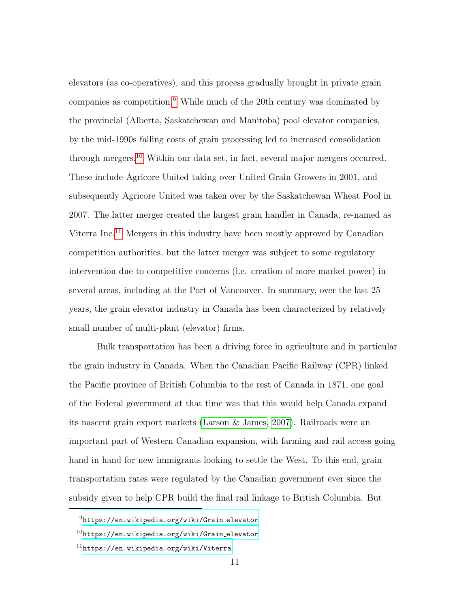elevators (as co-operatives), and this process gradually brought in private grain companies as competition.<sup>[9](#page-24-0)</sup> While much of the 20th century was dominated by the provincial (Alberta, Saskatchewan and Manitoba) pool elevator companies, by the mid-1990s falling costs of grain processing led to increased consolidation through mergers.[10](#page-24-1) Within our data set, in fact, several major mergers occurred. These include Agricore United taking over United Grain Growers in 2001, and subsequently Agricore United was taken over by the Saskatchewan Wheat Pool in 2007. The latter merger created the largest grain handler in Canada, re-named as Viterra Inc.[11](#page-24-2) Mergers in this industry have been mostly approved by Canadian competition authorities, but the latter merger was subject to some regulatory intervention due to competitive concerns (i.e. creation of more market power) in several areas, including at the Port of Vancouver. In summary, over the last 25 years, the grain elevator industry in Canada has been characterized by relatively small number of multi-plant (elevator) firms.

Bulk transportation has been a driving force in agriculture and in particular the grain industry in Canada. When the Canadian Pacific Railway (CPR) linked the Pacific province of British Columbia to the rest of Canada in 1871, one goal of the Federal government at that time was that this would help Canada expand its nascent grain export markets [\(Larson & James, 2007\)](#page-145-3). Railroads were an important part of Western Canadian expansion, with farming and rail access going hand in hand for new immigrants looking to settle the West. To this end, grain transportation rates were regulated by the Canadian government ever since the subsidy given to help CPR build the final rail linkage to British Columbia. But

<span id="page-24-0"></span><sup>9</sup>[https://en.wikipedia.org/wiki/Grain](https://en.wikipedia.org/wiki/Grain_elevator) elevator

<span id="page-24-1"></span> $^{10}$ [https://en.wikipedia.org/wiki/Grain](https://en.wikipedia.org/wiki/Grain_elevator)\_elevator

<span id="page-24-2"></span> $11$ <https://en.wikipedia.org/wiki/Viterra>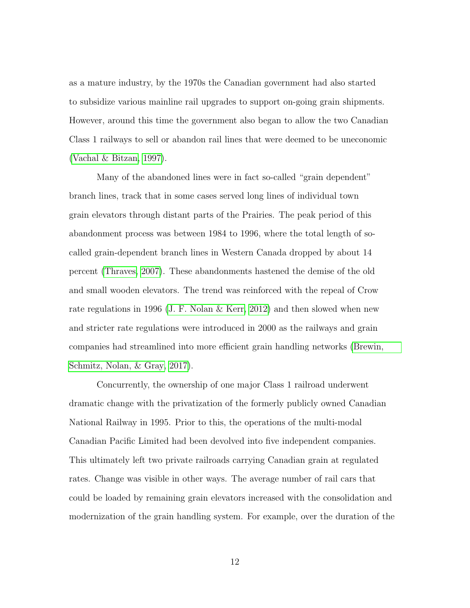as a mature industry, by the 1970s the Canadian government had also started to subsidize various mainline rail upgrades to support on-going grain shipments. However, around this time the government also began to allow the two Canadian Class 1 railways to sell or abandon rail lines that were deemed to be uneconomic [\(Vachal & Bitzan, 1997\)](#page-149-1).

Many of the abandoned lines were in fact so-called "grain dependent" branch lines, track that in some cases served long lines of individual town grain elevators through distant parts of the Prairies. The peak period of this abandonment process was between 1984 to 1996, where the total length of socalled grain-dependent branch lines in Western Canada dropped by about 14 percent [\(Thraves, 2007\)](#page-149-2). These abandonments hastened the demise of the old and small wooden elevators. The trend was reinforced with the repeal of Crow rate regulations in 1996 [\(J. F. Nolan & Kerr, 2012\)](#page-147-2) and then slowed when new and stricter rate regulations were introduced in 2000 as the railways and grain companies had streamlined into more efficient grain handling networks [\(Brewin,](#page-139-2) [Schmitz, Nolan, & Gray, 2017\)](#page-139-2).

Concurrently, the ownership of one major Class 1 railroad underwent dramatic change with the privatization of the formerly publicly owned Canadian National Railway in 1995. Prior to this, the operations of the multi-modal Canadian Pacific Limited had been devolved into five independent companies. This ultimately left two private railroads carrying Canadian grain at regulated rates. Change was visible in other ways. The average number of rail cars that could be loaded by remaining grain elevators increased with the consolidation and modernization of the grain handling system. For example, over the duration of the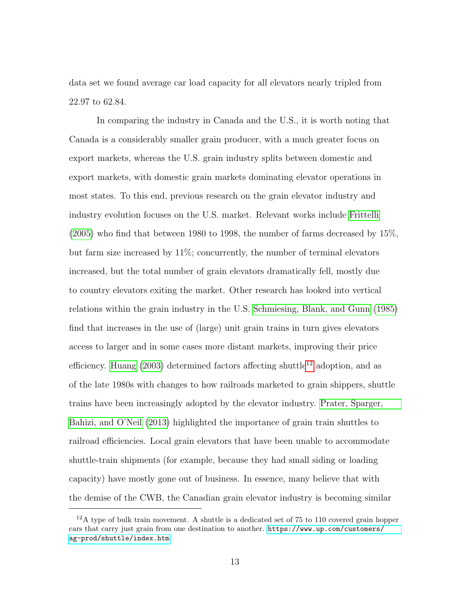data set we found average car load capacity for all elevators nearly tripled from 22.97 to 62.84.

In comparing the industry in Canada and the U.S., it is worth noting that Canada is a considerably smaller grain producer, with a much greater focus on export markets, whereas the U.S. grain industry splits between domestic and export markets, with domestic grain markets dominating elevator operations in most states. To this end, previous research on the grain elevator industry and industry evolution focuses on the U.S. market. Relevant works include [Frittelli](#page-142-2) [\(2005\)](#page-142-2) who find that between 1980 to 1998, the number of farms decreased by 15%, but farm size increased by 11%; concurrently, the number of terminal elevators increased, but the total number of grain elevators dramatically fell, mostly due to country elevators exiting the market. Other research has looked into vertical relations within the grain industry in the U.S. [Schmiesing, Blank, and Gunn](#page-148-2) [\(1985\)](#page-148-2) find that increases in the use of (large) unit grain trains in turn gives elevators access to larger and in some cases more distant markets, improving their price efficiency. [Huang](#page-144-1)  $(2003)$  determined factors affecting shuttle<sup>[12](#page-26-0)</sup> adoption, and as of the late 1980s with changes to how railroads marketed to grain shippers, shuttle trains have been increasingly adopted by the elevator industry. [Prater, Sparger,](#page-147-3) [Bahizi, and O'Neil](#page-147-3) [\(2013\)](#page-147-3) highlighted the importance of grain train shuttles to railroad efficiencies. Local grain elevators that have been unable to accommodate shuttle-train shipments (for example, because they had small siding or loading capacity) have mostly gone out of business. In essence, many believe that with the demise of the CWB, the Canadian grain elevator industry is becoming similar

<span id="page-26-0"></span> $12A$  type of bulk train movement. A shuttle is a dedicated set of 75 to 110 covered grain hopper cars that carry just grain from one destination to another. [https://www.up.com/customers/](https://www.up.com/customers/ag-prod/shuttle/index.htm) [ag-prod/shuttle/index.htm](https://www.up.com/customers/ag-prod/shuttle/index.htm)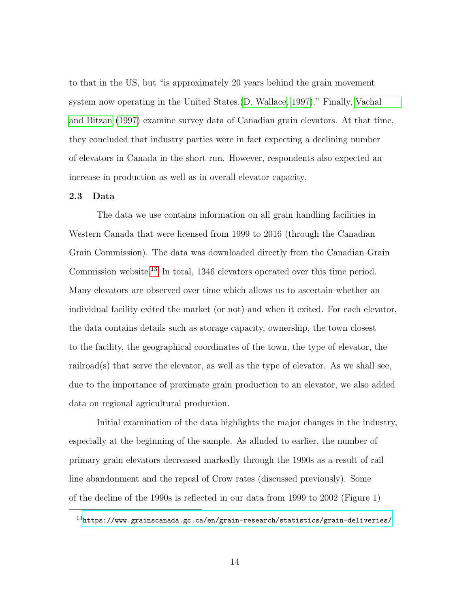to that in the US, but "is approximately 20 years behind the grain movement system now operating in the United States.[\(D. Wallace, 1997\)](#page-150-2)." Finally, [Vachal](#page-149-1) [and Bitzan](#page-149-1) [\(1997\)](#page-149-1) examine survey data of Canadian grain elevators. At that time, they concluded that industry parties were in fact expecting a declining number of elevators in Canada in the short run. However, respondents also expected an increase in production as well as in overall elevator capacity.

#### <span id="page-27-0"></span>2.3 Data

The data we use contains information on all grain handling facilities in Western Canada that were licensed from 1999 to 2016 (through the Canadian Grain Commission). The data was downloaded directly from the Canadian Grain Commission website.[13](#page-27-1) In total, 1346 elevators operated over this time period. Many elevators are observed over time which allows us to ascertain whether an individual facility exited the market (or not) and when it exited. For each elevator, the data contains details such as storage capacity, ownership, the town closest to the facility, the geographical coordinates of the town, the type of elevator, the railroad(s) that serve the elevator, as well as the type of elevator. As we shall see, due to the importance of proximate grain production to an elevator, we also added data on regional agricultural production.

Initial examination of the data highlights the major changes in the industry, especially at the beginning of the sample. As alluded to earlier, the number of primary grain elevators decreased markedly through the 1990s as a result of rail line abandonment and the repeal of Crow rates (discussed previously). Some of the decline of the 1990s is reflected in our data from 1999 to 2002 (Figure 1)

<span id="page-27-1"></span> $13$ <https://www.grainscanada.gc.ca/en/grain-research/statistics/grain-deliveries/>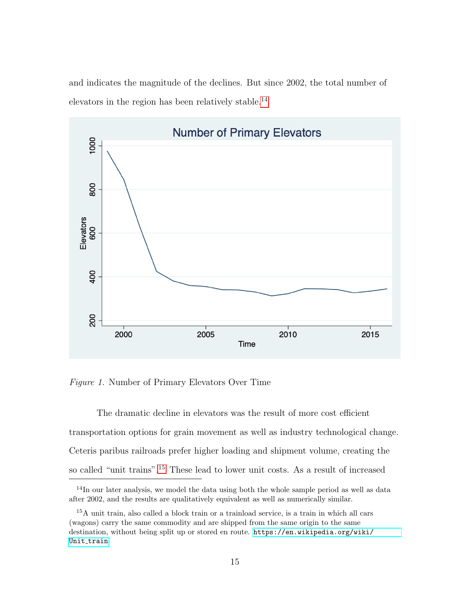and indicates the magnitude of the declines. But since 2002, the total number of elevators in the region has been relatively stable.<sup>[14](#page-28-1)</sup>

<span id="page-28-0"></span>

Figure 1. Number of Primary Elevators Over Time

The dramatic decline in elevators was the result of more cost efficient transportation options for grain movement as well as industry technological change. Ceteris paribus railroads prefer higher loading and shipment volume, creating the so called "unit trains".[15](#page-28-2) These lead to lower unit costs. As a result of increased

<span id="page-28-1"></span><sup>&</sup>lt;sup>14</sup>In our later analysis, we model the data using both the whole sample period as well as data after 2002, and the results are qualitatively equivalent as well as numerically similar.

<span id="page-28-2"></span><sup>15</sup>A unit train, also called a block train or a trainload service, is a train in which all cars (wagons) carry the same commodity and are shipped from the same origin to the same destination, without being split up or stored en route. [https://en.wikipedia.org/wiki/](https://en.wikipedia.org/wiki/Unit_train) Unit\_[train](https://en.wikipedia.org/wiki/Unit_train)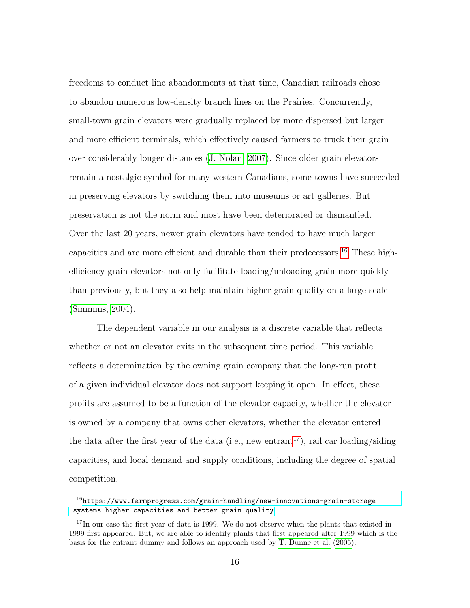freedoms to conduct line abandonments at that time, Canadian railroads chose to abandon numerous low-density branch lines on the Prairies. Concurrently, small-town grain elevators were gradually replaced by more dispersed but larger and more efficient terminals, which effectively caused farmers to truck their grain over considerably longer distances [\(J. Nolan, 2007\)](#page-147-4). Since older grain elevators remain a nostalgic symbol for many western Canadians, some towns have succeeded in preserving elevators by switching them into museums or art galleries. But preservation is not the norm and most have been deteriorated or dismantled. Over the last 20 years, newer grain elevators have tended to have much larger capacities and are more efficient and durable than their predecessors.<sup>[16](#page-29-0)</sup> These highefficiency grain elevators not only facilitate loading/unloading grain more quickly than previously, but they also help maintain higher grain quality on a large scale [\(Simmins, 2004\)](#page-148-3).

The dependent variable in our analysis is a discrete variable that reflects whether or not an elevator exits in the subsequent time period. This variable reflects a determination by the owning grain company that the long-run profit of a given individual elevator does not support keeping it open. In effect, these profits are assumed to be a function of the elevator capacity, whether the elevator is owned by a company that owns other elevators, whether the elevator entered the data after the first year of the data (i.e., new entrant<sup>[17](#page-29-1)</sup>), rail car loading/siding capacities, and local demand and supply conditions, including the degree of spatial competition.

<span id="page-29-0"></span> $16$ [https://www.farmprogress.com/grain-handling/new-innovations-grain-storage](https://www.farmprogress.com/grain-handling/new-innovations-grain-storage-systems-higher-capacities-and-better-grain-quality) [-systems-higher-capacities-and-better-grain-quality](https://www.farmprogress.com/grain-handling/new-innovations-grain-storage-systems-higher-capacities-and-better-grain-quality)

<span id="page-29-1"></span><sup>&</sup>lt;sup>17</sup>In our case the first year of data is 1999. We do not observe when the plants that existed in 1999 first appeared. But, we are able to identify plants that first appeared after 1999 which is the basis for the entrant dummy and follows an approach used by [T. Dunne et al.](#page-141-0) [\(2005\)](#page-141-0).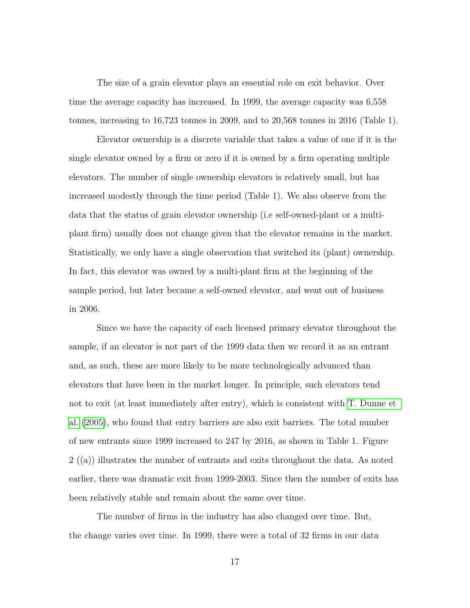The size of a grain elevator plays an essential role on exit behavior. Over time the average capacity has increased. In 1999, the average capacity was 6,558 tonnes, increasing to 16,723 tonnes in 2009, and to 20,568 tonnes in 2016 (Table 1).

Elevator ownership is a discrete variable that takes a value of one if it is the single elevator owned by a firm or zero if it is owned by a firm operating multiple elevators. The number of single ownership elevators is relatively small, but has increased modestly through the time period (Table 1). We also observe from the data that the status of grain elevator ownership (i.e self-owned-plant or a multiplant firm) usually does not change given that the elevator remains in the market. Statistically, we only have a single observation that switched its (plant) ownership. In fact, this elevator was owned by a multi-plant firm at the beginning of the sample period, but later became a self-owned elevator, and went out of business in 2006.

Since we have the capacity of each licensed primary elevator throughout the sample, if an elevator is not part of the 1999 data then we record it as an entrant and, as such, these are more likely to be more technologically advanced than elevators that have been in the market longer. In principle, such elevators tend not to exit (at least immediately after entry), which is consistent with [T. Dunne et](#page-141-0) [al.](#page-141-0) [\(2005\)](#page-141-0), who found that entry barriers are also exit barriers. The total number of new entrants since 1999 increased to 247 by 2016, as shown in Table 1. Figure 2 ((a)) illustrates the number of entrants and exits throughout the data. As noted earlier, there was dramatic exit from 1999-2003. Since then the number of exits has been relatively stable and remain about the same over time.

The number of firms in the industry has also changed over time. But, the change varies over time. In 1999, there were a total of 32 firms in our data

17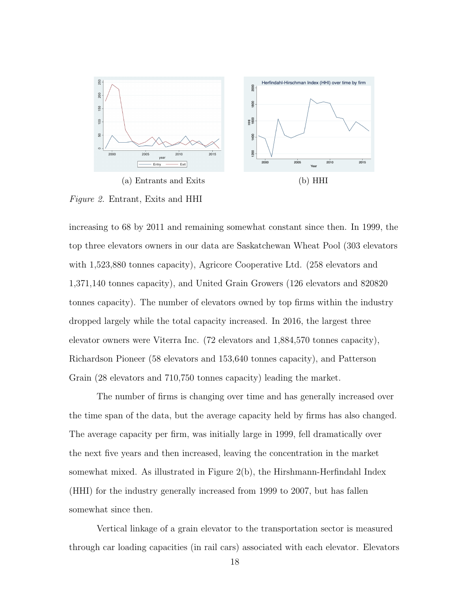<span id="page-31-0"></span>

Figure 2. Entrant, Exits and HHI

increasing to 68 by 2011 and remaining somewhat constant since then. In 1999, the top three elevators owners in our data are Saskatchewan Wheat Pool (303 elevators with 1,523,880 tonnes capacity), Agricore Cooperative Ltd. (258 elevators and 1,371,140 tonnes capacity), and United Grain Growers (126 elevators and 820820 tonnes capacity). The number of elevators owned by top firms within the industry dropped largely while the total capacity increased. In 2016, the largest three elevator owners were Viterra Inc. (72 elevators and 1,884,570 tonnes capacity), Richardson Pioneer (58 elevators and 153,640 tonnes capacity), and Patterson Grain (28 elevators and 710,750 tonnes capacity) leading the market.

The number of firms is changing over time and has generally increased over the time span of the data, but the average capacity held by firms has also changed. The average capacity per firm, was initially large in 1999, fell dramatically over the next five years and then increased, leaving the concentration in the market somewhat mixed. As illustrated in Figure 2(b), the Hirshmann-Herfindahl Index (HHI) for the industry generally increased from 1999 to 2007, but has fallen somewhat since then.

Vertical linkage of a grain elevator to the transportation sector is measured through car loading capacities (in rail cars) associated with each elevator. Elevators

18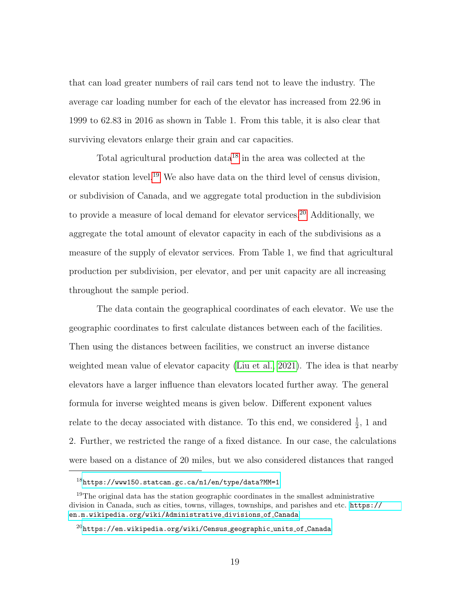that can load greater numbers of rail cars tend not to leave the industry. The average car loading number for each of the elevator has increased from 22.96 in 1999 to 62.83 in 2016 as shown in Table 1. From this table, it is also clear that surviving elevators enlarge their grain and car capacities.

Total agricultural production data<sup>[18](#page-32-0)</sup> in the area was collected at the elevator station level.[19](#page-32-1) We also have data on the third level of census division, or subdivision of Canada, and we aggregate total production in the subdivision to provide a measure of local demand for elevator services.<sup>[20](#page-32-2)</sup> Additionally, we aggregate the total amount of elevator capacity in each of the subdivisions as a measure of the supply of elevator services. From Table 1, we find that agricultural production per subdivision, per elevator, and per unit capacity are all increasing throughout the sample period.

The data contain the geographical coordinates of each elevator. We use the geographic coordinates to first calculate distances between each of the facilities. Then using the distances between facilities, we construct an inverse distance weighted mean value of elevator capacity [\(Liu et al., 2021\)](#page-145-4). The idea is that nearby elevators have a larger influence than elevators located further away. The general formula for inverse weighted means is given below. Different exponent values relate to the decay associated with distance. To this end, we considered  $\frac{1}{2}$ , 1 and 2. Further, we restricted the range of a fixed distance. In our case, the calculations were based on a distance of 20 miles, but we also considered distances that ranged

<span id="page-32-0"></span><sup>18</sup><https://www150.statcan.gc.ca/n1/en/type/data?MM=1>

<span id="page-32-1"></span><sup>&</sup>lt;sup>19</sup>The original data has the station geographic coordinates in the smallest administrative division in Canada, such as cities, towns, villages, townships, and parishes and etc. [https://](https://en.m.wikipedia.org/wiki/Administrative_divisions_of_Canada) [en.m.wikipedia.org/wiki/Administrative](https://en.m.wikipedia.org/wiki/Administrative_divisions_of_Canada) divisions of Canada

<span id="page-32-2"></span> $^{20}$ [https://en.wikipedia.org/wiki/Census](https://en.wikipedia.org/wiki/Census_geographic_units_of_Canada)\_geographic\_units\_of\_Canada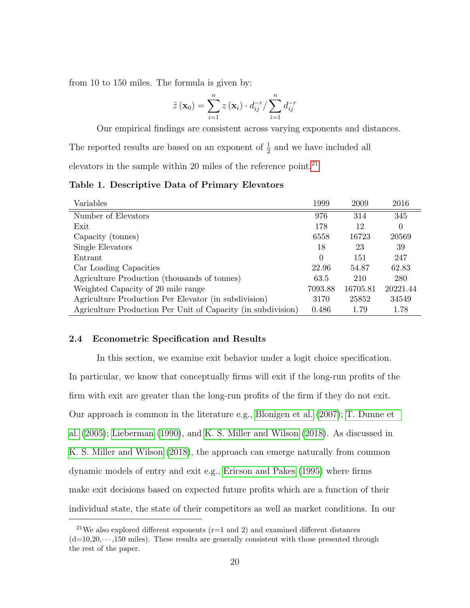from 10 to 150 miles. The formula is given by:

$$
\hat{z}(\mathbf{x}_0) = \sum_{i=1}^n z(\mathbf{x}_i) \cdot d_{ij}^{-r} / \sum_{i=1}^n d_{ij}^{-r}
$$

Our empirical findings are consistent across varying exponents and distances.

The reported results are based on an exponent of  $\frac{1}{2}$  and we have included all

elevators in the sample within 20 miles of the reference point.[21](#page-33-2)

<span id="page-33-1"></span>Table 1. Descriptive Data of Primary Elevators

| Variables                                                    | 1999     | 2009     | 2016     |
|--------------------------------------------------------------|----------|----------|----------|
| Number of Elevators                                          | 976      | 314      | 345      |
| Exit                                                         | 178      | 12       | 0        |
| Capacity (tonnes)                                            | 6558     | 16723    | 20569    |
| Single Elevators                                             | 18       | 23       | 39       |
| Entrant                                                      | $\Omega$ | 151      | 247      |
| Car Loading Capacities                                       | 22.96    | 54.87    | 62.83    |
| Agriculture Production (thousands of tonnes)                 | 63.5     | 210      | 280      |
| Weighted Capacity of 20 mile range                           | 7093.88  | 16705.81 | 20221.44 |
| Agriculture Production Per Elevator (in subdivision)         | 3170     | 25852    | 34549    |
| Agriculture Production Per Unit of Capacity (in subdivision) | 0.486    | 1.79     | 1.78     |

#### <span id="page-33-0"></span>2.4 Econometric Specification and Results

In this section, we examine exit behavior under a logit choice specification. In particular, we know that conceptually firms will exit if the long-run profits of the firm with exit are greater than the long-run profits of the firm if they do not exit. Our approach is common in the literature e.g., [Blonigen et al.](#page-139-0) [\(2007\)](#page-139-0); [T. Dunne et](#page-141-0) [al.](#page-141-0) [\(2005\)](#page-141-0); [Lieberman](#page-145-1) [\(1990\)](#page-145-1), and [K. S. Miller and Wilson](#page-146-1) [\(2018\)](#page-146-1). As discussed in [K. S. Miller and Wilson](#page-146-1) [\(2018\)](#page-146-1), the approach can emerge naturally from common dynamic models of entry and exit e.g., [Ericson and Pakes](#page-142-3) [\(1995\)](#page-142-3) where firms make exit decisions based on expected future profits which are a function of their individual state, the state of their competitors as well as market conditions. In our

<span id="page-33-2"></span><sup>&</sup>lt;sup>21</sup>We also explored different exponents ( $r=1$  and 2) and examined different distances  $(d=10,20,\dots,150)$  miles). These results are generally consistent with those presented through the rest of the paper.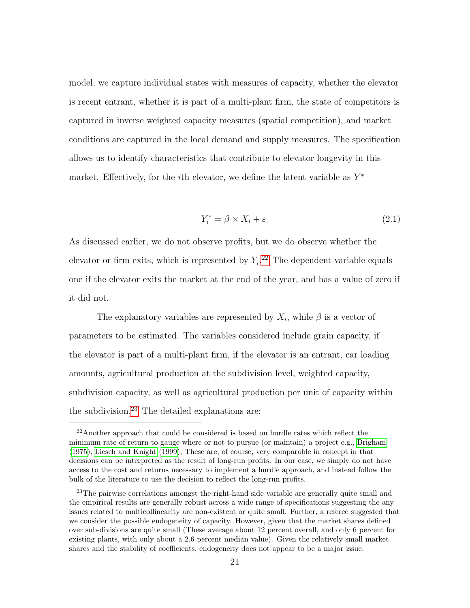model, we capture individual states with measures of capacity, whether the elevator is recent entrant, whether it is part of a multi-plant firm, the state of competitors is captured in inverse weighted capacity measures (spatial competition), and market conditions are captured in the local demand and supply measures. The specification allows us to identify characteristics that contribute to elevator longevity in this market. Effectively, for the *i*th elevator, we define the latent variable as  $Y^*$ 

$$
Y_i^* = \beta \times X_i + \varepsilon. \tag{2.1}
$$

As discussed earlier, we do not observe profits, but we do observe whether the elevator or firm exits, which is represented by  $Y_i$ <sup>[22](#page-34-0)</sup> The dependent variable equals one if the elevator exits the market at the end of the year, and has a value of zero if it did not.

The explanatory variables are represented by  $X_i$ , while  $\beta$  is a vector of parameters to be estimated. The variables considered include grain capacity, if the elevator is part of a multi-plant firm, if the elevator is an entrant, car loading amounts, agricultural production at the subdivision level, weighted capacity, subdivision capacity, as well as agricultural production per unit of capacity within the subdivision.<sup>[23](#page-34-1)</sup> The detailed explanations are:

<span id="page-34-0"></span><sup>22</sup>Another approach that could be considered is based on hurdle rates which reflect the minimum rate of return to gauge where or not to pursue (or maintain) a project e.g., [Brigham](#page-139-3) [\(1975\)](#page-139-3), [Liesch and Knight](#page-145-5) [\(1999\)](#page-145-5), These are, of course, very comparable in concept in that decisions can be interpreted as the result of long-run profits. In our case, we simply do not have access to the cost and returns necessary to implement a hurdle approach, and instead follow the bulk of the literature to use the decision to reflect the long-run profits.

<span id="page-34-1"></span><sup>&</sup>lt;sup>23</sup>The pairwise correlations amongst the right-hand side variable are generally quite small and the empirical results are generally robust across a wide range of specifications suggesting the any issues related to multicollinearity are non-existent or quite small. Further, a referee suggested that we consider the possible endogeneity of capacity. However, given that the market shares defined over sub-divisions are quite small (These average about 12 percent overall, and only 6 percent for existing plants, with only about a 2.6 percent median value). Given the relatively small market shares and the stability of coefficients, endogeneity does not appear to be a major issue.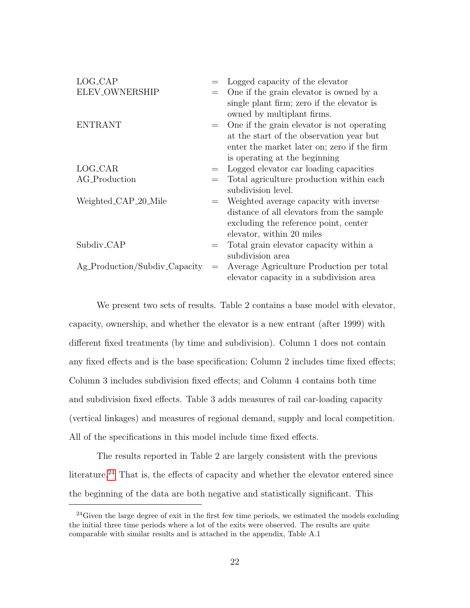| LOG_CAP                       |     | Logged capacity of the elevator             |
|-------------------------------|-----|---------------------------------------------|
| ELEV_OWNERSHIP                |     | One if the grain elevator is owned by a     |
|                               |     | single plant firm; zero if the elevator is  |
|                               |     | owned by multiplant firms.                  |
| <b>ENTRANT</b>                | $=$ | One if the grain elevator is not operating  |
|                               |     | at the start of the observation year but    |
|                               |     | enter the market later on; zero if the firm |
|                               |     | is operating at the beginning               |
| LOG_CAR                       | $=$ | Logged elevator car loading capacities      |
| AG_Production                 |     | Total agriculture production within each    |
|                               |     | subdivision level.                          |
| Weighted_CAP_20_Mile          |     | Weighted average capacity with inverse      |
|                               |     | distance of all elevators from the sample   |
|                               |     | excluding the reference point, center       |
|                               |     | elevator, within 20 miles                   |
| Subdiv <sub>-CAP</sub>        |     | Total grain elevator capacity within a      |
|                               |     | subdivision area                            |
| Ag_Production/Subdiv_Capacity | $=$ | Average Agriculture Production per total    |
|                               |     | elevator capacity in a subdivision area     |

We present two sets of results. Table 2 contains a base model with elevator, capacity, ownership, and whether the elevator is a new entrant (after 1999) with different fixed treatments (by time and subdivision). Column 1 does not contain any fixed effects and is the base specification; Column 2 includes time fixed effects; Column 3 includes subdivision fixed effects; and Column 4 contains both time and subdivision fixed effects. Table 3 adds measures of rail car-loading capacity (vertical linkages) and measures of regional demand, supply and local competition. All of the specifications in this model include time fixed effects.

The results reported in Table 2 are largely consistent with the previous literature.<sup>[24](#page-35-0)</sup> That is, the effects of capacity and whether the elevator entered since the beginning of the data are both negative and statistically significant. This

<span id="page-35-0"></span> $24$ Given the large degree of exit in the first few time periods, we estimated the models excluding the initial three time periods where a lot of the exits were observed. The results are quite comparable with similar results and is attached in the appendix, Table A.1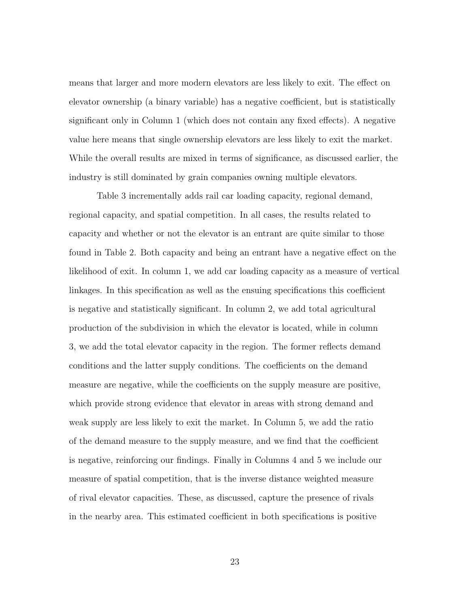means that larger and more modern elevators are less likely to exit. The effect on elevator ownership (a binary variable) has a negative coefficient, but is statistically significant only in Column 1 (which does not contain any fixed effects). A negative value here means that single ownership elevators are less likely to exit the market. While the overall results are mixed in terms of significance, as discussed earlier, the industry is still dominated by grain companies owning multiple elevators.

Table 3 incrementally adds rail car loading capacity, regional demand, regional capacity, and spatial competition. In all cases, the results related to capacity and whether or not the elevator is an entrant are quite similar to those found in Table 2. Both capacity and being an entrant have a negative effect on the likelihood of exit. In column 1, we add car loading capacity as a measure of vertical linkages. In this specification as well as the ensuing specifications this coefficient is negative and statistically significant. In column 2, we add total agricultural production of the subdivision in which the elevator is located, while in column 3, we add the total elevator capacity in the region. The former reflects demand conditions and the latter supply conditions. The coefficients on the demand measure are negative, while the coefficients on the supply measure are positive, which provide strong evidence that elevator in areas with strong demand and weak supply are less likely to exit the market. In Column 5, we add the ratio of the demand measure to the supply measure, and we find that the coefficient is negative, reinforcing our findings. Finally in Columns 4 and 5 we include our measure of spatial competition, that is the inverse distance weighted measure of rival elevator capacities. These, as discussed, capture the presence of rivals in the nearby area. This estimated coefficient in both specifications is positive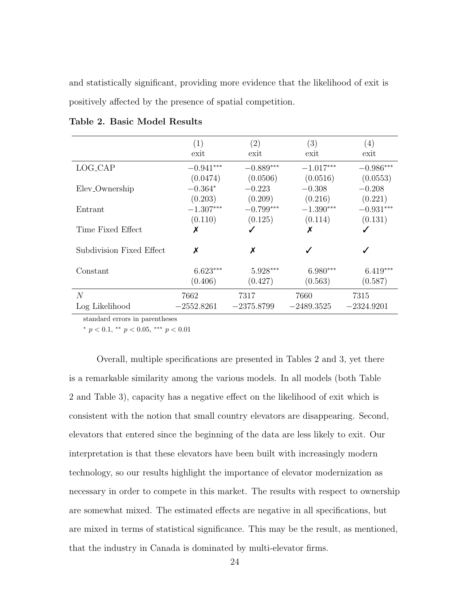and statistically significant, providing more evidence that the likelihood of exit is positively affected by the presence of spatial competition.

|                            | (1)          | (2)          | (3)          | (4)          |
|----------------------------|--------------|--------------|--------------|--------------|
|                            | exit         | exit         | exit         | exit         |
| LOG_CAP                    | $-0.941***$  | $-0.889***$  | $-1.017***$  | $-0.986***$  |
|                            | (0.0474)     | (0.0506)     | (0.0516)     | (0.0553)     |
| Elev <sub>-Ownership</sub> | $-0.364*$    | $-0.223$     | $-0.308$     | $-0.208$     |
|                            | (0.203)      | (0.209)      | (0.216)      | (0.221)      |
| Entrant                    | $-1.307***$  | $-0.799***$  | $-1.390***$  | $-0.931***$  |
|                            | (0.110)      | (0.125)      | (0.114)      | (0.131)      |
| Time Fixed Effect          | х            |              | Х            |              |
| Subdivision Fixed Effect   | X            | X            |              |              |
| Constant                   | $6.623***$   | $5.928***$   | $6.980***$   | $6.419***$   |
|                            | (0.406)      | (0.427)      | (0.563)      | (0.587)      |
| $\mathcal{N}$              | 7662         | 7317         | 7660         | 7315         |
| Log Likelihood             | $-2552.8261$ | $-2375.8799$ | $-2489.3525$ | $-2324.9201$ |

# Table 2. Basic Model Results

standard errors in parentheses

\*  $p < 0.1$ , \*\*  $p < 0.05$ , \*\*\*  $p < 0.01$ 

Overall, multiple specifications are presented in Tables 2 and 3, yet there is a remarkable similarity among the various models. In all models (both Table 2 and Table 3), capacity has a negative effect on the likelihood of exit which is consistent with the notion that small country elevators are disappearing. Second, elevators that entered since the beginning of the data are less likely to exit. Our interpretation is that these elevators have been built with increasingly modern technology, so our results highlight the importance of elevator modernization as necessary in order to compete in this market. The results with respect to ownership are somewhat mixed. The estimated effects are negative in all specifications, but are mixed in terms of statistical significance. This may be the result, as mentioned, that the industry in Canada is dominated by multi-elevator firms.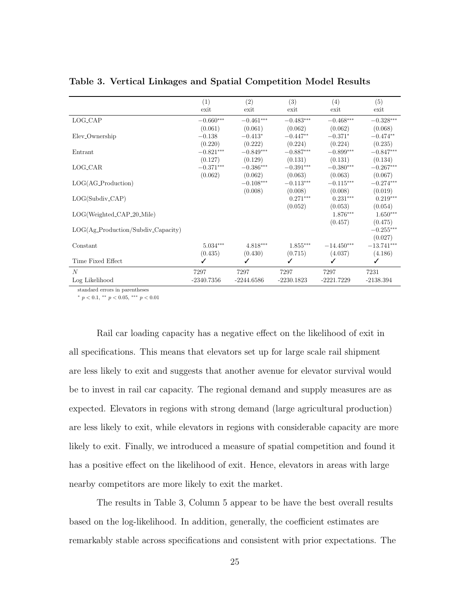|                                                           | (1)          | (2)          | (3)          | (4)          | (5)          |
|-----------------------------------------------------------|--------------|--------------|--------------|--------------|--------------|
|                                                           | exit         | exit         | exit         | exit         | exit         |
| LOG_CAP                                                   | $-0.660***$  | $-0.461***$  | $-0.483***$  | $-0.468***$  | $-0.328***$  |
|                                                           | (0.061)      | (0.061)      | (0.062)      | (0.062)      | (0.068)      |
| Elev <sub>-</sub> Ownership                               | $-0.138$     | $-0.413*$    | $-0.447**$   | $-0.371*$    | $-0.474**$   |
|                                                           | (0.220)      | (0.222)      | (0.224)      | (0.224)      | (0.235)      |
| Entrant                                                   | $-0.821***$  | $-0.849***$  | $-0.887***$  | $-0.899***$  | $-0.847***$  |
|                                                           | (0.127)      | (0.129)      | (0.131)      | (0.131)      | (0.134)      |
| LOG_CAR                                                   | $-0.371***$  | $-0.386***$  | $-0.391***$  | $-0.380***$  | $-0.267***$  |
|                                                           | (0.062)      | (0.062)      | (0.063)      | (0.063)      | (0.067)      |
| $LOG(AG_{\text{Production}})$                             |              | $-0.108***$  | $-0.113***$  | $-0.115***$  | $-0.274***$  |
|                                                           |              | (0.008)      | (0.008)      | (0.008)      | (0.019)      |
| $LOG(Subdiv_CAP)$                                         |              |              | $0.271***$   | $0.231***$   | $0.219***$   |
|                                                           |              |              | (0.052)      | (0.053)      | (0.054)      |
| $LOG(Weighted_CAP_20_Mile)$                               |              |              |              | $1.876***$   | $1.650***$   |
|                                                           |              |              |              | (0.457)      | (0.475)      |
| $LOG(Ag_{\text{-}}Production/Subdiv_{\text{-}}Capaceity)$ |              |              |              |              | $-0.255***$  |
|                                                           |              |              |              |              | (0.027)      |
| Constant                                                  | $5.034***$   | $4.818***$   | $1.855***$   | $-14.450***$ | $-13.741***$ |
|                                                           | (0.435)      | (0.430)      | (0.715)      | (4.037)      | (4.186)      |
| Time Fixed Effect                                         | ✓            | ✓            | ✓            |              | ✓            |
| $\boldsymbol{N}$                                          | 7297         | 7297         | 7297         | 7297         | 7231         |
| Log Likelihood                                            | $-2340.7356$ | $-2244.6586$ | $-2230.1823$ | $-2221.7229$ | $-2138.394$  |

Table 3. Vertical Linkages and Spatial Competition Model Results

standard errors in parentheses  $*$  p < 0.1,  $**$  p < 0.05,  $***$  p < 0.01

Rail car loading capacity has a negative effect on the likelihood of exit in all specifications. This means that elevators set up for large scale rail shipment are less likely to exit and suggests that another avenue for elevator survival would be to invest in rail car capacity. The regional demand and supply measures are as expected. Elevators in regions with strong demand (large agricultural production) are less likely to exit, while elevators in regions with considerable capacity are more likely to exit. Finally, we introduced a measure of spatial competition and found it has a positive effect on the likelihood of exit. Hence, elevators in areas with large nearby competitors are more likely to exit the market.

The results in Table 3, Column 5 appear to be have the best overall results based on the log-likelihood. In addition, generally, the coefficient estimates are remarkably stable across specifications and consistent with prior expectations. The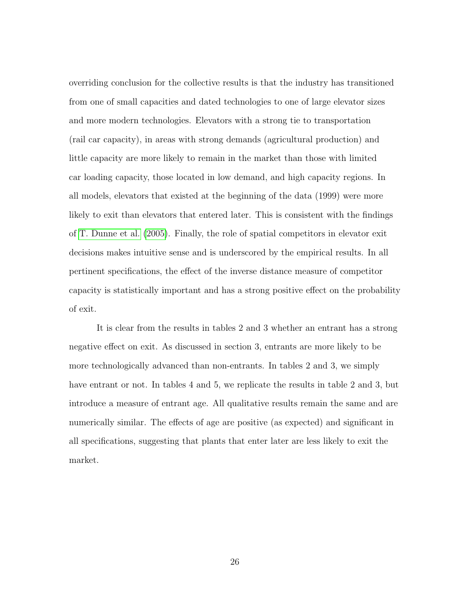overriding conclusion for the collective results is that the industry has transitioned from one of small capacities and dated technologies to one of large elevator sizes and more modern technologies. Elevators with a strong tie to transportation (rail car capacity), in areas with strong demands (agricultural production) and little capacity are more likely to remain in the market than those with limited car loading capacity, those located in low demand, and high capacity regions. In all models, elevators that existed at the beginning of the data (1999) were more likely to exit than elevators that entered later. This is consistent with the findings of [T. Dunne et al.](#page-141-0) [\(2005\)](#page-141-0). Finally, the role of spatial competitors in elevator exit decisions makes intuitive sense and is underscored by the empirical results. In all pertinent specifications, the effect of the inverse distance measure of competitor capacity is statistically important and has a strong positive effect on the probability of exit.

It is clear from the results in tables 2 and 3 whether an entrant has a strong negative effect on exit. As discussed in section 3, entrants are more likely to be more technologically advanced than non-entrants. In tables 2 and 3, we simply have entrant or not. In tables 4 and 5, we replicate the results in table 2 and 3, but introduce a measure of entrant age. All qualitative results remain the same and are numerically similar. The effects of age are positive (as expected) and significant in all specifications, suggesting that plants that enter later are less likely to exit the market.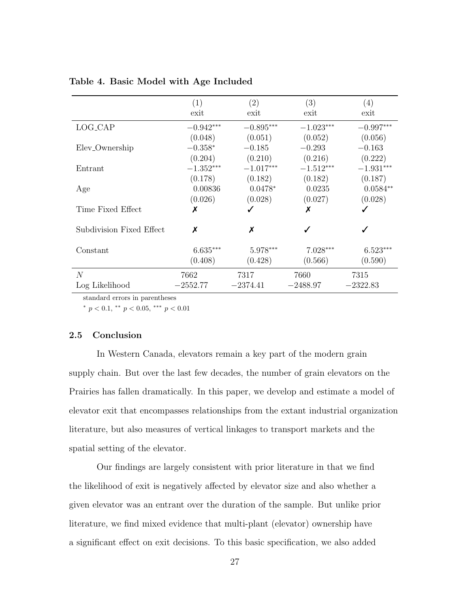|                            | (1)         | (2)         | (3)         | (4)         |
|----------------------------|-------------|-------------|-------------|-------------|
|                            | exit        | exit        | exit        | exit        |
| LOG_CAP                    | $-0.942***$ | $-0.895***$ | $-1.023***$ | $-0.997***$ |
|                            | (0.048)     | (0.051)     | (0.052)     | (0.056)     |
| Elev <sub>-Ownership</sub> | $-0.358*$   | $-0.185$    | $-0.293$    | $-0.163$    |
|                            | (0.204)     | (0.210)     | (0.216)     | (0.222)     |
| Entrant                    | $-1.352***$ | $-1.017***$ | $-1.512***$ | $-1.931***$ |
|                            | (0.178)     | (0.182)     | (0.182)     | (0.187)     |
| Age                        | 0.00836     | $0.0478*$   | 0.0235      | $0.0584**$  |
|                            | (0.026)     | (0.028)     | (0.027)     | (0.028)     |
| Time Fixed Effect          | х           |             | Х           |             |
|                            |             | X           |             |             |
| Subdivision Fixed Effect   | X           |             |             |             |
| Constant                   | $6.635***$  | $5.978***$  | $7.028***$  | $6.523***$  |
|                            | (0.408)     | (0.428)     | (0.566)     | (0.590)     |
| N                          | 7662        | 7317        | 7660        | 7315        |
| Log Likelihood             | $-2552.77$  | $-2374.41$  | $-2488.97$  | $-2322.83$  |

Table 4. Basic Model with Age Included

standard errors in parentheses

\*  $p < 0.1$ , \*\*  $p < 0.05$ , \*\*\*  $p < 0.01$ 

# 2.5 Conclusion

In Western Canada, elevators remain a key part of the modern grain supply chain. But over the last few decades, the number of grain elevators on the Prairies has fallen dramatically. In this paper, we develop and estimate a model of elevator exit that encompasses relationships from the extant industrial organization literature, but also measures of vertical linkages to transport markets and the spatial setting of the elevator.

Our findings are largely consistent with prior literature in that we find the likelihood of exit is negatively affected by elevator size and also whether a given elevator was an entrant over the duration of the sample. But unlike prior literature, we find mixed evidence that multi-plant (elevator) ownership have a significant effect on exit decisions. To this basic specification, we also added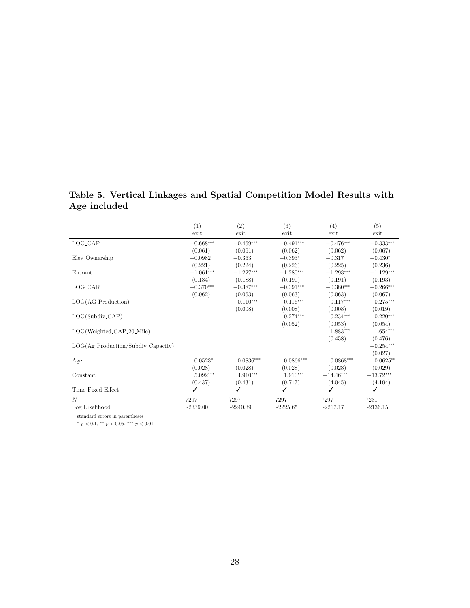Age included (1)  $(2)$   $(3)$   $(4)$   $(5)$ 

Table 5. Vertical Linkages and Spatial Competition Model Results with

|                                    | (1)                     | (2)         | (3)         | (4)         | (5)         |
|------------------------------------|-------------------------|-------------|-------------|-------------|-------------|
|                                    | exit                    | exit        | exit        | exit        | exit        |
| LOG_CAP                            | $-0.668^{\ast\ast\ast}$ | $-0.469***$ | $-0.491***$ | $-0.476***$ | $-0.333***$ |
|                                    | (0.061)                 | (0.061)     | (0.062)     | (0.062)     | (0.067)     |
| Elev <sub>-Ownership</sub>         | $-0.0982$               | $-0.363$    | $-0.393*$   | $-0.317$    | $-0.430*$   |
|                                    | (0.221)                 | (0.224)     | (0.226)     | (0.225)     | (0.236)     |
| Entrant                            | $-1.061^{\ast\ast\ast}$ | $-1.227***$ | $-1.280***$ | $-1.293***$ | $-1.129***$ |
|                                    | (0.184)                 | (0.188)     | (0.190)     | (0.191)     | (0.193)     |
| LOG_CAR                            | $-0.370***$             | $-0.387***$ | $-0.391***$ | $-0.380***$ | $-0.266***$ |
|                                    | (0.062)                 | (0.063)     | (0.063)     | (0.063)     | (0.067)     |
| $LOG(AG_{\neg} Production)$        |                         | $-0.110***$ | $-0.116***$ | $-0.117***$ | $-0.275***$ |
|                                    |                         | (0.008)     | (0.008)     | (0.008)     | (0.019)     |
| $LOG(Subdiv_CAP)$                  |                         |             | $0.274***$  | $0.234***$  | $0.220***$  |
|                                    |                         |             | (0.052)     | (0.053)     | (0.054)     |
| LOG(Weighted_CAP_20_Mile)          |                         |             |             | $1.883***$  | $1.654***$  |
|                                    |                         |             |             | (0.458)     | (0.476)     |
| LOG(Ag_Production/Subdiv_Capacity) |                         |             |             |             | $-0.254***$ |
|                                    |                         |             |             |             | (0.027)     |
| Age                                | $0.0523*$               | $0.0836***$ | $0.0866***$ | $0.0868***$ | $0.0625**$  |
|                                    | (0.028)                 | (0.028)     | (0.028)     | (0.028)     | (0.029)     |
| Constant                           | $5.092***$              | $4.910***$  | $1.910***$  | $-14.46***$ | $-13.72***$ |
|                                    | (0.437)                 | (0.431)     | (0.717)     | (4.045)     | (4.194)     |
| Time Fixed Effect                  |                         |             | ✓           | ✓           | ✓           |
| $\overline{N}$                     | 7297                    | 7297        | 7297        | 7297        | 7231        |
| Log Likelihood                     | $-2339.00$              | $-2240.39$  | $-2225.65$  | $-2217.17$  | $-2136.15$  |

standard errors in parentheses

 $* p < 0.1, ** p < 0.05, ** p < 0.01$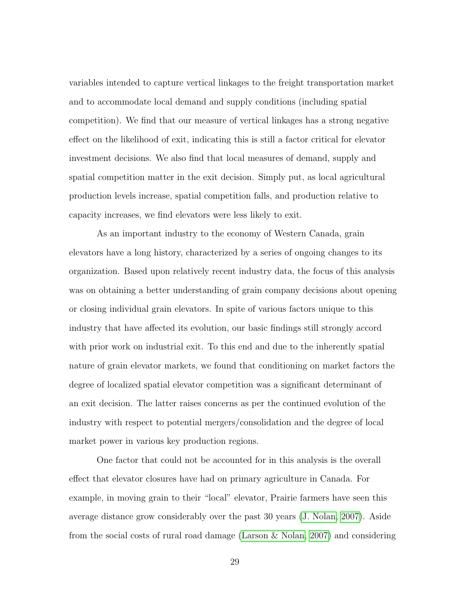variables intended to capture vertical linkages to the freight transportation market and to accommodate local demand and supply conditions (including spatial competition). We find that our measure of vertical linkages has a strong negative effect on the likelihood of exit, indicating this is still a factor critical for elevator investment decisions. We also find that local measures of demand, supply and spatial competition matter in the exit decision. Simply put, as local agricultural production levels increase, spatial competition falls, and production relative to capacity increases, we find elevators were less likely to exit.

As an important industry to the economy of Western Canada, grain elevators have a long history, characterized by a series of ongoing changes to its organization. Based upon relatively recent industry data, the focus of this analysis was on obtaining a better understanding of grain company decisions about opening or closing individual grain elevators. In spite of various factors unique to this industry that have affected its evolution, our basic findings still strongly accord with prior work on industrial exit. To this end and due to the inherently spatial nature of grain elevator markets, we found that conditioning on market factors the degree of localized spatial elevator competition was a significant determinant of an exit decision. The latter raises concerns as per the continued evolution of the industry with respect to potential mergers/consolidation and the degree of local market power in various key production regions.

One factor that could not be accounted for in this analysis is the overall effect that elevator closures have had on primary agriculture in Canada. For example, in moving grain to their "local" elevator, Prairie farmers have seen this average distance grow considerably over the past 30 years [\(J. Nolan, 2007\)](#page-147-0). Aside from the social costs of rural road damage [\(Larson & Nolan, 2007\)](#page-145-0) and considering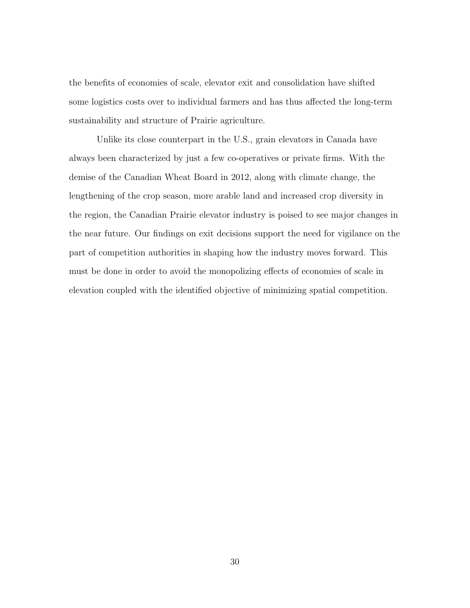the benefits of economies of scale, elevator exit and consolidation have shifted some logistics costs over to individual farmers and has thus affected the long-term sustainability and structure of Prairie agriculture.

Unlike its close counterpart in the U.S., grain elevators in Canada have always been characterized by just a few co-operatives or private firms. With the demise of the Canadian Wheat Board in 2012, along with climate change, the lengthening of the crop season, more arable land and increased crop diversity in the region, the Canadian Prairie elevator industry is poised to see major changes in the near future. Our findings on exit decisions support the need for vigilance on the part of competition authorities in shaping how the industry moves forward. This must be done in order to avoid the monopolizing effects of economies of scale in elevation coupled with the identified objective of minimizing spatial competition.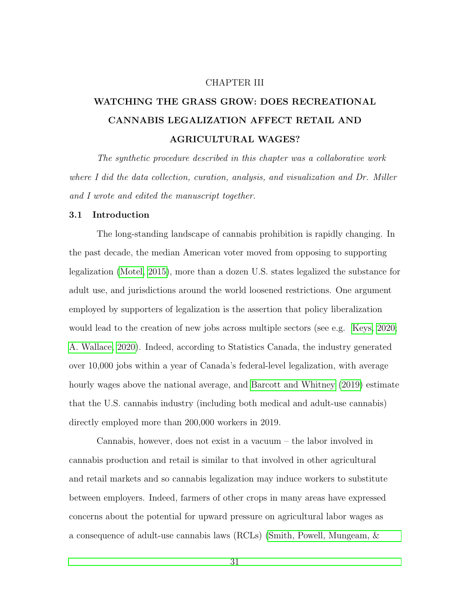#### CHAPTER III

# WATCHING THE GRASS GROW: DOES RECREATIONAL CANNABIS LEGALIZATION AFFECT RETAIL AND AGRICULTURAL WAGES?

The synthetic procedure described in this chapter was a collaborative work where I did the data collection, curation, analysis, and visualization and Dr. Miller and I wrote and edited the manuscript together.

#### 3.1 Introduction

The long-standing landscape of cannabis prohibition is rapidly changing. In the past decade, the median American voter moved from opposing to supporting legalization [\(Motel, 2015\)](#page-146-0), more than a dozen U.S. states legalized the substance for adult use, and jurisdictions around the world loosened restrictions. One argument employed by supporters of legalization is the assertion that policy liberalization would lead to the creation of new jobs across multiple sectors (see e.g. [Keys, 2020;](#page-145-1) [A. Wallace, 2020\)](#page-149-0). Indeed, according to Statistics Canada, the industry generated over 10,000 jobs within a year of Canada's federal-level legalization, with average hourly wages above the national average, and [Barcott and Whitney](#page-138-0) [\(2019\)](#page-138-0) estimate that the U.S. cannabis industry (including both medical and adult-use cannabis) directly employed more than 200,000 workers in 2019.

Cannabis, however, does not exist in a vacuum – the labor involved in cannabis production and retail is similar to that involved in other agricultural and retail markets and so cannabis legalization may induce workers to substitute between employers. Indeed, farmers of other crops in many areas have expressed concerns about the potential for upward pressure on agricultural labor wages as a consequence of adult-use cannabis laws (RCLs) [\(Smith, Powell, Mungeam, &](#page-148-0)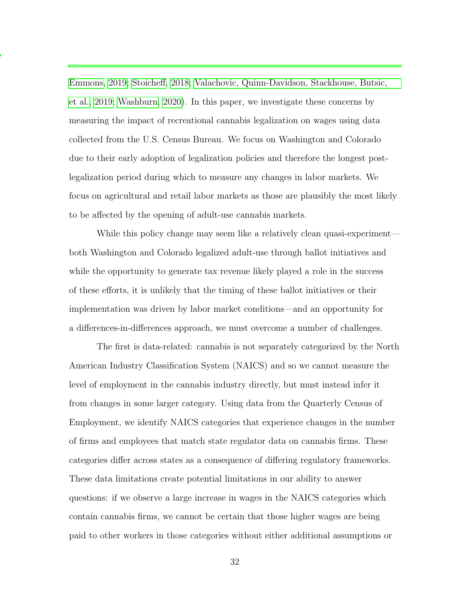[Emmons, 2019;](#page-148-0) [Stoicheff, 2018;](#page-149-1) [Valachovic, Quinn-Davidson, Stackhouse, Butsic,](#page-149-2) [et al., 2019;](#page-149-2) [Washburn, 2020\)](#page-150-0). In this paper, we investigate these concerns by measuring the impact of recreational cannabis legalization on wages using data collected from the U.S. Census Bureau. We focus on Washington and Colorado due to their early adoption of legalization policies and therefore the longest postlegalization period during which to measure any changes in labor markets. We focus on agricultural and retail labor markets as those are plausibly the most likely to be affected by the opening of adult-use cannabis markets.

While this policy change may seem like a relatively clean quasi-experiment both Washington and Colorado legalized adult-use through ballot initiatives and while the opportunity to generate tax revenue likely played a role in the success of these efforts, it is unlikely that the timing of these ballot initiatives or their implementation was driven by labor market conditions—and an opportunity for a differences-in-differences approach, we must overcome a number of challenges.

The first is data-related: cannabis is not separately categorized by the North American Industry Classification System (NAICS) and so we cannot measure the level of employment in the cannabis industry directly, but must instead infer it from changes in some larger category. Using data from the Quarterly Census of Employment, we identify NAICS categories that experience changes in the number of firms and employees that match state regulator data on cannabis firms. These categories differ across states as a consequence of differing regulatory frameworks. These data limitations create potential limitations in our ability to answer questions: if we observe a large increase in wages in the NAICS categories which contain cannabis firms, we cannot be certain that those higher wages are being paid to other workers in those categories without either additional assumptions or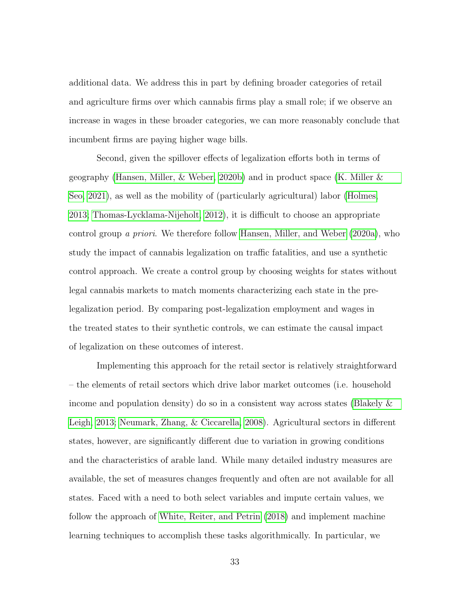additional data. We address this in part by defining broader categories of retail and agriculture firms over which cannabis firms play a small role; if we observe an increase in wages in these broader categories, we can more reasonably conclude that incumbent firms are paying higher wage bills.

Second, given the spillover effects of legalization efforts both in terms of geography [\(Hansen, Miller, & Weber, 2020b\)](#page-143-0) and in product space [\(K. Miller &](#page-146-1) [Seo, 2021\)](#page-146-1), as well as the mobility of (particularly agricultural) labor [\(Holmes,](#page-144-0) [2013;](#page-144-0) [Thomas-Lycklama-Nijeholt, 2012\)](#page-149-3), it is difficult to choose an appropriate control group a priori. We therefore follow [Hansen, Miller, and Weber](#page-143-1) [\(2020a\)](#page-143-1), who study the impact of cannabis legalization on traffic fatalities, and use a synthetic control approach. We create a control group by choosing weights for states without legal cannabis markets to match moments characterizing each state in the prelegalization period. By comparing post-legalization employment and wages in the treated states to their synthetic controls, we can estimate the causal impact of legalization on these outcomes of interest.

Implementing this approach for the retail sector is relatively straightforward – the elements of retail sectors which drive labor market outcomes (i.e. household income and population density) do so in a consistent way across states [\(Blakely &](#page-139-0) [Leigh, 2013;](#page-139-0) [Neumark, Zhang, & Ciccarella, 2008\)](#page-147-1). Agricultural sectors in different states, however, are significantly different due to variation in growing conditions and the characteristics of arable land. While many detailed industry measures are available, the set of measures changes frequently and often are not available for all states. Faced with a need to both select variables and impute certain values, we follow the approach of [White, Reiter, and Petrin](#page-150-1) [\(2018\)](#page-150-1) and implement machine learning techniques to accomplish these tasks algorithmically. In particular, we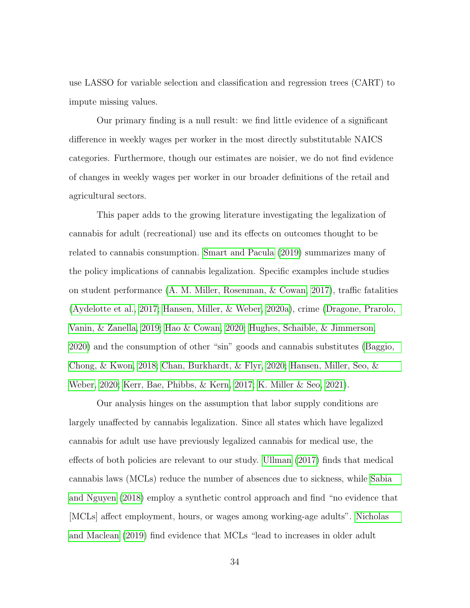use LASSO for variable selection and classification and regression trees (CART) to impute missing values.

Our primary finding is a null result: we find little evidence of a significant difference in weekly wages per worker in the most directly substitutable NAICS categories. Furthermore, though our estimates are noisier, we do not find evidence of changes in weekly wages per worker in our broader definitions of the retail and agricultural sectors.

This paper adds to the growing literature investigating the legalization of cannabis for adult (recreational) use and its effects on outcomes thought to be related to cannabis consumption. [Smart and Pacula](#page-148-1) [\(2019\)](#page-148-1) summarizes many of the policy implications of cannabis legalization. Specific examples include studies on student performance [\(A. M. Miller, Rosenman, & Cowan, 2017\)](#page-146-2), traffic fatalities [\(Aydelotte et al., 2017;](#page-138-1) [Hansen, Miller, & Weber, 2020a\)](#page-143-1), crime [\(Dragone, Prarolo,](#page-141-1) [Vanin, & Zanella, 2019;](#page-141-1) [Hao & Cowan, 2020;](#page-144-1) [Hughes, Schaible, & Jimmerson,](#page-144-2) [2020\)](#page-144-2) and the consumption of other "sin" goods and cannabis substitutes [\(Baggio,](#page-138-2) [Chong, & Kwon, 2018;](#page-138-2) [Chan, Burkhardt, & Flyr, 2020;](#page-140-0) [Hansen, Miller, Seo, &](#page-143-2) [Weber, 2020;](#page-143-2) [Kerr, Bae, Phibbs, & Kern, 2017;](#page-144-3) [K. Miller & Seo, 2021\)](#page-146-1).

Our analysis hinges on the assumption that labor supply conditions are largely unaffected by cannabis legalization. Since all states which have legalized cannabis for adult use have previously legalized cannabis for medical use, the effects of both policies are relevant to our study. [Ullman](#page-149-4) [\(2017\)](#page-149-4) finds that medical cannabis laws (MCLs) reduce the number of absences due to sickness, while [Sabia](#page-147-2) [and Nguyen](#page-147-2) [\(2018\)](#page-147-2) employ a synthetic control approach and find "no evidence that [MCLs] affect employment, hours, or wages among working-age adults". [Nicholas](#page-147-3) [and Maclean](#page-147-3) [\(2019\)](#page-147-3) find evidence that MCLs "lead to increases in older adult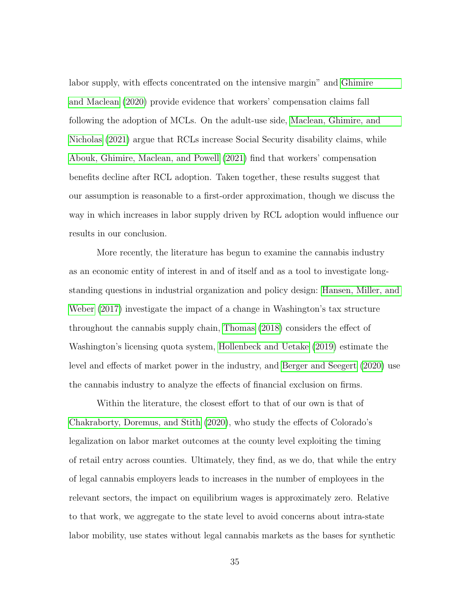labor supply, with effects concentrated on the intensive margin" and [Ghimire](#page-143-3) [and Maclean](#page-143-3) [\(2020\)](#page-143-3) provide evidence that workers' compensation claims fall following the adoption of MCLs. On the adult-use side, [Maclean, Ghimire, and](#page-146-3) [Nicholas](#page-146-3) [\(2021\)](#page-146-3) argue that RCLs increase Social Security disability claims, while [Abouk, Ghimire, Maclean, and Powell](#page-137-0) [\(2021\)](#page-137-0) find that workers' compensation benefits decline after RCL adoption. Taken together, these results suggest that our assumption is reasonable to a first-order approximation, though we discuss the way in which increases in labor supply driven by RCL adoption would influence our results in our conclusion.

More recently, the literature has begun to examine the cannabis industry as an economic entity of interest in and of itself and as a tool to investigate longstanding questions in industrial organization and policy design: [Hansen, Miller, and](#page-143-4) [Weber](#page-143-4) [\(2017\)](#page-143-4) investigate the impact of a change in Washington's tax structure throughout the cannabis supply chain, [Thomas](#page-149-5) [\(2018\)](#page-149-5) considers the effect of Washington's licensing quota system, [Hollenbeck and Uetake](#page-144-4) [\(2019\)](#page-144-4) estimate the level and effects of market power in the industry, and [Berger and Seegert](#page-138-3) [\(2020\)](#page-138-3) use the cannabis industry to analyze the effects of financial exclusion on firms.

Within the literature, the closest effort to that of our own is that of [Chakraborty, Doremus, and Stith](#page-140-1) [\(2020\)](#page-140-1), who study the effects of Colorado's legalization on labor market outcomes at the county level exploiting the timing of retail entry across counties. Ultimately, they find, as we do, that while the entry of legal cannabis employers leads to increases in the number of employees in the relevant sectors, the impact on equilibrium wages is approximately zero. Relative to that work, we aggregate to the state level to avoid concerns about intra-state labor mobility, use states without legal cannabis markets as the bases for synthetic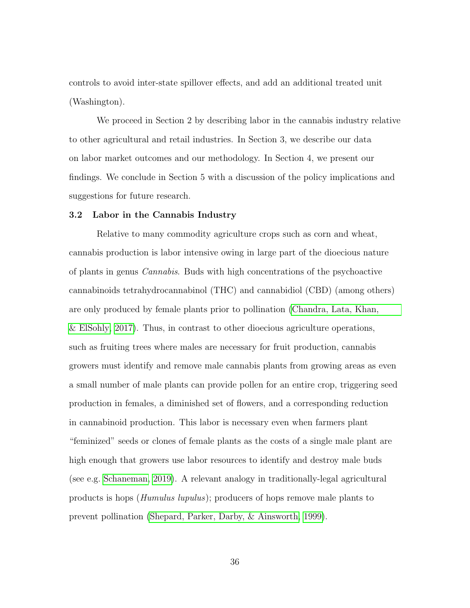controls to avoid inter-state spillover effects, and add an additional treated unit (Washington).

We proceed in Section 2 by describing labor in the cannabis industry relative to other agricultural and retail industries. In Section 3, we describe our data on labor market outcomes and our methodology. In Section 4, we present our findings. We conclude in Section 5 with a discussion of the policy implications and suggestions for future research.

#### 3.2 Labor in the Cannabis Industry

Relative to many commodity agriculture crops such as corn and wheat, cannabis production is labor intensive owing in large part of the dioecious nature of plants in genus Cannabis. Buds with high concentrations of the psychoactive cannabinoids tetrahydrocannabinol (THC) and cannabidiol (CBD) (among others) are only produced by female plants prior to pollination [\(Chandra, Lata, Khan,](#page-140-2) [& ElSohly, 2017\)](#page-140-2). Thus, in contrast to other dioecious agriculture operations, such as fruiting trees where males are necessary for fruit production, cannabis growers must identify and remove male cannabis plants from growing areas as even a small number of male plants can provide pollen for an entire crop, triggering seed production in females, a diminished set of flowers, and a corresponding reduction in cannabinoid production. This labor is necessary even when farmers plant "feminized" seeds or clones of female plants as the costs of a single male plant are high enough that growers use labor resources to identify and destroy male buds (see e.g. [Schaneman, 2019\)](#page-148-2). A relevant analogy in traditionally-legal agricultural products is hops (Humulus lupulus); producers of hops remove male plants to prevent pollination [\(Shepard, Parker, Darby, & Ainsworth, 1999\)](#page-148-3).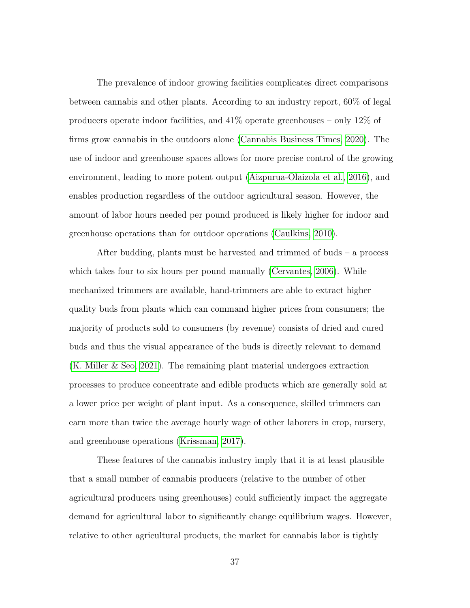The prevalence of indoor growing facilities complicates direct comparisons between cannabis and other plants. According to an industry report, 60% of legal producers operate indoor facilities, and 41% operate greenhouses – only 12% of firms grow cannabis in the outdoors alone [\(Cannabis Business Times, 2020\)](#page-139-1). The use of indoor and greenhouse spaces allows for more precise control of the growing environment, leading to more potent output [\(Aizpurua-Olaizola et al., 2016\)](#page-137-1), and enables production regardless of the outdoor agricultural season. However, the amount of labor hours needed per pound produced is likely higher for indoor and greenhouse operations than for outdoor operations [\(Caulkins, 2010\)](#page-139-2).

After budding, plants must be harvested and trimmed of buds – a process which takes four to six hours per pound manually [\(Cervantes, 2006\)](#page-139-3). While mechanized trimmers are available, hand-trimmers are able to extract higher quality buds from plants which can command higher prices from consumers; the majority of products sold to consumers (by revenue) consists of dried and cured buds and thus the visual appearance of the buds is directly relevant to demand [\(K. Miller & Seo, 2021\)](#page-146-1). The remaining plant material undergoes extraction processes to produce concentrate and edible products which are generally sold at a lower price per weight of plant input. As a consequence, skilled trimmers can earn more than twice the average hourly wage of other laborers in crop, nursery, and greenhouse operations [\(Krissman, 2017\)](#page-145-2).

These features of the cannabis industry imply that it is at least plausible that a small number of cannabis producers (relative to the number of other agricultural producers using greenhouses) could sufficiently impact the aggregate demand for agricultural labor to significantly change equilibrium wages. However, relative to other agricultural products, the market for cannabis labor is tightly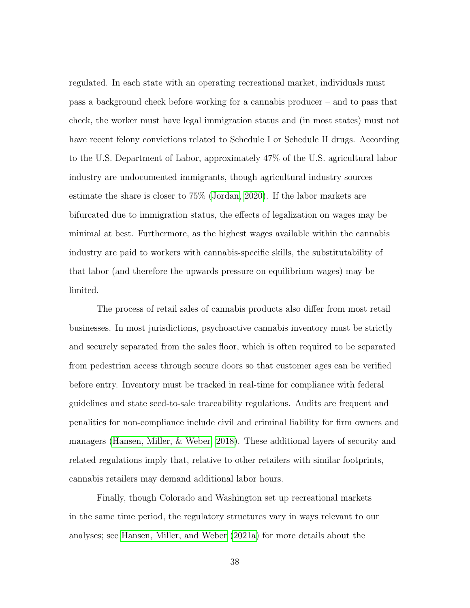regulated. In each state with an operating recreational market, individuals must pass a background check before working for a cannabis producer – and to pass that check, the worker must have legal immigration status and (in most states) must not have recent felony convictions related to Schedule I or Schedule II drugs. According to the U.S. Department of Labor, approximately 47% of the U.S. agricultural labor industry are undocumented immigrants, though agricultural industry sources estimate the share is closer to 75% [\(Jordan, 2020\)](#page-144-5). If the labor markets are bifurcated due to immigration status, the effects of legalization on wages may be minimal at best. Furthermore, as the highest wages available within the cannabis industry are paid to workers with cannabis-specific skills, the substitutability of that labor (and therefore the upwards pressure on equilibrium wages) may be limited.

The process of retail sales of cannabis products also differ from most retail businesses. In most jurisdictions, psychoactive cannabis inventory must be strictly and securely separated from the sales floor, which is often required to be separated from pedestrian access through secure doors so that customer ages can be verified before entry. Inventory must be tracked in real-time for compliance with federal guidelines and state seed-to-sale traceability regulations. Audits are frequent and penalities for non-compliance include civil and criminal liability for firm owners and managers [\(Hansen, Miller, & Weber, 2018\)](#page-143-5). These additional layers of security and related regulations imply that, relative to other retailers with similar footprints, cannabis retailers may demand additional labor hours.

Finally, though Colorado and Washington set up recreational markets in the same time period, the regulatory structures vary in ways relevant to our analyses; see [Hansen, Miller, and Weber](#page-143-6) [\(2021a\)](#page-143-6) for more details about the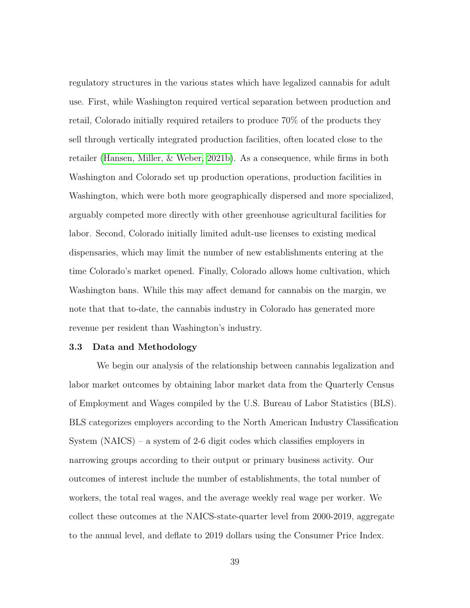regulatory structures in the various states which have legalized cannabis for adult use. First, while Washington required vertical separation between production and retail, Colorado initially required retailers to produce 70% of the products they sell through vertically integrated production facilities, often located close to the retailer [\(Hansen, Miller, & Weber, 2021b\)](#page-144-6). As a consequence, while firms in both Washington and Colorado set up production operations, production facilities in Washington, which were both more geographically dispersed and more specialized, arguably competed more directly with other greenhouse agricultural facilities for labor. Second, Colorado initially limited adult-use licenses to existing medical dispensaries, which may limit the number of new establishments entering at the time Colorado's market opened. Finally, Colorado allows home cultivation, which Washington bans. While this may affect demand for cannabis on the margin, we note that that to-date, the cannabis industry in Colorado has generated more revenue per resident than Washington's industry.

# 3.3 Data and Methodology

We begin our analysis of the relationship between cannabis legalization and labor market outcomes by obtaining labor market data from the Quarterly Census of Employment and Wages compiled by the U.S. Bureau of Labor Statistics (BLS). BLS categorizes employers according to the North American Industry Classification System (NAICS) – a system of 2-6 digit codes which classifies employers in narrowing groups according to their output or primary business activity. Our outcomes of interest include the number of establishments, the total number of workers, the total real wages, and the average weekly real wage per worker. We collect these outcomes at the NAICS-state-quarter level from 2000-2019, aggregate to the annual level, and deflate to 2019 dollars using the Consumer Price Index.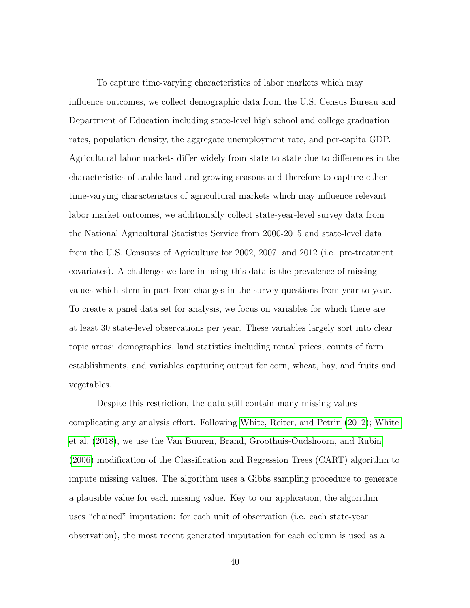To capture time-varying characteristics of labor markets which may influence outcomes, we collect demographic data from the U.S. Census Bureau and Department of Education including state-level high school and college graduation rates, population density, the aggregate unemployment rate, and per-capita GDP. Agricultural labor markets differ widely from state to state due to differences in the characteristics of arable land and growing seasons and therefore to capture other time-varying characteristics of agricultural markets which may influence relevant labor market outcomes, we additionally collect state-year-level survey data from the National Agricultural Statistics Service from 2000-2015 and state-level data from the U.S. Censuses of Agriculture for 2002, 2007, and 2012 (i.e. pre-treatment covariates). A challenge we face in using this data is the prevalence of missing values which stem in part from changes in the survey questions from year to year. To create a panel data set for analysis, we focus on variables for which there are at least 30 state-level observations per year. These variables largely sort into clear topic areas: demographics, land statistics including rental prices, counts of farm establishments, and variables capturing output for corn, wheat, hay, and fruits and vegetables.

Despite this restriction, the data still contain many missing values complicating any analysis effort. Following [White, Reiter, and Petrin](#page-150-2) [\(2012\)](#page-150-2); [White](#page-150-1) [et al.](#page-150-1) [\(2018\)](#page-150-1), we use the [Van Buuren, Brand, Groothuis-Oudshoorn, and Rubin](#page-149-6) [\(2006\)](#page-149-6) modification of the Classification and Regression Trees (CART) algorithm to impute missing values. The algorithm uses a Gibbs sampling procedure to generate a plausible value for each missing value. Key to our application, the algorithm uses "chained" imputation: for each unit of observation (i.e. each state-year observation), the most recent generated imputation for each column is used as a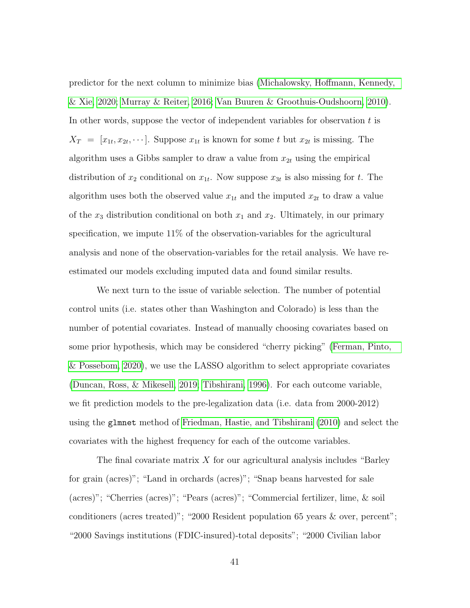predictor for the next column to minimize bias [\(Michalowsky, Hoffmann, Kennedy,](#page-146-4) [& Xie, 2020;](#page-146-4) [Murray & Reiter, 2016;](#page-147-4) [Van Buuren & Groothuis-Oudshoorn, 2010\)](#page-149-7). In other words, suppose the vector of independent variables for observation  $t$  is  $X_T = [x_{1t}, x_{2t}, \dots]$ . Suppose  $x_{1t}$  is known for some t but  $x_{2t}$  is missing. The algorithm uses a Gibbs sampler to draw a value from  $x_{2t}$  using the empirical distribution of  $x_2$  conditional on  $x_{1t}$ . Now suppose  $x_{3t}$  is also missing for t. The algorithm uses both the observed value  $x_{1t}$  and the imputed  $x_{2t}$  to draw a value of the  $x_3$  distribution conditional on both  $x_1$  and  $x_2$ . Ultimately, in our primary specification, we impute 11% of the observation-variables for the agricultural analysis and none of the observation-variables for the retail analysis. We have reestimated our models excluding imputed data and found similar results.

We next turn to the issue of variable selection. The number of potential control units (i.e. states other than Washington and Colorado) is less than the number of potential covariates. Instead of manually choosing covariates based on some prior hypothesis, which may be considered "cherry picking" [\(Ferman, Pinto,](#page-142-0) [& Possebom, 2020\)](#page-142-0), we use the LASSO algorithm to select appropriate covariates [\(Duncan, Ross, & Mikesell, 2019;](#page-141-2) [Tibshirani, 1996\)](#page-149-8). For each outcome variable, we fit prediction models to the pre-legalization data (i.e. data from 2000-2012) using the glmnet method of [Friedman, Hastie, and Tibshirani](#page-142-1) [\(2010\)](#page-142-1) and select the covariates with the highest frequency for each of the outcome variables.

The final covariate matrix  $X$  for our agricultural analysis includes "Barley" for grain (acres)"; "Land in orchards (acres)"; "Snap beans harvested for sale (acres)"; "Cherries (acres)"; "Pears (acres)"; "Commercial fertilizer, lime, & soil conditioners (acres treated)"; "2000 Resident population 65 years & over, percent"; "2000 Savings institutions (FDIC-insured)-total deposits"; "2000 Civilian labor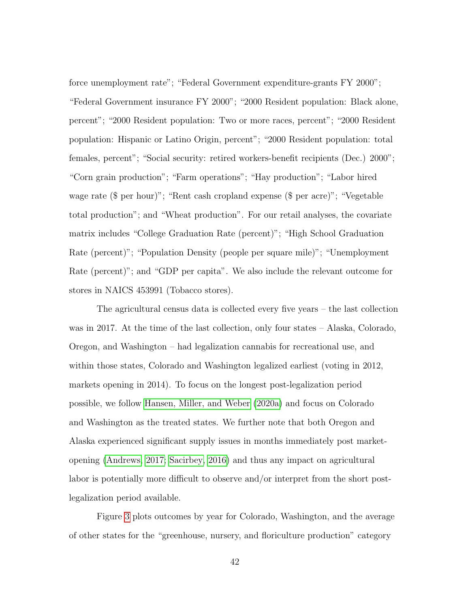force unemployment rate"; "Federal Government expenditure-grants FY 2000"; "Federal Government insurance FY 2000"; "2000 Resident population: Black alone, percent"; "2000 Resident population: Two or more races, percent"; "2000 Resident population: Hispanic or Latino Origin, percent"; "2000 Resident population: total females, percent"; "Social security: retired workers-benefit recipients (Dec.) 2000"; "Corn grain production"; "Farm operations"; "Hay production"; "Labor hired wage rate (\$ per hour)"; "Rent cash cropland expense (\$ per acre)"; "Vegetable total production"; and "Wheat production". For our retail analyses, the covariate matrix includes "College Graduation Rate (percent)"; "High School Graduation Rate (percent)"; "Population Density (people per square mile)"; "Unemployment Rate (percent)"; and "GDP per capita". We also include the relevant outcome for stores in NAICS 453991 (Tobacco stores).

The agricultural census data is collected every five years – the last collection was in 2017. At the time of the last collection, only four states – Alaska, Colorado, Oregon, and Washington – had legalization cannabis for recreational use, and within those states, Colorado and Washington legalized earliest (voting in 2012, markets opening in 2014). To focus on the longest post-legalization period possible, we follow [Hansen, Miller, and Weber](#page-143-1) [\(2020a\)](#page-143-1) and focus on Colorado and Washington as the treated states. We further note that both Oregon and Alaska experienced significant supply issues in months immediately post marketopening [\(Andrews, 2017;](#page-137-2) [Sacirbey, 2016\)](#page-147-5) and thus any impact on agricultural labor is potentially more difficult to observe and/or interpret from the short postlegalization period available.

Figure [3](#page-57-0) plots outcomes by year for Colorado, Washington, and the average of other states for the "greenhouse, nursery, and floriculture production" category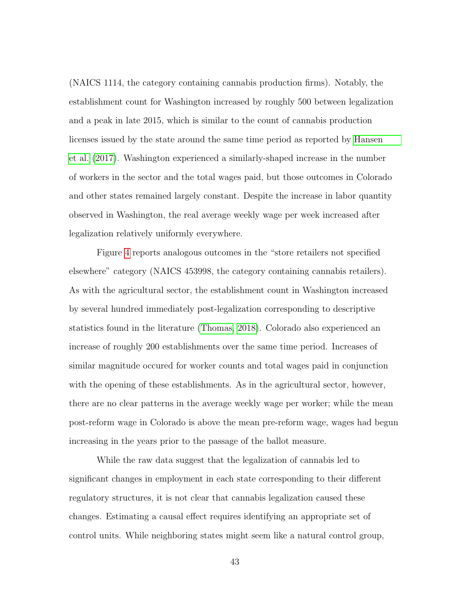(NAICS 1114, the category containing cannabis production firms). Notably, the establishment count for Washington increased by roughly 500 between legalization and a peak in late 2015, which is similar to the count of cannabis production licenses issued by the state around the same time period as reported by [Hansen](#page-143-4) [et al.](#page-143-4) [\(2017\)](#page-143-4). Washington experienced a similarly-shaped increase in the number of workers in the sector and the total wages paid, but those outcomes in Colorado and other states remained largely constant. Despite the increase in labor quantity observed in Washington, the real average weekly wage per week increased after legalization relatively uniformly everywhere.

Figure [4](#page-58-0) reports analogous outcomes in the "store retailers not specified elsewhere" category (NAICS 453998, the category containing cannabis retailers). As with the agricultural sector, the establishment count in Washington increased by several hundred immediately post-legalization corresponding to descriptive statistics found in the literature [\(Thomas, 2018\)](#page-149-5). Colorado also experienced an increase of roughly 200 establishments over the same time period. Increases of similar magnitude occured for worker counts and total wages paid in conjunction with the opening of these establishments. As in the agricultural sector, however, there are no clear patterns in the average weekly wage per worker; while the mean post-reform wage in Colorado is above the mean pre-reform wage, wages had begun increasing in the years prior to the passage of the ballot measure.

While the raw data suggest that the legalization of cannabis led to significant changes in employment in each state corresponding to their different regulatory structures, it is not clear that cannabis legalization caused these changes. Estimating a causal effect requires identifying an appropriate set of control units. While neighboring states might seem like a natural control group,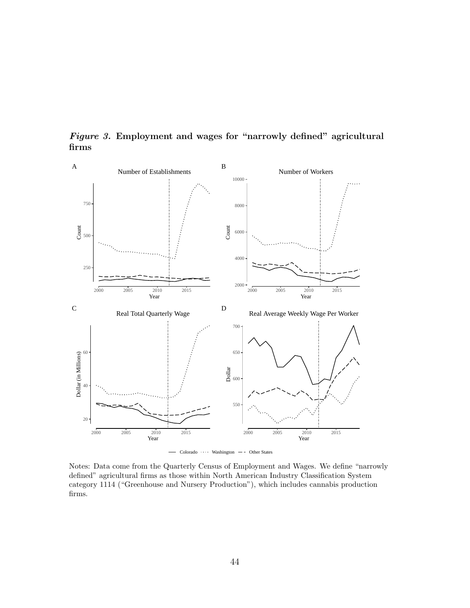

<span id="page-57-0"></span>Figure 3. Employment and wages for "narrowly defined" agricultural firms

Notes: Data come from the Quarterly Census of Employment and Wages. We define "narrowly defined" agricultural firms as those within North American Industry Classification System category 1114 ("Greenhouse and Nursery Production"), which includes cannabis production firms.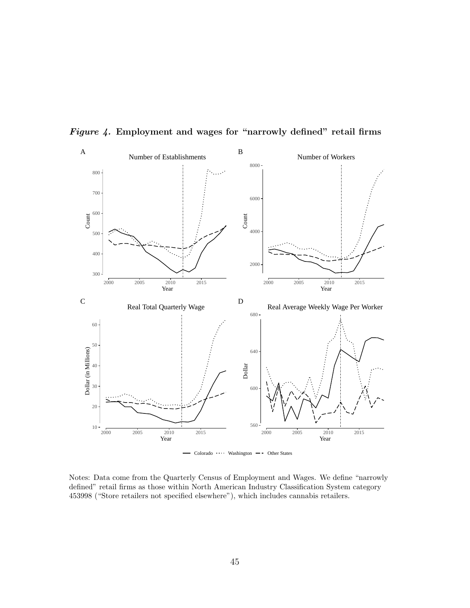

<span id="page-58-0"></span>Figure 4. Employment and wages for "narrowly defined" retail firms

Notes: Data come from the Quarterly Census of Employment and Wages. We define "narrowly defined" retail firms as those within North American Industry Classification System category 453998 ("Store retailers not specified elsewhere"), which includes cannabis retailers.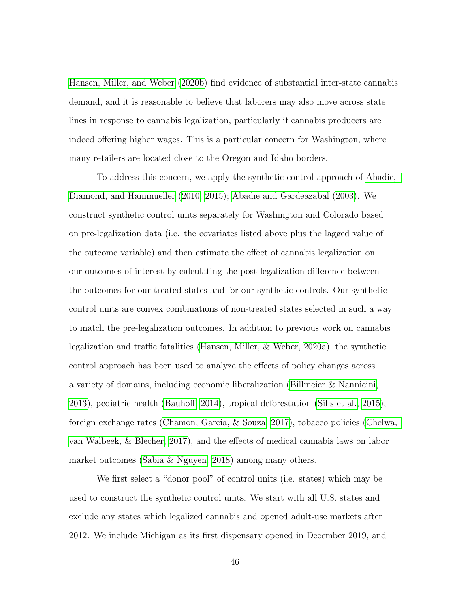[Hansen, Miller, and Weber](#page-143-0) [\(2020b\)](#page-143-0) find evidence of substantial inter-state cannabis demand, and it is reasonable to believe that laborers may also move across state lines in response to cannabis legalization, particularly if cannabis producers are indeed offering higher wages. This is a particular concern for Washington, where many retailers are located close to the Oregon and Idaho borders.

To address this concern, we apply the synthetic control approach of [Abadie,](#page-137-3) [Diamond, and Hainmueller](#page-137-3) [\(2010,](#page-137-3) [2015\)](#page-137-4); [Abadie and Gardeazabal](#page-137-5) [\(2003\)](#page-137-5). We construct synthetic control units separately for Washington and Colorado based on pre-legalization data (i.e. the covariates listed above plus the lagged value of the outcome variable) and then estimate the effect of cannabis legalization on our outcomes of interest by calculating the post-legalization difference between the outcomes for our treated states and for our synthetic controls. Our synthetic control units are convex combinations of non-treated states selected in such a way to match the pre-legalization outcomes. In addition to previous work on cannabis legalization and traffic fatalities [\(Hansen, Miller, & Weber, 2020a\)](#page-143-1), the synthetic control approach has been used to analyze the effects of policy changes across a variety of domains, including economic liberalization [\(Billmeier & Nannicini,](#page-139-4) [2013\)](#page-139-4), pediatric health [\(Bauhoff, 2014\)](#page-138-4), tropical deforestation [\(Sills et al., 2015\)](#page-148-4), foreign exchange rates [\(Chamon, Garcia, & Souza, 2017\)](#page-140-3), tobacco policies [\(Chelwa,](#page-140-4) [van Walbeek, & Blecher, 2017\)](#page-140-4), and the effects of medical cannabis laws on labor market outcomes [\(Sabia & Nguyen, 2018\)](#page-147-2) among many others.

We first select a "donor pool" of control units (i.e. states) which may be used to construct the synthetic control units. We start with all U.S. states and exclude any states which legalized cannabis and opened adult-use markets after 2012. We include Michigan as its first dispensary opened in December 2019, and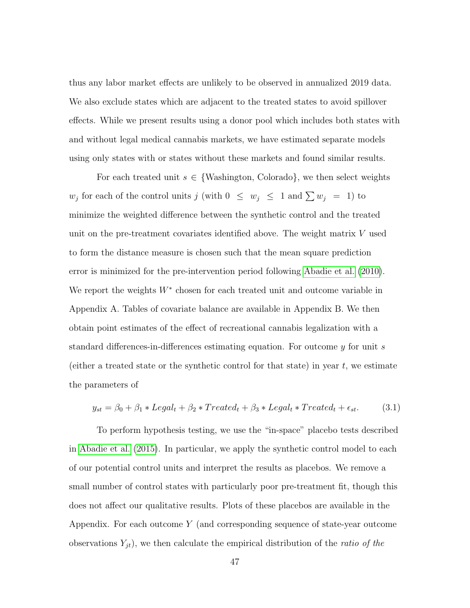thus any labor market effects are unlikely to be observed in annualized 2019 data. We also exclude states which are adjacent to the treated states to avoid spillover effects. While we present results using a donor pool which includes both states with and without legal medical cannabis markets, we have estimated separate models using only states with or states without these markets and found similar results.

For each treated unit  $s \in \{\text{Washington}, \text{ Colorado}\},\text{ we then select weights}\$  $w_j$  for each of the control units j (with  $0 \leq w_j \leq 1$  and  $\sum w_j = 1$ ) to minimize the weighted difference between the synthetic control and the treated unit on the pre-treatment covariates identified above. The weight matrix V used to form the distance measure is chosen such that the mean square prediction error is minimized for the pre-intervention period following [Abadie et al.](#page-137-3) [\(2010\)](#page-137-3). We report the weights  $W^*$  chosen for each treated unit and outcome variable in Appendix A. Tables of covariate balance are available in Appendix B. We then obtain point estimates of the effect of recreational cannabis legalization with a standard differences-in-differences estimating equation. For outcome  $y$  for unit s (either a treated state or the synthetic control for that state) in year  $t$ , we estimate the parameters of

<span id="page-60-0"></span>
$$
y_{st} = \beta_0 + \beta_1 * Length_t + \beta_2 * Treated_t + \beta_3 * Length_t * Treated_t + \epsilon_{st}.
$$
 (3.1)

To perform hypothesis testing, we use the "in-space" placebo tests described in [Abadie et al.](#page-137-4) [\(2015\)](#page-137-4). In particular, we apply the synthetic control model to each of our potential control units and interpret the results as placebos. We remove a small number of control states with particularly poor pre-treatment fit, though this does not affect our qualitative results. Plots of these placebos are available in the Appendix. For each outcome Y (and corresponding sequence of state-year outcome observations  $Y_{jt}$ ), we then calculate the empirical distribution of the *ratio of the*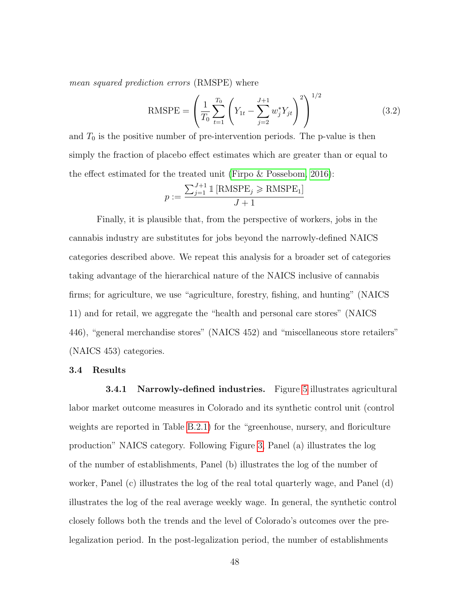mean squared prediction errors (RMSPE) where

RMSPE = 
$$
\left(\frac{1}{T_0} \sum_{t=1}^{T_0} \left(Y_{1t} - \sum_{j=2}^{J+1} w_j^* Y_{jt}\right)^2\right)^{1/2}
$$
(3.2)

and  $T_0$  is the positive number of pre-intervention periods. The p-value is then simply the fraction of placebo effect estimates which are greater than or equal to the effect estimated for the treated unit [\(Firpo & Possebom, 2016\)](#page-142-2):

$$
p := \frac{\sum_{j=1}^{J+1} \mathbb{1} \left[ \text{RMSPE}_j \ge \text{RMSPE}_1 \right]}{J+1}
$$

Finally, it is plausible that, from the perspective of workers, jobs in the cannabis industry are substitutes for jobs beyond the narrowly-defined NAICS categories described above. We repeat this analysis for a broader set of categories taking advantage of the hierarchical nature of the NAICS inclusive of cannabis firms; for agriculture, we use "agriculture, forestry, fishing, and hunting" (NAICS 11) and for retail, we aggregate the "health and personal care stores" (NAICS 446), "general merchandise stores" (NAICS 452) and "miscellaneous store retailers" (NAICS 453) categories.

#### 3.4 Results

**3.4.1 Narrowly-defined industries.** Figure [5](#page-63-0) illustrates agricultural labor market outcome measures in Colorado and its synthetic control unit (control weights are reported in Table [B.2.1\)](#page-90-0) for the "greenhouse, nursery, and floriculture production" NAICS category. Following Figure [3,](#page-57-0) Panel (a) illustrates the log of the number of establishments, Panel (b) illustrates the log of the number of worker, Panel (c) illustrates the log of the real total quarterly wage, and Panel (d) illustrates the log of the real average weekly wage. In general, the synthetic control closely follows both the trends and the level of Colorado's outcomes over the prelegalization period. In the post-legalization period, the number of establishments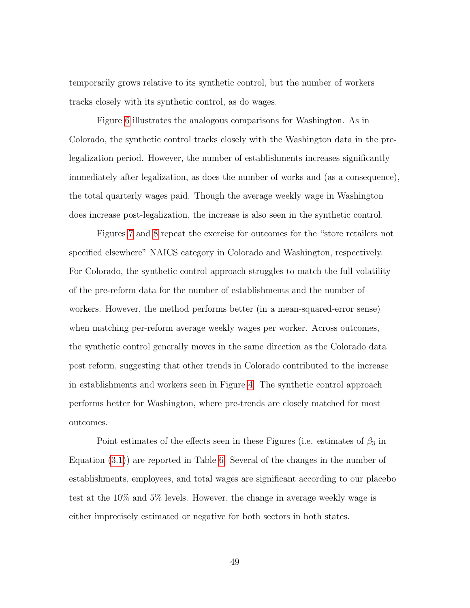temporarily grows relative to its synthetic control, but the number of workers tracks closely with its synthetic control, as do wages.

Figure [6](#page-64-0) illustrates the analogous comparisons for Washington. As in Colorado, the synthetic control tracks closely with the Washington data in the prelegalization period. However, the number of establishments increases significantly immediately after legalization, as does the number of works and (as a consequence), the total quarterly wages paid. Though the average weekly wage in Washington does increase post-legalization, the increase is also seen in the synthetic control.

Figures [7](#page-65-0) and [8](#page-66-0) repeat the exercise for outcomes for the "store retailers not specified elsewhere" NAICS category in Colorado and Washington, respectively. For Colorado, the synthetic control approach struggles to match the full volatility of the pre-reform data for the number of establishments and the number of workers. However, the method performs better (in a mean-squared-error sense) when matching per-reform average weekly wages per worker. Across outcomes, the synthetic control generally moves in the same direction as the Colorado data post reform, suggesting that other trends in Colorado contributed to the increase in establishments and workers seen in Figure [4.](#page-58-0) The synthetic control approach performs better for Washington, where pre-trends are closely matched for most outcomes.

Point estimates of the effects seen in these Figures (i.e. estimates of  $\beta_3$  in Equation [\(3.1\)](#page-60-0)) are reported in Table [6.](#page-67-0) Several of the changes in the number of establishments, employees, and total wages are significant according to our placebo test at the 10% and 5% levels. However, the change in average weekly wage is either imprecisely estimated or negative for both sectors in both states.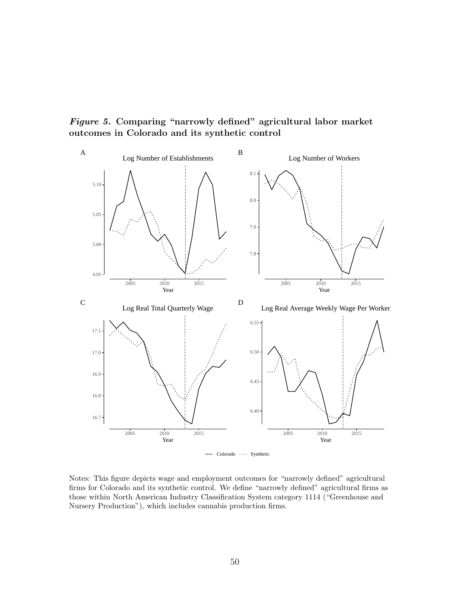<span id="page-63-0"></span>Figure 5. Comparing "narrowly defined" agricultural labor market outcomes in Colorado and its synthetic control



Notes: This figure depicts wage and employment outcomes for "narrowly defined" agricultural firms for Colorado and its synthetic control. We define "narrowly defined" agricultural firms as those within North American Industry Classification System category 1114 ("Greenhouse and Nursery Production"), which includes cannabis production firms.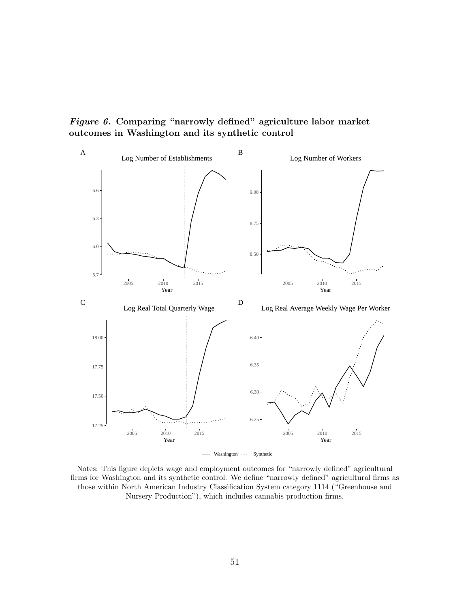<span id="page-64-0"></span>Figure 6. Comparing "narrowly defined" agriculture labor market outcomes in Washington and its synthetic control



Notes: This figure depicts wage and employment outcomes for "narrowly defined" agricultural firms for Washington and its synthetic control. We define "narrowly defined" agricultural firms as those within North American Industry Classification System category 1114 ("Greenhouse and Nursery Production"), which includes cannabis production firms.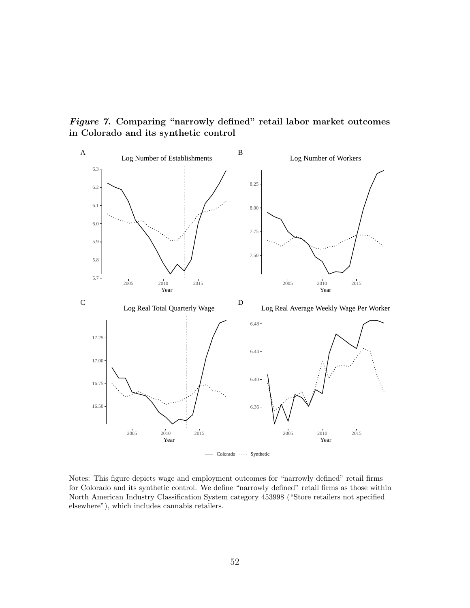<span id="page-65-0"></span>Figure 7. Comparing "narrowly defined" retail labor market outcomes in Colorado and its synthetic control



Notes: This figure depicts wage and employment outcomes for "narrowly defined" retail firms for Colorado and its synthetic control. We define "narrowly defined" retail firms as those within North American Industry Classification System category 453998 ("Store retailers not specified elsewhere"), which includes cannabis retailers.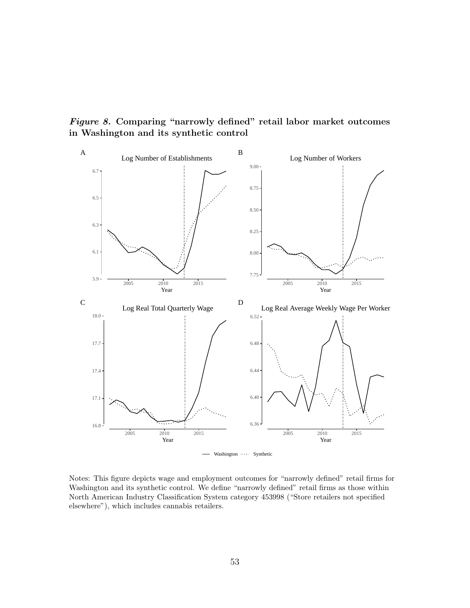<span id="page-66-0"></span>Figure 8. Comparing "narrowly defined" retail labor market outcomes in Washington and its synthetic control



Notes: This figure depicts wage and employment outcomes for "narrowly defined" retail firms for Washington and its synthetic control. We define "narrowly defined" retail firms as those within North American Industry Classification System category 453998 ("Store retailers not specified elsewhere"), which includes cannabis retailers.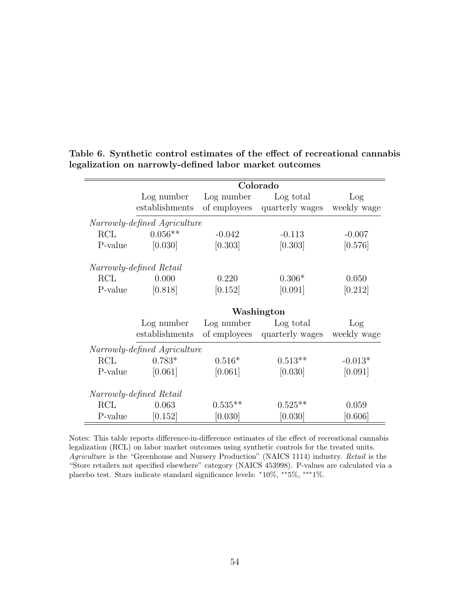|                              | Colorado                     |              |                 |             |  |  |
|------------------------------|------------------------------|--------------|-----------------|-------------|--|--|
|                              | Log number                   | Log number   | Log total       | Log         |  |  |
|                              | establishments               | of employees | quarterly wages | weekly wage |  |  |
|                              | Narrowly-defined Agriculture |              |                 |             |  |  |
| RCL                          | $0.056**$                    | $-0.042$     | $-0.113$        | $-0.007$    |  |  |
| P-value                      | [0.030]                      | [0.303]      | [0.303]         | [0.576]     |  |  |
|                              | Narrowly-defined Retail      |              |                 |             |  |  |
| RCL                          | 0.000                        | 0.220        | $0.306*$        | 0.050       |  |  |
| P-value                      | [0.818]                      | [0.152]      | [0.091]         | [0.212]     |  |  |
|                              | Washington                   |              |                 |             |  |  |
|                              | Log number                   | Log number   | Log total       | Log         |  |  |
|                              | establishments               | of employees | quarterly wages | weekly wage |  |  |
| Narrowly-defined Agriculture |                              |              |                 |             |  |  |
| RCL                          | $0.783*$                     | $0.516*$     | $0.513**$       | $-0.013*$   |  |  |
| P-value                      | [0.061]                      | [0.061]      | [0.030]         | [0.091]     |  |  |
| Narrowly-defined Retail      |                              |              |                 |             |  |  |
| RCL                          | 0.063                        | $0.535**$    | $0.525**$       | 0.059       |  |  |
| P-value                      | [0.152]                      | [0.030]      | [0.030]         | [0.606]     |  |  |

<span id="page-67-0"></span>Table 6. Synthetic control estimates of the effect of recreational cannabis legalization on narrowly-defined labor market outcomes

Notes: This table reports difference-in-difference estimates of the effect of recreational cannabis legalization (RCL) on labor market outcomes using synthetic controls for the treated units. Agriculture is the "Greenhouse and Nursery Production" (NAICS 1114) industry. Retail is the "Store retailers not specified elsewhere" category (NAICS 453998). P-values are calculated via a placebo test. Stars indicate standard significance levels: <sup>∗</sup>10%, ∗∗5%, ∗∗∗1%.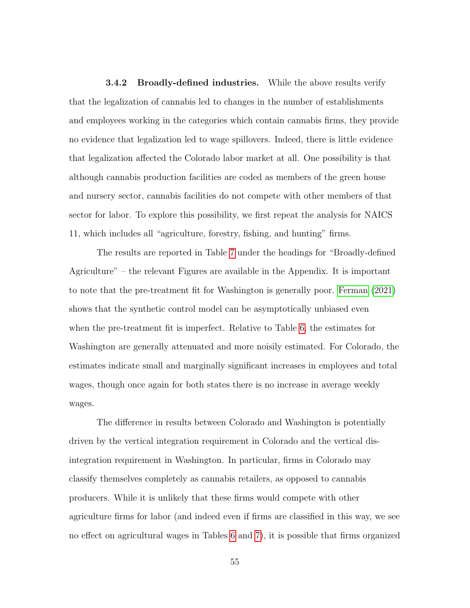**3.4.2** Broadly-defined industries. While the above results verify that the legalization of cannabis led to changes in the number of establishments and employees working in the categories which contain cannabis firms, they provide no evidence that legalization led to wage spillovers. Indeed, there is little evidence that legalization affected the Colorado labor market at all. One possibility is that although cannabis production facilities are coded as members of the green house and nursery sector, cannabis facilities do not compete with other members of that sector for labor. To explore this possibility, we first repeat the analysis for NAICS 11, which includes all "agriculture, forestry, fishing, and hunting" firms.

The results are reported in Table [7](#page-69-0) under the headings for "Broadly-defined Agriculture" – the relevant Figures are available in the Appendix. It is important to note that the pre-treatment fit for Washington is generally poor. [Ferman](#page-142-3) [\(2021\)](#page-142-3) shows that the synthetic control model can be asymptotically unbiased even when the pre-treatment fit is imperfect. Relative to Table [6,](#page-67-0) the estimates for Washington are generally attenuated and more noisily estimated. For Colorado, the estimates indicate small and marginally significant increases in employees and total wages, though once again for both states there is no increase in average weekly wages.

The difference in results between Colorado and Washington is potentially driven by the vertical integration requirement in Colorado and the vertical disintegration requirement in Washington. In particular, firms in Colorado may classify themselves completely as cannabis retailers, as opposed to cannabis producers. While it is unlikely that these firms would compete with other agriculture firms for labor (and indeed even if firms are classified in this way, we see no effect on agricultural wages in Tables [6](#page-67-0) and [7\)](#page-69-0), it is possible that firms organized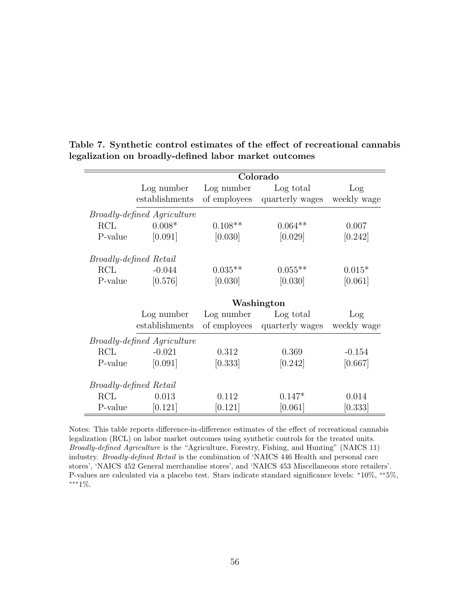|         | Colorado                           |              |                 |             |  |  |
|---------|------------------------------------|--------------|-----------------|-------------|--|--|
|         | Log number                         | Log number   | Log total       | Log         |  |  |
|         | establishments                     | of employees | quarterly wages | weekly wage |  |  |
|         | <i>Broadly-defined Agriculture</i> |              |                 |             |  |  |
| RCL     | $0.008*$                           | $0.108**$    | $0.064**$       | 0.007       |  |  |
| P-value | [0.091]                            | [0.030]      | [0.029]         | [0.242]     |  |  |
|         | <i>Broadly-defined Retail</i>      |              |                 |             |  |  |
| RCL     | $-0.044$                           | $0.035**$    | $0.055**$       | $0.015*$    |  |  |
| P-value | [0.576]                            | [0.030]      | [0.030]         | [0.061]     |  |  |
|         | Washington                         |              |                 |             |  |  |
|         |                                    |              |                 |             |  |  |
|         | Log number                         | Log number   | Log total       | Log         |  |  |
|         | establishments                     | of employees | quarterly wages | weekly wage |  |  |
|         | <i>Broadly-defined Agriculture</i> |              |                 |             |  |  |
| RCL     | $-0.021$                           | 0.312        | 0.369           | $-0.154$    |  |  |
| P-value | [0.091]                            | [0.333]      | [0.242]         | [0.667]     |  |  |
|         | <i>Broadly-defined Retail</i>      |              |                 |             |  |  |
| RCL     | 0.013                              | 0.112        | $0.147*$        | 0.014       |  |  |

<span id="page-69-0"></span>Table 7. Synthetic control estimates of the effect of recreational cannabis legalization on broadly-defined labor market outcomes

Notes: This table reports difference-in-difference estimates of the effect of recreational cannabis legalization (RCL) on labor market outcomes using synthetic controls for the treated units. Broadly-defined Agriculture is the "Agriculture, Forestry, Fishing, and Hunting" (NAICS 11) industry. Broadly-defined Retail is the combination of 'NAICS 446 Health and personal care stores', 'NAICS 452 General merchandise stores', and 'NAICS 453 Miscellaneous store retailers'. P-values are calculated via a placebo test. Stars indicate standard significance levels: <sup>∗</sup>10%, ∗∗5%, ∗∗∗1%.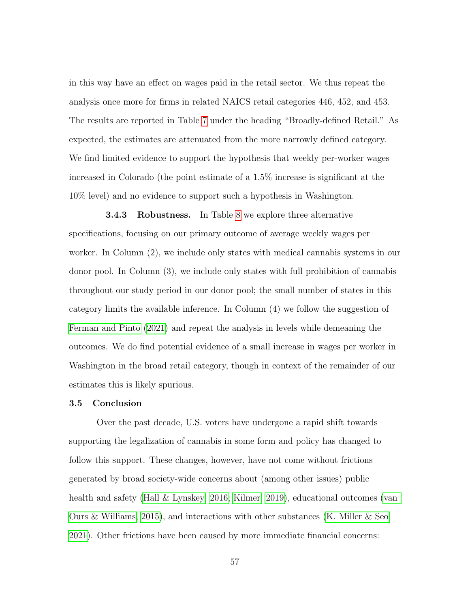in this way have an effect on wages paid in the retail sector. We thus repeat the analysis once more for firms in related NAICS retail categories 446, 452, and 453. The results are reported in Table [7](#page-69-0) under the heading "Broadly-defined Retail." As expected, the estimates are attenuated from the more narrowly defined category. We find limited evidence to support the hypothesis that weekly per-worker wages increased in Colorado (the point estimate of a 1.5% increase is significant at the 10% level) and no evidence to support such a hypothesis in Washington.

3.4.3 Robustness. In Table [8](#page-71-0) we explore three alternative specifications, focusing on our primary outcome of average weekly wages per worker. In Column (2), we include only states with medical cannabis systems in our donor pool. In Column (3), we include only states with full prohibition of cannabis throughout our study period in our donor pool; the small number of states in this category limits the available inference. In Column (4) we follow the suggestion of [Ferman and Pinto](#page-142-4) [\(2021\)](#page-142-4) and repeat the analysis in levels while demeaning the outcomes. We do find potential evidence of a small increase in wages per worker in Washington in the broad retail category, though in context of the remainder of our estimates this is likely spurious.

# 3.5 Conclusion

Over the past decade, U.S. voters have undergone a rapid shift towards supporting the legalization of cannabis in some form and policy has changed to follow this support. These changes, however, have not come without frictions generated by broad society-wide concerns about (among other issues) public health and safety [\(Hall & Lynskey, 2016;](#page-143-7) [Kilmer, 2019\)](#page-145-3), educational outcomes [\(van](#page-149-9) [Ours & Williams, 2015\)](#page-149-9), and interactions with other substances [\(K. Miller & Seo,](#page-146-1) [2021\)](#page-146-1). Other frictions have been caused by more immediate financial concerns: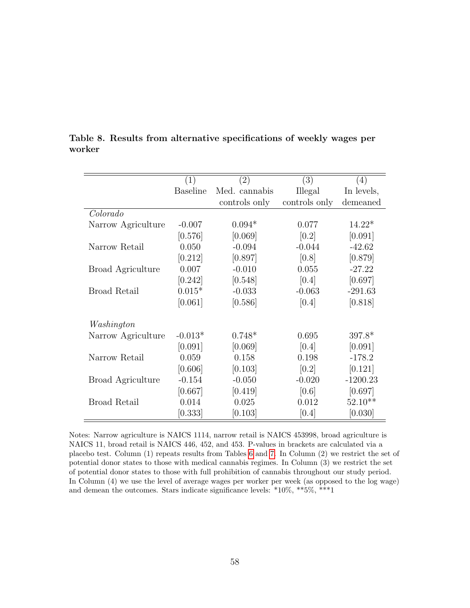|                          | $\left( 1\right)$ | $\left( 2\right)$ | $\left(3\right)$ | (4)        |
|--------------------------|-------------------|-------------------|------------------|------------|
|                          | <b>Baseline</b>   | Med. cannabis     | Illegal          | In levels, |
|                          |                   | controls only     | controls only    | demeaned   |
| Colorado                 |                   |                   |                  |            |
| Narrow Agriculture       | $-0.007$          | $0.094*$          | 0.077            | $14.22*$   |
|                          | [0.576]           | [0.069]           | [0.2]            | [0.091]    |
| Narrow Retail            | 0.050             | $-0.094$          | $-0.044$         | $-42.62$   |
|                          | [0.212]           | [0.897]           | [0.8]            | [0.879]    |
| <b>Broad Agriculture</b> | 0.007             | $-0.010$          | 0.055            | $-27.22$   |
|                          | [0.242]           | [0.548]           | [0.4]            | [0.697]    |
| <b>Broad Retail</b>      | $0.015*$          | $-0.033$          | $-0.063$         | $-291.63$  |
|                          | [0.061]           | [0.586]           | [0.4]            | [0.818]    |
| Washington               |                   |                   |                  |            |
| Narrow Agriculture       | $-0.013*$         | $0.748*$          | 0.695            | $397.8*$   |
|                          | [0.091]           | [0.069]           | [0.4]            | [0.091]    |
| Narrow Retail            | 0.059             | 0.158             | 0.198            | $-178.2$   |
|                          | [0.606]           | [0.103]           | [0.2]            | [0.121]    |
| Broad Agriculture        | $-0.154$          | $-0.050$          | $-0.020$         | $-1200.23$ |
|                          | [0.667]           | [0.419]           | [0.6]            | [0.697]    |
| <b>Broad Retail</b>      | 0.014             | 0.025             | 0.012            | $52.10**$  |
|                          | [0.333]           | [0.103]           | [0.4]            | [0.030]    |

<span id="page-71-0"></span>Table 8. Results from alternative specifications of weekly wages per worker

Notes: Narrow agriculture is NAICS 1114, narrow retail is NAICS 453998, broad agriculture is NAICS 11, broad retail is NAICS 446, 452, and 453. P-values in brackets are calculated via a placebo test. Column (1) repeats results from Tables [6](#page-67-0) and [7.](#page-69-0) In Column (2) we restrict the set of potential donor states to those with medical cannabis regimes. In Column (3) we restrict the set of potential donor states to those with full prohibition of cannabis throughout our study period. In Column (4) we use the level of average wages per worker per week (as opposed to the log wage) and demean the outcomes. Stars indicate significance levels: \*10%, \*\*5%, \*\*\*1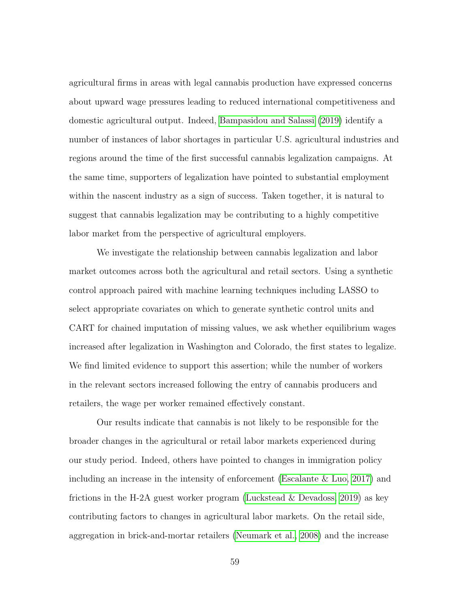agricultural firms in areas with legal cannabis production have expressed concerns about upward wage pressures leading to reduced international competitiveness and domestic agricultural output. Indeed, [Bampasidou and Salassi](#page-138-0) [\(2019\)](#page-138-0) identify a number of instances of labor shortages in particular U.S. agricultural industries and regions around the time of the first successful cannabis legalization campaigns. At the same time, supporters of legalization have pointed to substantial employment within the nascent industry as a sign of success. Taken together, it is natural to suggest that cannabis legalization may be contributing to a highly competitive labor market from the perspective of agricultural employers.

We investigate the relationship between cannabis legalization and labor market outcomes across both the agricultural and retail sectors. Using a synthetic control approach paired with machine learning techniques including LASSO to select appropriate covariates on which to generate synthetic control units and CART for chained imputation of missing values, we ask whether equilibrium wages increased after legalization in Washington and Colorado, the first states to legalize. We find limited evidence to support this assertion; while the number of workers in the relevant sectors increased following the entry of cannabis producers and retailers, the wage per worker remained effectively constant.

Our results indicate that cannabis is not likely to be responsible for the broader changes in the agricultural or retail labor markets experienced during our study period. Indeed, others have pointed to changes in immigration policy including an increase in the intensity of enforcement [\(Escalante & Luo, 2017\)](#page-142-0) and frictions in the H-2A guest worker program [\(Luckstead & Devadoss, 2019\)](#page-145-0) as key contributing factors to changes in agricultural labor markets. On the retail side, aggregation in brick-and-mortar retailers [\(Neumark et al., 2008\)](#page-147-0) and the increase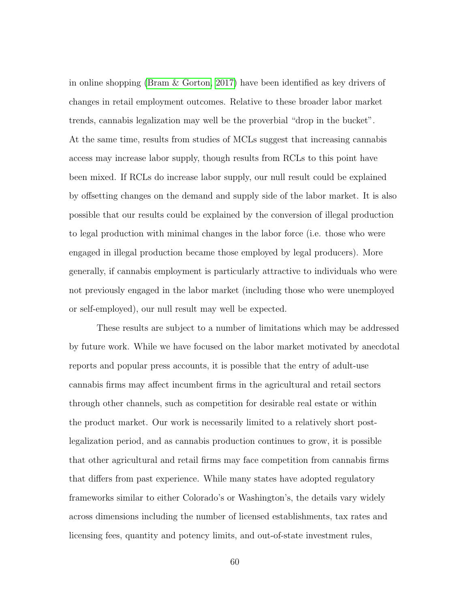in online shopping [\(Bram & Gorton, 2017\)](#page-139-0) have been identified as key drivers of changes in retail employment outcomes. Relative to these broader labor market trends, cannabis legalization may well be the proverbial "drop in the bucket". At the same time, results from studies of MCLs suggest that increasing cannabis access may increase labor supply, though results from RCLs to this point have been mixed. If RCLs do increase labor supply, our null result could be explained by offsetting changes on the demand and supply side of the labor market. It is also possible that our results could be explained by the conversion of illegal production to legal production with minimal changes in the labor force (i.e. those who were engaged in illegal production became those employed by legal producers). More generally, if cannabis employment is particularly attractive to individuals who were not previously engaged in the labor market (including those who were unemployed or self-employed), our null result may well be expected.

These results are subject to a number of limitations which may be addressed by future work. While we have focused on the labor market motivated by anecdotal reports and popular press accounts, it is possible that the entry of adult-use cannabis firms may affect incumbent firms in the agricultural and retail sectors through other channels, such as competition for desirable real estate or within the product market. Our work is necessarily limited to a relatively short postlegalization period, and as cannabis production continues to grow, it is possible that other agricultural and retail firms may face competition from cannabis firms that differs from past experience. While many states have adopted regulatory frameworks similar to either Colorado's or Washington's, the details vary widely across dimensions including the number of licensed establishments, tax rates and licensing fees, quantity and potency limits, and out-of-state investment rules,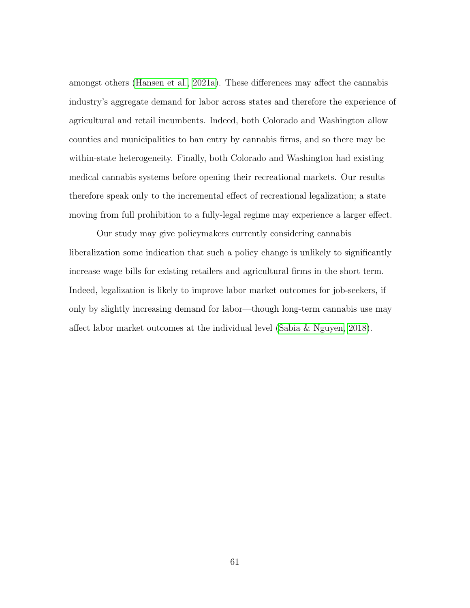amongst others [\(Hansen et al., 2021a\)](#page-143-0). These differences may affect the cannabis industry's aggregate demand for labor across states and therefore the experience of agricultural and retail incumbents. Indeed, both Colorado and Washington allow counties and municipalities to ban entry by cannabis firms, and so there may be within-state heterogeneity. Finally, both Colorado and Washington had existing medical cannabis systems before opening their recreational markets. Our results therefore speak only to the incremental effect of recreational legalization; a state moving from full prohibition to a fully-legal regime may experience a larger effect.

Our study may give policymakers currently considering cannabis liberalization some indication that such a policy change is unlikely to significantly increase wage bills for existing retailers and agricultural firms in the short term. Indeed, legalization is likely to improve labor market outcomes for job-seekers, if only by slightly increasing demand for labor—though long-term cannabis use may affect labor market outcomes at the individual level [\(Sabia & Nguyen, 2018\)](#page-147-1).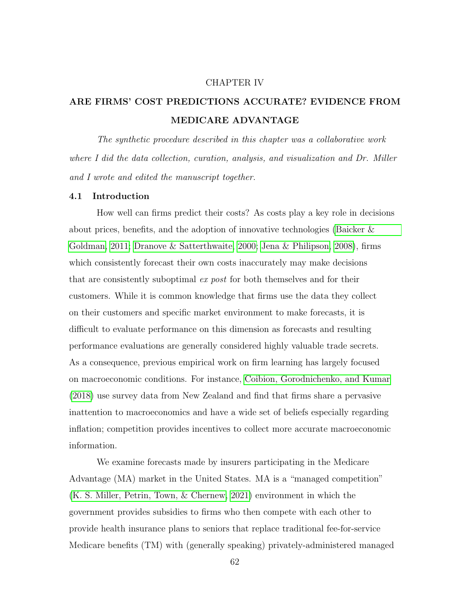#### CHAPTER IV

# ARE FIRMS' COST PREDICTIONS ACCURATE? EVIDENCE FROM MEDICARE ADVANTAGE

The synthetic procedure described in this chapter was a collaborative work where I did the data collection, curation, analysis, and visualization and Dr. Miller and I wrote and edited the manuscript together.

#### 4.1 Introduction

How well can firms predict their costs? As costs play a key role in decisions about prices, benefits, and the adoption of innovative technologies [\(Baicker &](#page-138-1) [Goldman, 2011;](#page-138-1) [Dranove & Satterthwaite, 2000;](#page-141-0) [Jena & Philipson, 2008\)](#page-144-0), firms which consistently forecast their own costs inaccurately may make decisions that are consistently suboptimal ex post for both themselves and for their customers. While it is common knowledge that firms use the data they collect on their customers and specific market environment to make forecasts, it is difficult to evaluate performance on this dimension as forecasts and resulting performance evaluations are generally considered highly valuable trade secrets. As a consequence, previous empirical work on firm learning has largely focused on macroeconomic conditions. For instance, [Coibion, Gorodnichenko, and Kumar](#page-140-0) [\(2018\)](#page-140-0) use survey data from New Zealand and find that firms share a pervasive inattention to macroeconomics and have a wide set of beliefs especially regarding inflation; competition provides incentives to collect more accurate macroeconomic information.

We examine forecasts made by insurers participating in the Medicare Advantage (MA) market in the United States. MA is a "managed competition" [\(K. S. Miller, Petrin, Town, & Chernew, 2021\)](#page-146-0) environment in which the government provides subsidies to firms who then compete with each other to provide health insurance plans to seniors that replace traditional fee-for-service Medicare benefits (TM) with (generally speaking) privately-administered managed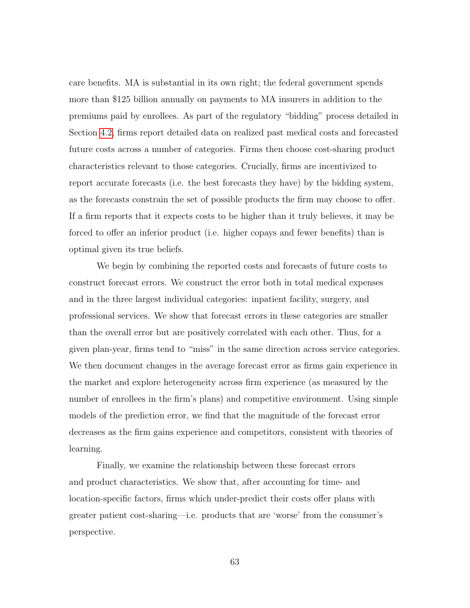care benefits. MA is substantial in its own right; the federal government spends more than \$125 billion annually on payments to MA insurers in addition to the premiums paid by enrollees. As part of the regulatory "bidding" process detailed in Section [4.2,](#page-78-0) firms report detailed data on realized past medical costs and forecasted future costs across a number of categories. Firms then choose cost-sharing product characteristics relevant to those categories. Crucially, firms are incentivized to report accurate forecasts (i.e. the best forecasts they have) by the bidding system, as the forecasts constrain the set of possible products the firm may choose to offer. If a firm reports that it expects costs to be higher than it truly believes, it may be forced to offer an inferior product (i.e. higher copays and fewer benefits) than is optimal given its true beliefs.

We begin by combining the reported costs and forecasts of future costs to construct forecast errors. We construct the error both in total medical expenses and in the three largest individual categories: inpatient facility, surgery, and professional services. We show that forecast errors in these categories are smaller than the overall error but are positively correlated with each other. Thus, for a given plan-year, firms tend to "miss" in the same direction across service categories. We then document changes in the average forecast error as firms gain experience in the market and explore heterogeneity across firm experience (as measured by the number of enrollees in the firm's plans) and competitive environment. Using simple models of the prediction error, we find that the magnitude of the forecast error decreases as the firm gains experience and competitors, consistent with theories of learning.

Finally, we examine the relationship between these forecast errors and product characteristics. We show that, after accounting for time- and location-specific factors, firms which under-predict their costs offer plans with greater patient cost-sharing—i.e. products that are 'worse' from the consumer's perspective.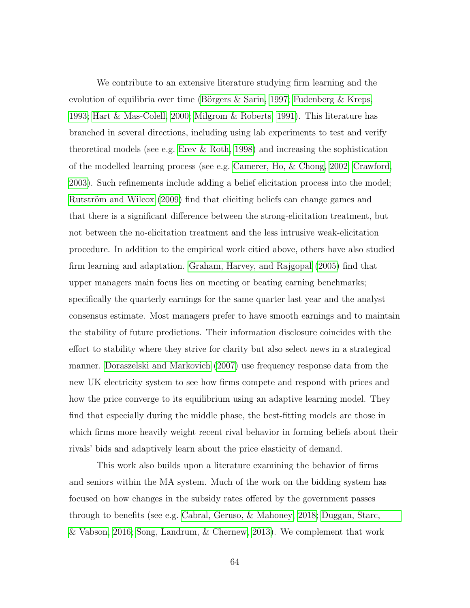We contribute to an extensive literature studying firm learning and the evolution of equilibria over time (Börgers  $\&$  Sarin, 1997; Fudenberg  $\&$  Kreps, [1993;](#page-142-1) [Hart & Mas-Colell, 2000;](#page-144-1) [Milgrom & Roberts, 1991\)](#page-146-1). This literature has branched in several directions, including using lab experiments to test and verify theoretical models (see e.g. Erev  $\&$  Roth, 1998) and increasing the sophistication of the modelled learning process (see e.g. [Camerer, Ho, & Chong, 2002;](#page-139-2) [Crawford,](#page-140-1) [2003\)](#page-140-1). Such refinements include adding a belief elicitation process into the model; Rutström and Wilcox [\(2009\)](#page-147-2) find that eliciting beliefs can change games and that there is a significant difference between the strong-elicitation treatment, but not between the no-elicitation treatment and the less intrusive weak-elicitation procedure. In addition to the empirical work citied above, others have also studied firm learning and adaptation. [Graham, Harvey, and Rajgopal](#page-143-1) [\(2005\)](#page-143-1) find that upper managers main focus lies on meeting or beating earning benchmarks; specifically the quarterly earnings for the same quarter last year and the analyst consensus estimate. Most managers prefer to have smooth earnings and to maintain the stability of future predictions. Their information disclosure coincides with the effort to stability where they strive for clarity but also select news in a strategical manner. [Doraszelski and Markovich](#page-141-1) [\(2007\)](#page-141-1) use frequency response data from the new UK electricity system to see how firms compete and respond with prices and how the price converge to its equilibrium using an adaptive learning model. They find that especially during the middle phase, the best-fitting models are those in which firms more heavily weight recent rival behavior in forming beliefs about their rivals' bids and adaptively learn about the price elasticity of demand.

This work also builds upon a literature examining the behavior of firms and seniors within the MA system. Much of the work on the bidding system has focused on how changes in the subsidy rates offered by the government passes through to benefits (see e.g. [Cabral, Geruso, & Mahoney, 2018;](#page-139-3) [Duggan, Starc,](#page-141-2) [& Vabson, 2016;](#page-141-2) [Song, Landrum, & Chernew, 2013\)](#page-148-0). We complement that work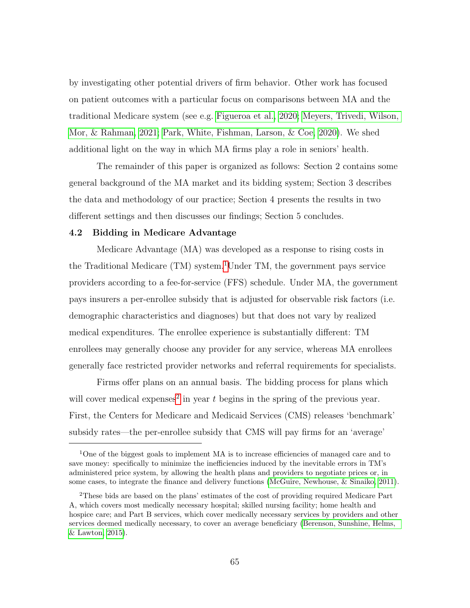by investigating other potential drivers of firm behavior. Other work has focused on patient outcomes with a particular focus on comparisons between MA and the traditional Medicare system (see e.g. [Figueroa et al., 2020;](#page-142-3) [Meyers, Trivedi, Wilson,](#page-146-2) [Mor, & Rahman, 2021;](#page-146-2) [Park, White, Fishman, Larson, & Coe, 2020\)](#page-147-3). We shed additional light on the way in which MA firms play a role in seniors' health.

The remainder of this paper is organized as follows: Section 2 contains some general background of the MA market and its bidding system; Section 3 describes the data and methodology of our practice; Section 4 presents the results in two different settings and then discusses our findings; Section 5 concludes.

#### <span id="page-78-0"></span>4.2 Bidding in Medicare Advantage

Medicare Advantage (MA) was developed as a response to rising costs in the Traditional Medicare (TM) system.<sup>[1](#page-78-1)</sup>Under TM, the government pays service providers according to a fee-for-service (FFS) schedule. Under MA, the government pays insurers a per-enrollee subsidy that is adjusted for observable risk factors (i.e. demographic characteristics and diagnoses) but that does not vary by realized medical expenditures. The enrollee experience is substantially different: TM enrollees may generally choose any provider for any service, whereas MA enrollees generally face restricted provider networks and referral requirements for specialists.

Firms offer plans on an annual basis. The bidding process for plans which will cover medical expenses<sup>[2](#page-78-2)</sup> in year  $t$  begins in the spring of the previous year. First, the Centers for Medicare and Medicaid Services (CMS) releases 'benchmark' subsidy rates—the per-enrollee subsidy that CMS will pay firms for an 'average'

<span id="page-78-1"></span><sup>&</sup>lt;sup>1</sup>One of the biggest goals to implement MA is to increase efficiencies of managed care and to save money: specifically to minimize the inefficiencies induced by the inevitable errors in TM's administered price system, by allowing the health plans and providers to negotiate prices or, in some cases, to integrate the finance and delivery functions [\(McGuire, Newhouse, & Sinaiko, 2011\)](#page-146-3).

<span id="page-78-2"></span><sup>2</sup>These bids are based on the plans' estimates of the cost of providing required Medicare Part A, which covers most medically necessary hospital; skilled nursing facility; home health and hospice care; and Part B services, which cover medically necessary services by providers and other services deemed medically necessary, to cover an average beneficiary [\(Berenson, Sunshine, Helms,](#page-138-2) [& Lawton, 2015\)](#page-138-2).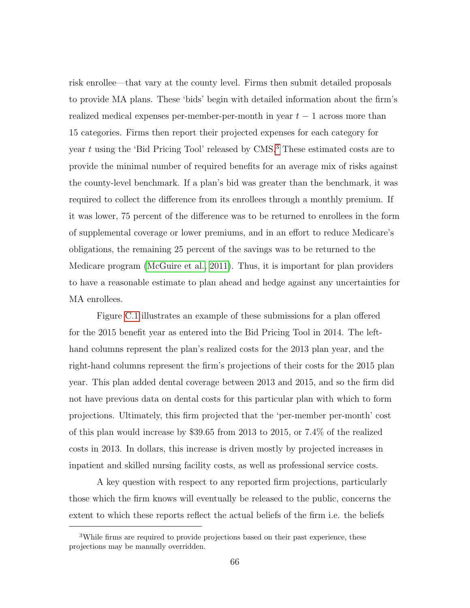risk enrollee—that vary at the county level. Firms then submit detailed proposals to provide MA plans. These 'bids' begin with detailed information about the firm's realized medical expenses per-member-per-month in year  $t - 1$  across more than 15 categories. Firms then report their projected expenses for each category for year  $t$  using the 'Bid Pricing Tool' released by  $CMS^3$  $CMS^3$ . These estimated costs are to provide the minimal number of required benefits for an average mix of risks against the county-level benchmark. If a plan's bid was greater than the benchmark, it was required to collect the difference from its enrollees through a monthly premium. If it was lower, 75 percent of the difference was to be returned to enrollees in the form of supplemental coverage or lower premiums, and in an effort to reduce Medicare's obligations, the remaining 25 percent of the savings was to be returned to the Medicare program [\(McGuire et al., 2011\)](#page-146-3). Thus, it is important for plan providers to have a reasonable estimate to plan ahead and hedge against any uncertainties for MA enrollees.

Figure [C.1](#page-128-0) illustrates an example of these submissions for a plan offered for the 2015 benefit year as entered into the Bid Pricing Tool in 2014. The lefthand columns represent the plan's realized costs for the 2013 plan year, and the right-hand columns represent the firm's projections of their costs for the 2015 plan year. This plan added dental coverage between 2013 and 2015, and so the firm did not have previous data on dental costs for this particular plan with which to form projections. Ultimately, this firm projected that the 'per-member per-month' cost of this plan would increase by \$39.65 from 2013 to 2015, or 7.4% of the realized costs in 2013. In dollars, this increase is driven mostly by projected increases in inpatient and skilled nursing facility costs, as well as professional service costs.

A key question with respect to any reported firm projections, particularly those which the firm knows will eventually be released to the public, concerns the extent to which these reports reflect the actual beliefs of the firm i.e. the beliefs

<span id="page-79-0"></span><sup>3</sup>While firms are required to provide projections based on their past experience, these projections may be manually overridden.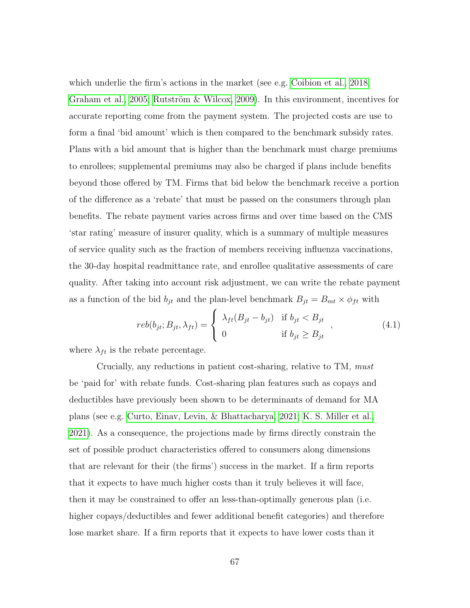which underlie the firm's actions in the market (see e.g. [Coibion et al., 2018;](#page-140-0) [Graham et al., 2005;](#page-143-1) Rutström & Wilcox, 2009). In this environment, incentives for accurate reporting come from the payment system. The projected costs are use to form a final 'bid amount' which is then compared to the benchmark subsidy rates. Plans with a bid amount that is higher than the benchmark must charge premiums to enrollees; supplemental premiums may also be charged if plans include benefits beyond those offered by TM. Firms that bid below the benchmark receive a portion of the difference as a 'rebate' that must be passed on the consumers through plan benefits. The rebate payment varies across firms and over time based on the CMS 'star rating' measure of insurer quality, which is a summary of multiple measures of service quality such as the fraction of members receiving influenza vaccinations, the 30-day hospital readmittance rate, and enrollee qualitative assessments of care quality. After taking into account risk adjustment, we can write the rebate payment as a function of the bid  $b_{jt}$  and the plan-level benchmark  $B_{jt} = B_{mt} \times \phi_{ft}$  with

$$
reb(b_{jt}; B_{jt}, \lambda_{ft}) = \begin{cases} \lambda_{ft}(B_{jt} - b_{jt}) & \text{if } b_{jt} < B_{jt} \\ 0 & \text{if } b_{jt} \ge B_{jt} \end{cases}, \qquad (4.1)
$$

where  $\lambda_{ft}$  is the rebate percentage.

Crucially, any reductions in patient cost-sharing, relative to TM, must be 'paid for' with rebate funds. Cost-sharing plan features such as copays and deductibles have previously been shown to be determinants of demand for MA plans (see e.g. [Curto, Einav, Levin, & Bhattacharya, 2021;](#page-140-2) [K. S. Miller et al.,](#page-146-0) [2021\)](#page-146-0). As a consequence, the projections made by firms directly constrain the set of possible product characteristics offered to consumers along dimensions that are relevant for their (the firms') success in the market. If a firm reports that it expects to have much higher costs than it truly believes it will face, then it may be constrained to offer an less-than-optimally generous plan (i.e. higher copays/deductibles and fewer additional benefit categories) and therefore lose market share. If a firm reports that it expects to have lower costs than it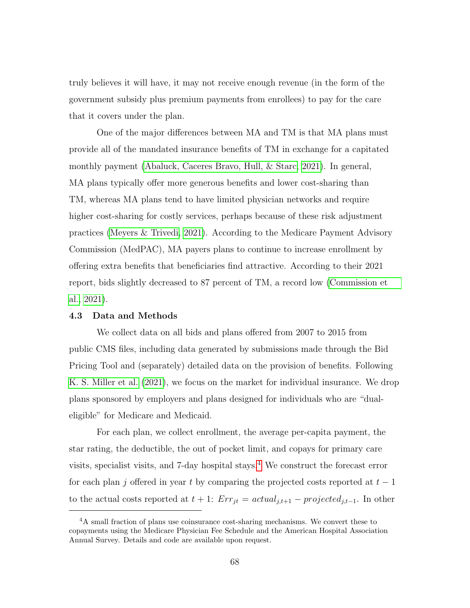truly believes it will have, it may not receive enough revenue (in the form of the government subsidy plus premium payments from enrollees) to pay for the care that it covers under the plan.

One of the major differences between MA and TM is that MA plans must provide all of the mandated insurance benefits of TM in exchange for a capitated monthly payment [\(Abaluck, Caceres Bravo, Hull, & Starc, 2021\)](#page-137-0). In general, MA plans typically offer more generous benefits and lower cost-sharing than TM, whereas MA plans tend to have limited physician networks and require higher cost-sharing for costly services, perhaps because of these risk adjustment practices [\(Meyers & Trivedi, 2021\)](#page-146-4). According to the Medicare Payment Advisory Commission (MedPAC), MA payers plans to continue to increase enrollment by offering extra benefits that beneficiaries find attractive. According to their 2021 report, bids slightly decreased to 87 percent of TM, a record low [\(Commission et](#page-140-3) [al., 2021\)](#page-140-3).

#### 4.3 Data and Methods

We collect data on all bids and plans offered from 2007 to 2015 from public CMS files, including data generated by submissions made through the Bid Pricing Tool and (separately) detailed data on the provision of benefits. Following [K. S. Miller et al.](#page-146-0) [\(2021\)](#page-146-0), we focus on the market for individual insurance. We drop plans sponsored by employers and plans designed for individuals who are "dualeligible" for Medicare and Medicaid.

For each plan, we collect enrollment, the average per-capita payment, the star rating, the deductible, the out of pocket limit, and copays for primary care visits, specialist visits, and 7-day hospital stays.[4](#page-81-0) We construct the forecast error for each plan j offered in year t by comparing the projected costs reported at  $t-1$ to the actual costs reported at  $t + 1$ :  $Err_{jt} = actual_{j,t+1} - projected_{j,t-1}$ . In other

<span id="page-81-0"></span><sup>&</sup>lt;sup>4</sup>A small fraction of plans use coinsurance cost-sharing mechanisms. We convert these to copayments using the Medicare Physician Fee Schedule and the American Hospital Association Annual Survey. Details and code are available upon request.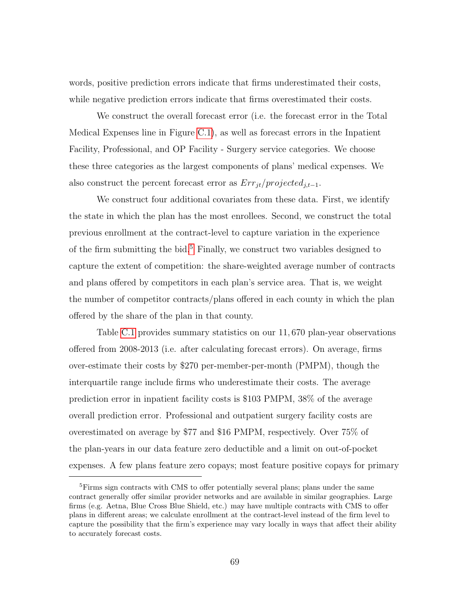words, positive prediction errors indicate that firms underestimated their costs, while negative prediction errors indicate that firms overestimated their costs.

We construct the overall forecast error (i.e. the forecast error in the Total Medical Expenses line in Figure [C.1\)](#page-128-0), as well as forecast errors in the Inpatient Facility, Professional, and OP Facility - Surgery service categories. We choose these three categories as the largest components of plans' medical expenses. We also construct the percent forecast error as  $Err_{it}/projected_{i,t-1}.$ 

We construct four additional covariates from these data. First, we identify the state in which the plan has the most enrollees. Second, we construct the total previous enrollment at the contract-level to capture variation in the experience of the firm submitting the bid. $5$  Finally, we construct two variables designed to capture the extent of competition: the share-weighted average number of contracts and plans offered by competitors in each plan's service area. That is, we weight the number of competitor contracts/plans offered in each county in which the plan offered by the share of the plan in that county.

Table [C.1](#page-130-0) provides summary statistics on our 11, 670 plan-year observations offered from 2008-2013 (i.e. after calculating forecast errors). On average, firms over-estimate their costs by \$270 per-member-per-month (PMPM), though the interquartile range include firms who underestimate their costs. The average prediction error in inpatient facility costs is \$103 PMPM, 38% of the average overall prediction error. Professional and outpatient surgery facility costs are overestimated on average by \$77 and \$16 PMPM, respectively. Over 75% of the plan-years in our data feature zero deductible and a limit on out-of-pocket expenses. A few plans feature zero copays; most feature positive copays for primary

<span id="page-82-0"></span><sup>&</sup>lt;sup>5</sup>Firms sign contracts with CMS to offer potentially several plans; plans under the same contract generally offer similar provider networks and are available in similar geographies. Large firms (e.g. Aetna, Blue Cross Blue Shield, etc.) may have multiple contracts with CMS to offer plans in different areas; we calculate enrollment at the contract-level instead of the firm level to capture the possibility that the firm's experience may vary locally in ways that affect their ability to accurately forecast costs.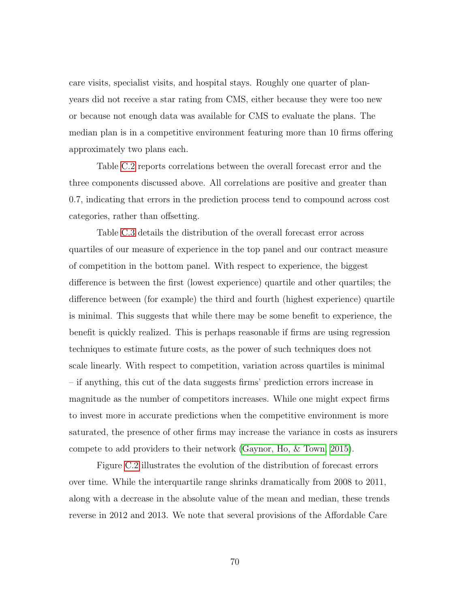care visits, specialist visits, and hospital stays. Roughly one quarter of planyears did not receive a star rating from CMS, either because they were too new or because not enough data was available for CMS to evaluate the plans. The median plan is in a competitive environment featuring more than 10 firms offering approximately two plans each.

Table [C.2](#page-131-0) reports correlations between the overall forecast error and the three components discussed above. All correlations are positive and greater than 0.7, indicating that errors in the prediction process tend to compound across cost categories, rather than offsetting.

Table [C.3](#page-132-0) details the distribution of the overall forecast error across quartiles of our measure of experience in the top panel and our contract measure of competition in the bottom panel. With respect to experience, the biggest difference is between the first (lowest experience) quartile and other quartiles; the difference between (for example) the third and fourth (highest experience) quartile is minimal. This suggests that while there may be some benefit to experience, the benefit is quickly realized. This is perhaps reasonable if firms are using regression techniques to estimate future costs, as the power of such techniques does not scale linearly. With respect to competition, variation across quartiles is minimal – if anything, this cut of the data suggests firms' prediction errors increase in magnitude as the number of competitors increases. While one might expect firms to invest more in accurate predictions when the competitive environment is more saturated, the presence of other firms may increase the variance in costs as insurers compete to add providers to their network [\(Gaynor, Ho, & Town, 2015\)](#page-142-4).

Figure [C.2](#page-129-0) illustrates the evolution of the distribution of forecast errors over time. While the interquartile range shrinks dramatically from 2008 to 2011, along with a decrease in the absolute value of the mean and median, these trends reverse in 2012 and 2013. We note that several provisions of the Affordable Care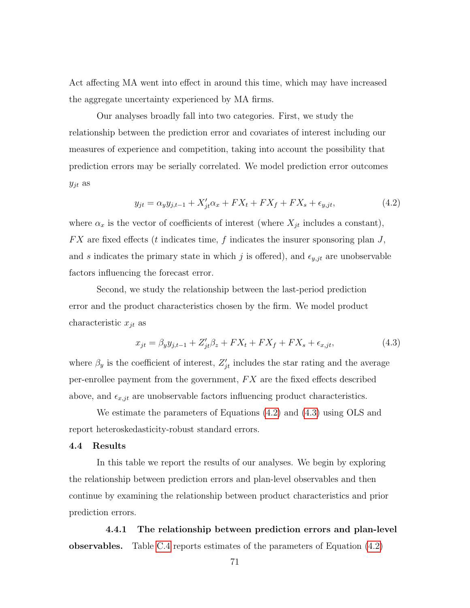Act affecting MA went into effect in around this time, which may have increased the aggregate uncertainty experienced by MA firms.

Our analyses broadly fall into two categories. First, we study the relationship between the prediction error and covariates of interest including our measures of experience and competition, taking into account the possibility that prediction errors may be serially correlated. We model prediction error outcomes  $y_{jt}$  as

<span id="page-84-0"></span>
$$
y_{jt} = \alpha_y y_{j,t-1} + X'_{jt} \alpha_x + FX_t + FX_f + FX_s + \epsilon_{y,jt},
$$
\n(4.2)

where  $\alpha_x$  is the vector of coefficients of interest (where  $X_{jt}$  includes a constant),  $FX$  are fixed effects (t indicates time, f indicates the insurer sponsoring plan  $J$ , and s indicates the primary state in which j is offered), and  $\epsilon_{y,jt}$  are unobservable factors influencing the forecast error.

Second, we study the relationship between the last-period prediction error and the product characteristics chosen by the firm. We model product characteristic  $x_{jt}$  as

<span id="page-84-1"></span>
$$
x_{jt} = \beta_y y_{j,t-1} + Z'_{jt} \beta_z + FX_t + FX_f + FX_s + \epsilon_{x,jt},
$$
\n(4.3)

where  $\beta_y$  is the coefficient of interest,  $Z'_{jt}$  includes the star rating and the average per-enrollee payment from the government,  $FX$  are the fixed effects described above, and  $\epsilon_{x,jt}$  are unobservable factors influencing product characteristics.

We estimate the parameters of Equations [\(4.2\)](#page-84-0) and [\(4.3\)](#page-84-1) using OLS and report heteroskedasticity-robust standard errors.

#### 4.4 Results

In this table we report the results of our analyses. We begin by exploring the relationship between prediction errors and plan-level observables and then continue by examining the relationship between product characteristics and prior prediction errors.

4.4.1 The relationship between prediction errors and plan-level observables. Table [C.4](#page-133-0) reports estimates of the parameters of Equation [\(4.2\)](#page-84-0)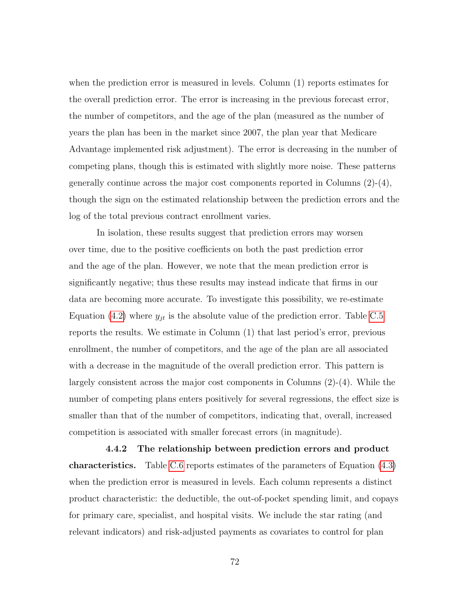when the prediction error is measured in levels. Column (1) reports estimates for the overall prediction error. The error is increasing in the previous forecast error, the number of competitors, and the age of the plan (measured as the number of years the plan has been in the market since 2007, the plan year that Medicare Advantage implemented risk adjustment). The error is decreasing in the number of competing plans, though this is estimated with slightly more noise. These patterns generally continue across the major cost components reported in Columns  $(2)-(4)$ , though the sign on the estimated relationship between the prediction errors and the log of the total previous contract enrollment varies.

In isolation, these results suggest that prediction errors may worsen over time, due to the positive coefficients on both the past prediction error and the age of the plan. However, we note that the mean prediction error is significantly negative; thus these results may instead indicate that firms in our data are becoming more accurate. To investigate this possibility, we re-estimate Equation [\(4.2\)](#page-84-0) where  $y_{jt}$  is the absolute value of the prediction error. Table [C.5](#page-134-0) reports the results. We estimate in Column (1) that last period's error, previous enrollment, the number of competitors, and the age of the plan are all associated with a decrease in the magnitude of the overall prediction error. This pattern is largely consistent across the major cost components in Columns (2)-(4). While the number of competing plans enters positively for several regressions, the effect size is smaller than that of the number of competitors, indicating that, overall, increased competition is associated with smaller forecast errors (in magnitude).

4.4.2 The relationship between prediction errors and product characteristics. Table [C.6](#page-135-0) reports estimates of the parameters of Equation [\(4.3\)](#page-84-1) when the prediction error is measured in levels. Each column represents a distinct product characteristic: the deductible, the out-of-pocket spending limit, and copays for primary care, specialist, and hospital visits. We include the star rating (and relevant indicators) and risk-adjusted payments as covariates to control for plan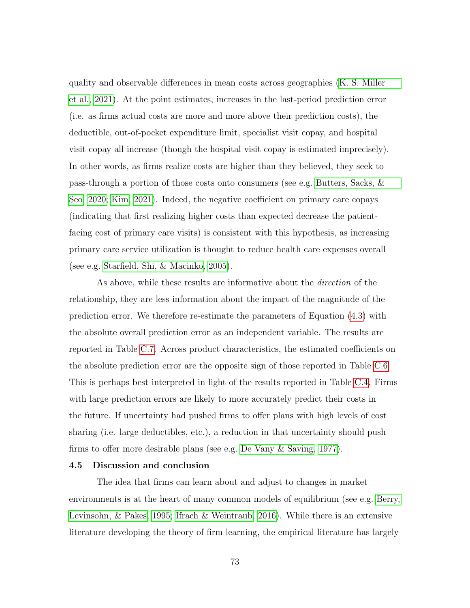quality and observable differences in mean costs across geographies [\(K. S. Miller](#page-146-0) [et al., 2021\)](#page-146-0). At the point estimates, increases in the last-period prediction error (i.e. as firms actual costs are more and more above their prediction costs), the deductible, out-of-pocket expenditure limit, specialist visit copay, and hospital visit copay all increase (though the hospital visit copay is estimated imprecisely). In other words, as firms realize costs are higher than they believed, they seek to pass-through a portion of those costs onto consumers (see e.g. [Butters, Sacks, &](#page-139-4) [Seo, 2020;](#page-139-4) [Kim, 2021\)](#page-145-1). Indeed, the negative coefficient on primary care copays (indicating that first realizing higher costs than expected decrease the patientfacing cost of primary care visits) is consistent with this hypothesis, as increasing primary care service utilization is thought to reduce health care expenses overall (see e.g. [Starfield, Shi, & Macinko, 2005\)](#page-148-1).

As above, while these results are informative about the direction of the relationship, they are less information about the impact of the magnitude of the prediction error. We therefore re-estimate the parameters of Equation [\(4.3\)](#page-84-1) with the absolute overall prediction error as an independent variable. The results are reported in Table [C.7.](#page-136-0) Across product characteristics, the estimated coefficients on the absolute prediction error are the opposite sign of those reported in Table [C.6.](#page-135-0) This is perhaps best interpreted in light of the results reported in Table [C.4.](#page-133-0) Firms with large prediction errors are likely to more accurately predict their costs in the future. If uncertainty had pushed firms to offer plans with high levels of cost sharing (i.e. large deductibles, etc.), a reduction in that uncertainty should push firms to offer more desirable plans (see e.g. [De Vany & Saving, 1977\)](#page-141-3).

#### 4.5 Discussion and conclusion

The idea that firms can learn about and adjust to changes in market environments is at the heart of many common models of equilibrium (see e.g. [Berry,](#page-138-3) [Levinsohn, & Pakes, 1995;](#page-138-3) [Ifrach & Weintraub, 2016\)](#page-144-2). While there is an extensive literature developing the theory of firm learning, the empirical literature has largely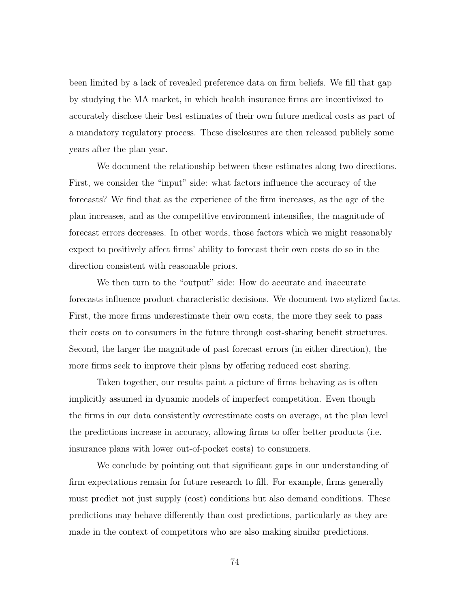been limited by a lack of revealed preference data on firm beliefs. We fill that gap by studying the MA market, in which health insurance firms are incentivized to accurately disclose their best estimates of their own future medical costs as part of a mandatory regulatory process. These disclosures are then released publicly some years after the plan year.

We document the relationship between these estimates along two directions. First, we consider the "input" side: what factors influence the accuracy of the forecasts? We find that as the experience of the firm increases, as the age of the plan increases, and as the competitive environment intensifies, the magnitude of forecast errors decreases. In other words, those factors which we might reasonably expect to positively affect firms' ability to forecast their own costs do so in the direction consistent with reasonable priors.

We then turn to the "output" side: How do accurate and inaccurate forecasts influence product characteristic decisions. We document two stylized facts. First, the more firms underestimate their own costs, the more they seek to pass their costs on to consumers in the future through cost-sharing benefit structures. Second, the larger the magnitude of past forecast errors (in either direction), the more firms seek to improve their plans by offering reduced cost sharing.

Taken together, our results paint a picture of firms behaving as is often implicitly assumed in dynamic models of imperfect competition. Even though the firms in our data consistently overestimate costs on average, at the plan level the predictions increase in accuracy, allowing firms to offer better products (i.e. insurance plans with lower out-of-pocket costs) to consumers.

We conclude by pointing out that significant gaps in our understanding of firm expectations remain for future research to fill. For example, firms generally must predict not just supply (cost) conditions but also demand conditions. These predictions may behave differently than cost predictions, particularly as they are made in the context of competitors who are also making similar predictions.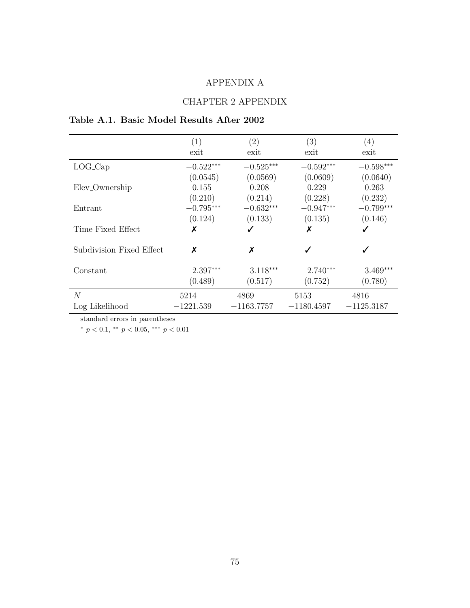### APPENDIX A

### CHAPTER 2 APPENDIX

## Table A.1. Basic Model Results After 2002

|                            | (1)         | $\left( 2\right)$ | (3)          | (4)          |
|----------------------------|-------------|-------------------|--------------|--------------|
|                            | exit        | exit              | exit         | exit         |
| $LOG_{cap}$                | $-0.522***$ | $-0.525***$       | $-0.592***$  | $-0.598***$  |
|                            | (0.0545)    | (0.0569)          | (0.0609)     | (0.0640)     |
| Elev <sub>-Ownership</sub> | 0.155       | 0.208             | 0.229        | 0.263        |
|                            | (0.210)     | (0.214)           | (0.228)      | (0.232)      |
| Entrant                    | $-0.795***$ | $-0.632***$       | $-0.947***$  | $-0.799***$  |
|                            | (0.124)     | (0.133)           | (0.135)      | (0.146)      |
| Time Fixed Effect          | Х           | ✓                 | Х            | ✓            |
| Subdivision Fixed Effect   | Х           | X                 |              | ✓            |
| Constant                   | 2.397***    | $3.118***$        | $2.740***$   | $3.469***$   |
|                            | (0.489)     | (0.517)           | (0.752)      | (0.780)      |
| N                          | 5214        | 4869              | 5153         | 4816         |
| Log Likelihood             | $-1221.539$ | $-1163.7757$      | $-1180.4597$ | $-1125.3187$ |

standard errors in parentheses

\*  $p < 0.1$ , \*\*  $p < 0.05$ , \*\*\*  $p < 0.01$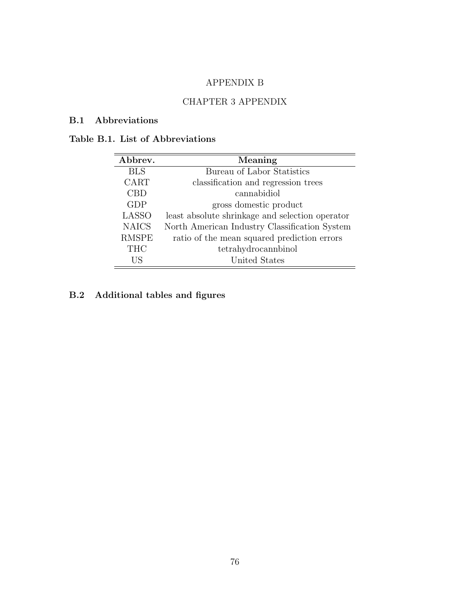### APPENDIX B

### CHAPTER 3 APPENDIX

#### B.1 Abbreviations

### Table B.1. List of Abbreviations

| Abbrev.      | Meaning                                         |
|--------------|-------------------------------------------------|
| <b>BLS</b>   | Bureau of Labor Statistics                      |
| CART         | classification and regression trees             |
| CBD          | cannabidiol                                     |
| <b>GDP</b>   | gross domestic product                          |
| <b>LASSO</b> | least absolute shrinkage and selection operator |
| <b>NAICS</b> | North American Industry Classification System   |
| <b>RMSPE</b> | ratio of the mean squared prediction errors     |
| <b>THC</b>   | tetrahydrocannbinol                             |
| US           | United States                                   |

## B.2 Additional tables and figures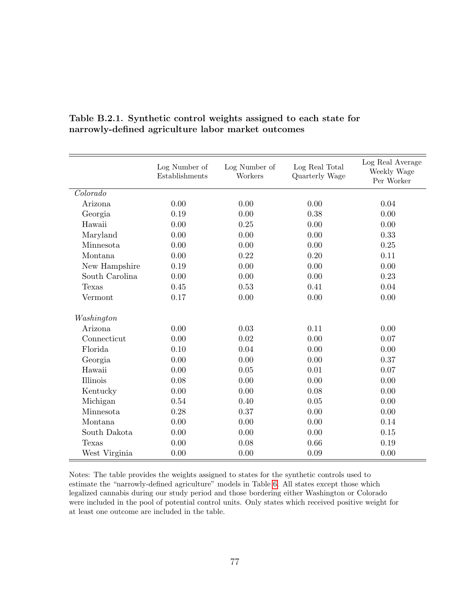|                | Log Number of<br>Establishments | Log Number of<br>Workers | Log Real Total<br>Quarterly Wage | Log Real Average<br>Weekly Wage<br>Per Worker |
|----------------|---------------------------------|--------------------------|----------------------------------|-----------------------------------------------|
| Colorado       |                                 |                          |                                  |                                               |
| Arizona        | 0.00                            | 0.00                     | 0.00                             | 0.04                                          |
| Georgia        | 0.19                            | 0.00                     | 0.38                             | 0.00                                          |
| Hawaii         | 0.00                            | 0.25                     | 0.00                             | 0.00                                          |
| Maryland       | 0.00                            | 0.00                     | 0.00                             | 0.33                                          |
| Minnesota      | 0.00                            | 0.00                     | 0.00                             | 0.25                                          |
| Montana        | 0.00                            | 0.22                     | 0.20                             | 0.11                                          |
| New Hampshire  | 0.19                            | 0.00                     | 0.00                             | 0.00                                          |
| South Carolina | 0.00                            | 0.00                     | 0.00                             | 0.23                                          |
| Texas          | 0.45                            | 0.53                     | 0.41                             | 0.04                                          |
| Vermont        | 0.17                            | 0.00                     | 0.00                             | 0.00                                          |
| Washington     |                                 |                          |                                  |                                               |
| Arizona        | 0.00                            | 0.03                     | 0.11                             | 0.00                                          |
| Connecticut    | 0.00                            | 0.02                     | 0.00                             | 0.07                                          |
| Florida        | 0.10                            | 0.04                     | 0.00                             | 0.00                                          |
| Georgia        | 0.00                            | 0.00                     | 0.00                             | 0.37                                          |
| Hawaii         | 0.00                            | 0.05                     | 0.01                             | 0.07                                          |
| Illinois       | 0.08                            | 0.00                     | 0.00                             | 0.00                                          |
| Kentucky       | 0.00                            | $0.00\,$                 | 0.08                             | 0.00                                          |
| Michigan       | 0.54                            | 0.40                     | 0.05                             | 0.00                                          |
| Minnesota      | 0.28                            | 0.37                     | 0.00                             | 0.00                                          |
| Montana        | 0.00                            | 0.00                     | 0.00                             | 0.14                                          |
| South Dakota   | 0.00                            | 0.00                     | 0.00                             | 0.15                                          |
| Texas          | 0.00                            | 0.08                     | 0.66                             | 0.19                                          |
| West Virginia  | 0.00                            | 0.00                     | 0.09                             | 0.00                                          |

Table B.2.1. Synthetic control weights assigned to each state for narrowly-defined agriculture labor market outcomes

Notes: The table provides the weights assigned to states for the synthetic controls used to estimate the "narrowly-defined agriculture" models in Table [6.](#page-67-0) All states except those which legalized cannabis during our study period and those bordering either Washington or Colorado were included in the pool of potential control units. Only states which received positive weight for at least one outcome are included in the table.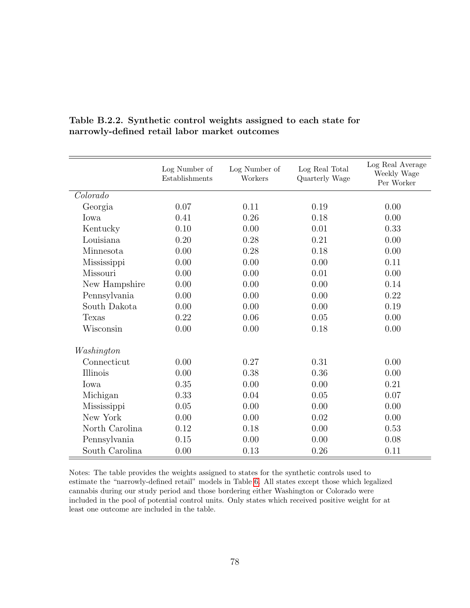|                | Log Number of<br>Establishments | Log Number of<br>Workers | Log Real Total<br>Quarterly Wage | Log Real Average<br>Weekly Wage<br>Per Worker |
|----------------|---------------------------------|--------------------------|----------------------------------|-----------------------------------------------|
| Colorado       |                                 |                          |                                  |                                               |
| Georgia        | 0.07                            | 0.11                     | 0.19                             | 0.00                                          |
| Iowa           | 0.41                            | 0.26                     | 0.18                             | 0.00                                          |
| Kentucky       | 0.10                            | 0.00                     | 0.01                             | 0.33                                          |
| Louisiana      | 0.20                            | 0.28                     | 0.21                             | 0.00                                          |
| Minnesota      | 0.00                            | 0.28                     | 0.18                             | 0.00                                          |
| Mississippi    | 0.00                            | 0.00                     | 0.00                             | 0.11                                          |
| Missouri       | 0.00                            | 0.00                     | 0.01                             | 0.00                                          |
| New Hampshire  | 0.00                            | 0.00                     | 0.00                             | 0.14                                          |
| Pennsylvania   | 0.00                            | 0.00                     | 0.00                             | 0.22                                          |
| South Dakota   | 0.00                            | 0.00                     | 0.00                             | 0.19                                          |
| Texas          | 0.22                            | 0.06                     | 0.05                             | 0.00                                          |
| Wisconsin      | 0.00                            | 0.00                     | 0.18                             | 0.00                                          |
| Washington     |                                 |                          |                                  |                                               |
| Connecticut    | 0.00                            | 0.27                     | 0.31                             | 0.00                                          |
| Illinois       | 0.00                            | 0.38                     | 0.36                             | 0.00                                          |
| Iowa           | 0.35                            | 0.00                     | 0.00                             | 0.21                                          |
| Michigan       | 0.33                            | 0.04                     | 0.05                             | 0.07                                          |
| Mississippi    | 0.05                            | 0.00                     | 0.00                             | 0.00                                          |
| New York       | 0.00                            | 0.00                     | 0.02                             | 0.00                                          |
| North Carolina | 0.12                            | 0.18                     | 0.00                             | 0.53                                          |
| Pennsylvania   | 0.15                            | 0.00                     | 0.00                             | 0.08                                          |
| South Carolina | 0.00                            | 0.13                     | 0.26                             | 0.11                                          |

Table B.2.2. Synthetic control weights assigned to each state for narrowly-defined retail labor market outcomes

Notes: The table provides the weights assigned to states for the synthetic controls used to estimate the "narrowly-defined retail" models in Table [6.](#page-67-0) All states except those which legalized cannabis during our study period and those bordering either Washington or Colorado were included in the pool of potential control units. Only states which received positive weight for at least one outcome are included in the table.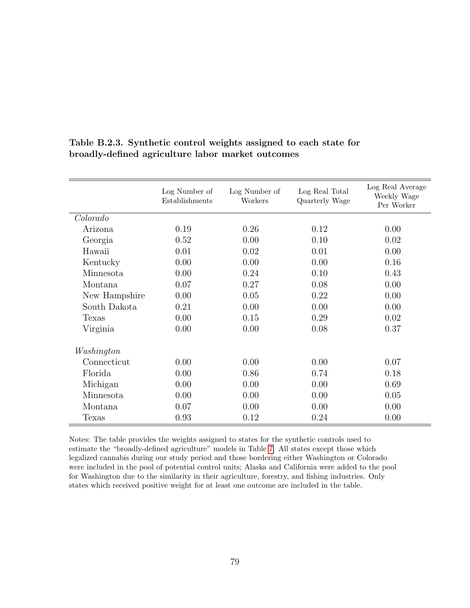|               | Log Number of<br>Establishments | Log Number of<br>Workers | Log Real Total<br>Quarterly Wage | Log Real Average<br>Weekly Wage<br>Per Worker |
|---------------|---------------------------------|--------------------------|----------------------------------|-----------------------------------------------|
| Colorado      |                                 |                          |                                  |                                               |
| Arizona       | 0.19                            | 0.26                     | 0.12                             | 0.00                                          |
| Georgia       | 0.52                            | 0.00                     | 0.10                             | 0.02                                          |
| Hawaii        | 0.01                            | 0.02                     | 0.01                             | 0.00                                          |
| Kentucky      | 0.00                            | 0.00                     | 0.00                             | 0.16                                          |
| Minnesota     | 0.00                            | 0.24                     | 0.10                             | 0.43                                          |
| Montana       | 0.07                            | 0.27                     | 0.08                             | 0.00                                          |
| New Hampshire | 0.00                            | 0.05                     | 0.22                             | 0.00                                          |
| South Dakota  | 0.21                            | 0.00                     | 0.00                             | 0.00                                          |
| <b>Texas</b>  | 0.00                            | 0.15                     | 0.29                             | 0.02                                          |
| Virginia      | 0.00                            | 0.00                     | 0.08                             | 0.37                                          |
| Washington    |                                 |                          |                                  |                                               |
| Connecticut   | 0.00                            | 0.00                     | 0.00                             | 0.07                                          |
| Florida       | 0.00                            | 0.86                     | 0.74                             | 0.18                                          |
| Michigan      | 0.00                            | 0.00                     | 0.00                             | 0.69                                          |
| Minnesota     | 0.00                            | 0.00                     | 0.00                             | 0.05                                          |
| Montana       | 0.07                            | 0.00                     | 0.00                             | 0.00                                          |
| Texas         | 0.93                            | 0.12                     | 0.24                             | 0.00                                          |

Table B.2.3. Synthetic control weights assigned to each state for broadly-defined agriculture labor market outcomes

Notes: The table provides the weights assigned to states for the synthetic controls used to estimate the "broadly-defined agriculture" models in Table [7.](#page-69-0) All states except those which legalized cannabis during our study period and those bordering either Washington or Colorado were included in the pool of potential control units; Alaska and California were added to the pool for Washington due to the similarity in their agriculture, forestry, and fishing industries. Only states which received positive weight for at least one outcome are included in the table.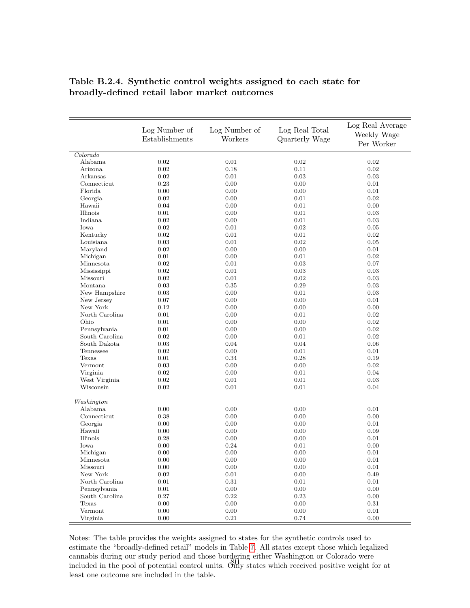|                | Log Number of<br>Establishments | Log Number of<br>Workers | Log Real Total<br>Quarterly Wage | Log Real Average<br>Weekly Wage<br>Per Worker |
|----------------|---------------------------------|--------------------------|----------------------------------|-----------------------------------------------|
| Colorado       |                                 |                          |                                  |                                               |
| Alabama        | 0.02                            | 0.01                     | 0.02                             | 0.02                                          |
| Arizona        | 0.02                            | 0.18                     | 0.11                             | 0.02                                          |
| Arkansas       | 0.02                            | 0.01                     | 0.03                             | 0.03                                          |
| Connecticut    | 0.23                            | 0.00                     | 0.00                             | 0.01                                          |
| Florida        | 0.00                            | 0.00                     | 0.00                             | 0.01                                          |
| Georgia        | 0.02                            | 0.00                     | 0.01                             | 0.02                                          |
| Hawaii         | 0.04                            | 0.00                     | 0.01                             | 0.00                                          |
| Illinois       | 0.01                            | 0.00                     | 0.01                             | 0.03                                          |
| Indiana        | 0.02                            | 0.00                     | 0.01                             | 0.03                                          |
| Iowa           | 0.02                            | 0.01                     | 0.02                             | 0.05                                          |
| Kentucky       | 0.02                            | 0.01                     | 0.01                             | 0.02                                          |
| Louisiana      | 0.03                            | 0.01                     | 0.02                             | 0.05                                          |
| Maryland       | 0.02                            | 0.00                     | 0.00                             | 0.01                                          |
| Michigan       | 0.01                            | 0.00                     | 0.01                             | 0.02                                          |
| Minnesota      | 0.02                            | 0.01                     | 0.03                             | 0.07                                          |
| Mississippi    | 0.02                            | 0.01                     | 0.03                             | 0.03                                          |
| Missouri       | 0.02                            | 0.01                     | 0.02                             | 0.03                                          |
| Montana        | 0.03                            | 0.35                     | 0.29                             | 0.03                                          |
| New Hampshire  | 0.03                            | 0.00                     | 0.01                             | 0.03                                          |
| New Jersey     | 0.07                            | 0.00                     | 0.00                             | 0.01                                          |
| New York       | 0.12                            | 0.00                     | 0.00                             | 0.00                                          |
| North Carolina | 0.01                            | 0.00                     | 0.01                             | 0.02                                          |
| Ohio           | 0.01                            | 0.00                     | 0.00                             | 0.02                                          |
| Pennsylvania   | 0.01                            | 0.00                     | 0.00                             | 0.02                                          |
| South Carolina | 0.02                            | 0.00                     | 0.01                             | 0.02                                          |
| South Dakota   | 0.03                            | 0.04                     | 0.04                             | 0.06                                          |
| Tennessee      | 0.02                            | 0.00                     | 0.01                             | 0.01                                          |
| Texas          | 0.01                            | 0.34                     | 0.28                             | 0.19                                          |
| Vermont        | 0.03                            | 0.00                     | 0.00                             | 0.02                                          |
| Virginia       | 0.02                            | 0.00                     | 0.01                             | 0.04                                          |
| West Virginia  | 0.02                            | 0.01                     | 0.01                             | 0.03                                          |
| Wisconsin      | 0.02                            | 0.01                     | 0.01                             | 0.04                                          |
| Washington     |                                 |                          |                                  |                                               |
| Alabama        | 0.00                            | 0.00                     | 0.00                             | 0.01                                          |
| Connecticut    | 0.38                            | 0.00                     | 0.00                             | 0.00                                          |
| Georgia        | 0.00                            | 0.00                     | 0.00                             | 0.01                                          |
| Hawaii         | 0.00                            | 0.00                     | 0.00                             | 0.09                                          |
| Illinois       | 0.28                            | 0.00                     | 0.00                             | 0.01                                          |
| Iowa           | 0.00                            | 0.24                     | 0.01                             | 0.00                                          |
| Michigan       | 0.00                            | 0.00                     | 0.00                             | 0.01                                          |
| Minnesota      | 0.00                            | $0.00^{\circ}$           | 0.00                             | 0.01                                          |
| Missouri       | 0.00                            | 0.00                     | 0.00                             | 0.01                                          |
| New York       | 0.02                            | 0.01                     | 0.00                             | 0.49                                          |
| North Carolina | 0.01                            | 0.31                     | 0.01                             | 0.01                                          |
| Pennsylvania   | 0.01                            | 0.00                     | 0.00                             | 0.00                                          |
| South Carolina | 0.27                            | 0.22                     | 0.23                             | 0.00                                          |
| Texas          | $0.00\,$                        | 0.00                     | 0.00                             | 0.31                                          |
| Vermont        | 0.00                            | 0.00                     | 0.00                             | 0.01                                          |
| Virginia       | 0.00                            | 0.21                     | 0.74                             | 0.00                                          |

#### Table B.2.4. Synthetic control weights assigned to each state for broadly-defined retail labor market outcomes

Notes: The table provides the weights assigned to states for the synthetic controls used to estimate the "broadly-defined retail" models in Table [7.](#page-69-0) All states except those which legalized cannabis during our study period and those bordering either Washington or Colorado were included in the pool of potential control units. Only states which received positive weight for at least one outcome are included in the table.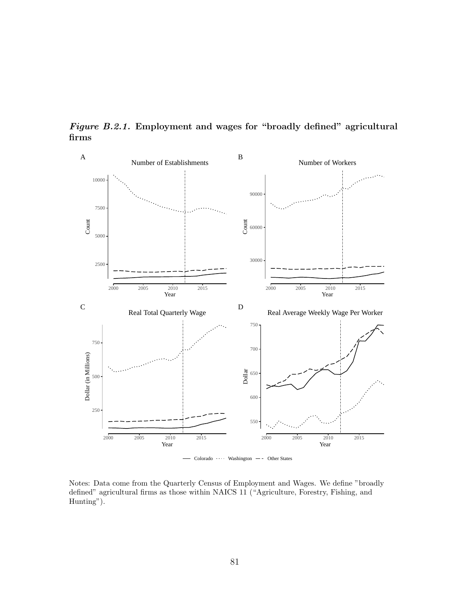

Figure B.2.1. Employment and wages for "broadly defined" agricultural firms

Notes: Data come from the Quarterly Census of Employment and Wages. We define "broadly defined" agricultural firms as those within NAICS 11 ("Agriculture, Forestry, Fishing, and Hunting").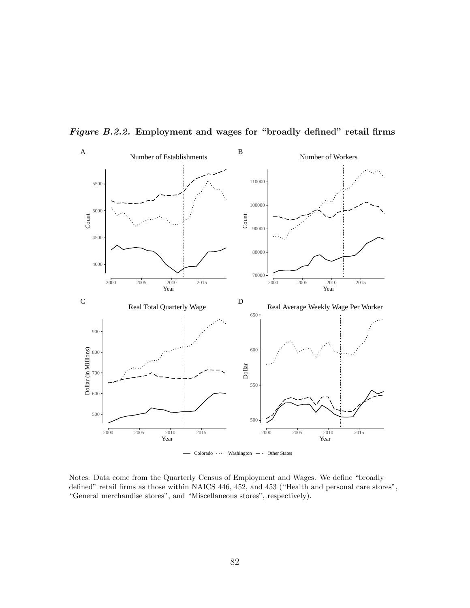

Figure B.2.2. Employment and wages for "broadly defined" retail firms

Notes: Data come from the Quarterly Census of Employment and Wages. We define "broadly defined" retail firms as those within NAICS 446, 452, and 453 ("Health and personal care stores", "General merchandise stores", and "Miscellaneous stores", respectively).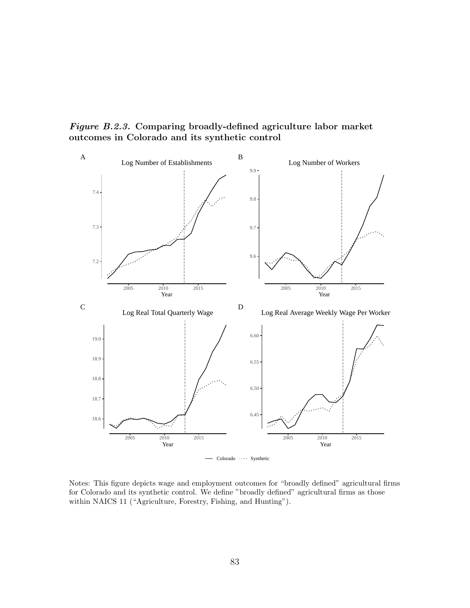Figure B.2.3. Comparing broadly-defined agriculture labor market outcomes in Colorado and its synthetic control



Notes: This figure depicts wage and employment outcomes for "broadly defined" agricultural firms for Colorado and its synthetic control. We define "broadly defined" agricultural firms as those within NAICS 11 ("Agriculture, Forestry, Fishing, and Hunting").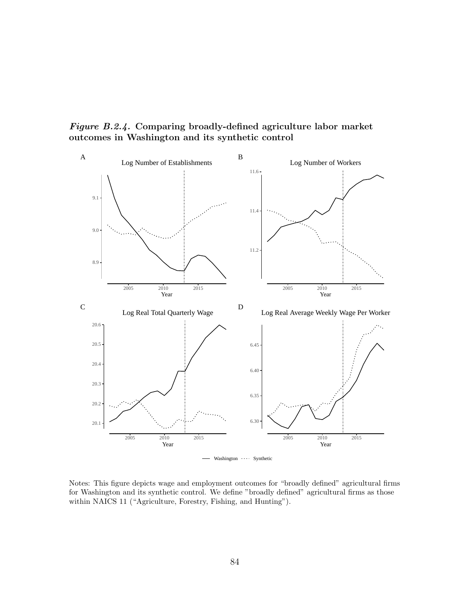Figure B.2.4. Comparing broadly-defined agriculture labor market outcomes in Washington and its synthetic control



Notes: This figure depicts wage and employment outcomes for "broadly defined" agricultural firms for Washington and its synthetic control. We define "broadly defined" agricultural firms as those within NAICS 11 ("Agriculture, Forestry, Fishing, and Hunting").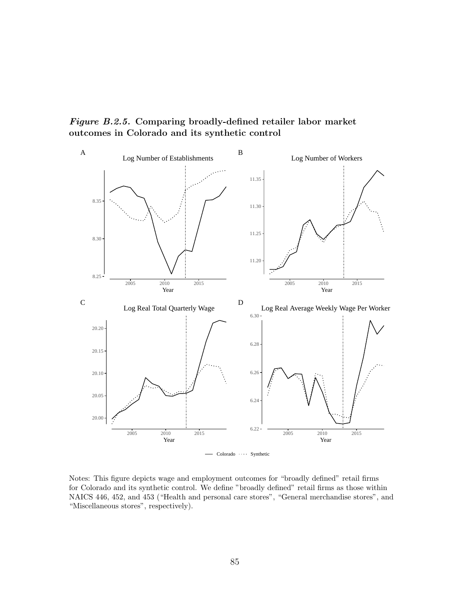Figure B.2.5. Comparing broadly-defined retailer labor market outcomes in Colorado and its synthetic control



Notes: This figure depicts wage and employment outcomes for "broadly defined" retail firms for Colorado and its synthetic control. We define "broadly defined" retail firms as those within NAICS 446, 452, and 453 ("Health and personal care stores", "General merchandise stores", and "Miscellaneous stores", respectively).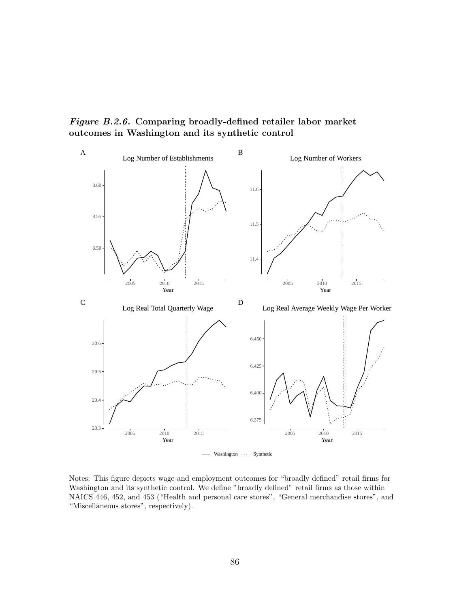Figure B.2.6. Comparing broadly-defined retailer labor market outcomes in Washington and its synthetic control



Notes: This figure depicts wage and employment outcomes for "broadly defined" retail firms for Washington and its synthetic control. We define "broadly defined" retail firms as those within NAICS 446, 452, and 453 ("Health and personal care stores", "General merchandise stores", and "Miscellaneous stores", respectively).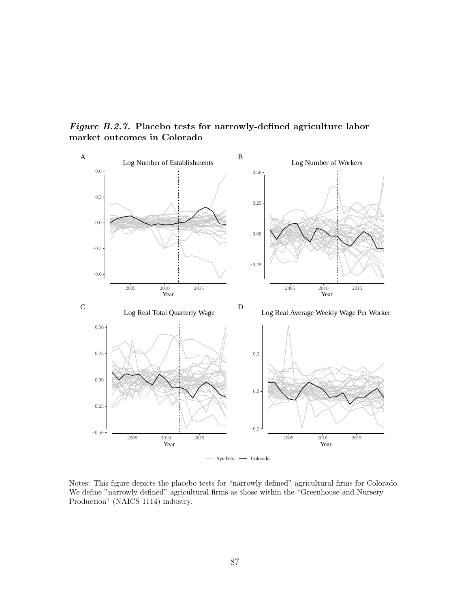Figure B.2.7. Placebo tests for narrowly-defined agriculture labor market outcomes in Colorado



Notes: This figure depicts the placebo tests for "narrowly defined" agricultural firms for Colorado. We define "narrowly defined" agricultural firms as those within the "Greenhouse and Nursery Production" (NAICS 1114) industry.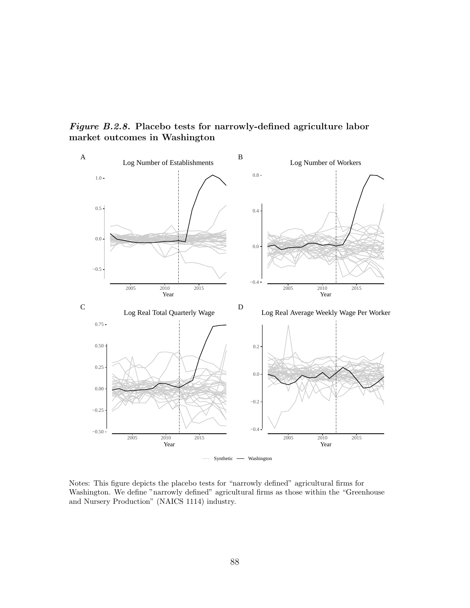Figure B.2.8. Placebo tests for narrowly-defined agriculture labor market outcomes in Washington



Notes: This figure depicts the placebo tests for "narrowly defined" agricultural firms for Washington. We define "narrowly defined" agricultural firms as those within the "Greenhouse and Nursery Production" (NAICS 1114) industry.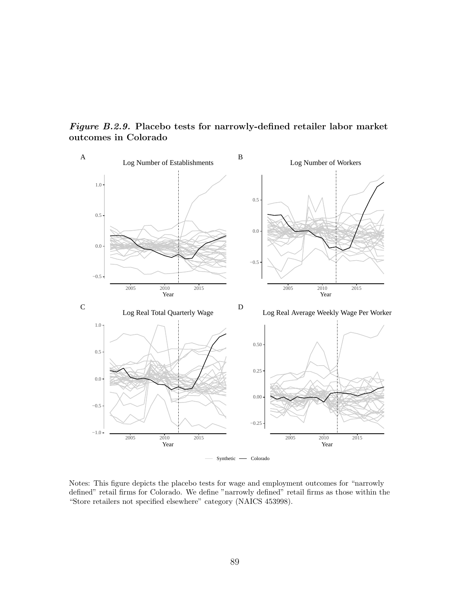

Figure B.2.9. Placebo tests for narrowly-defined retailer labor market outcomes in Colorado

Notes: This figure depicts the placebo tests for wage and employment outcomes for "narrowly defined" retail firms for Colorado. We define "narrowly defined" retail firms as those within the "Store retailers not specified elsewhere" category (NAICS 453998).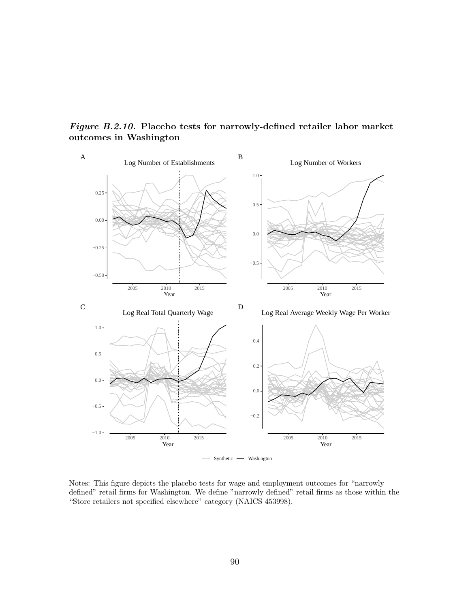Figure B.2.10. Placebo tests for narrowly-defined retailer labor market outcomes in Washington



Notes: This figure depicts the placebo tests for wage and employment outcomes for "narrowly defined" retail firms for Washington. We define "narrowly defined" retail firms as those within the "Store retailers not specified elsewhere" category (NAICS 453998).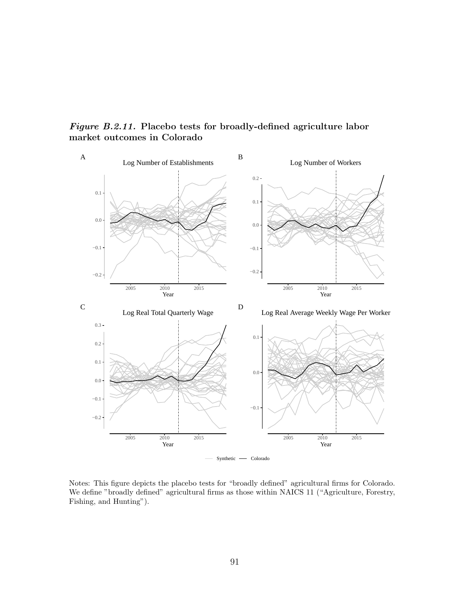Figure B.2.11. Placebo tests for broadly-defined agriculture labor market outcomes in Colorado



Notes: This figure depicts the placebo tests for "broadly defined" agricultural firms for Colorado. We define "broadly defined" agricultural firms as those within NAICS 11 ("Agriculture, Forestry, Fishing, and Hunting").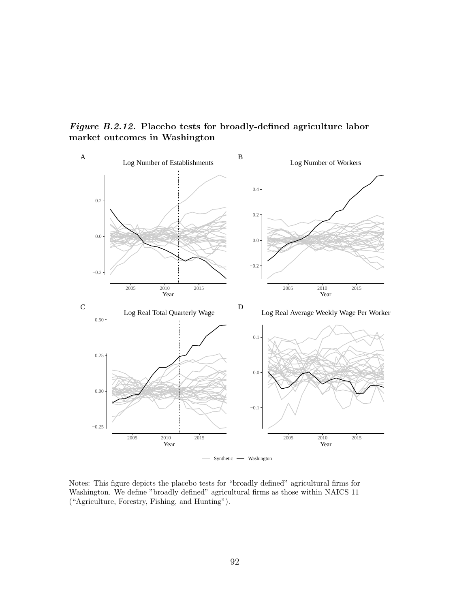Figure B.2.12. Placebo tests for broadly-defined agriculture labor market outcomes in Washington



Notes: This figure depicts the placebo tests for "broadly defined" agricultural firms for Washington. We define "broadly defined" agricultural firms as those within NAICS 11 ("Agriculture, Forestry, Fishing, and Hunting").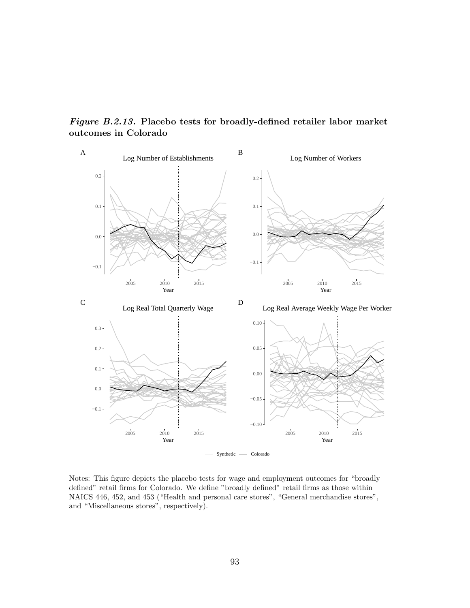−0.1 0.0 0.1 0.2 2005 2010 2015 Year Log Number of Establishments A −0.1 0.0 0.1 0.2 2005 2010 2015 Year Log Number of Workers B −0.1 0.0 0.1 0.2 0.3 2005 2010 2015<br>
Year Log Real Total Quarterly Wage C  $-0.10 -$ −0.05 0.00 0.05  $0.10 -$ 2005 2010 2015<br>
Year Log Real Average Weekly Wage Per Worker D Synthetic  $\longrightarrow$  Colorado

Figure B.2.13. Placebo tests for broadly-defined retailer labor market outcomes in Colorado

Notes: This figure depicts the placebo tests for wage and employment outcomes for "broadly defined" retail firms for Colorado. We define "broadly defined" retail firms as those within NAICS 446, 452, and 453 ("Health and personal care stores", "General merchandise stores", and "Miscellaneous stores", respectively).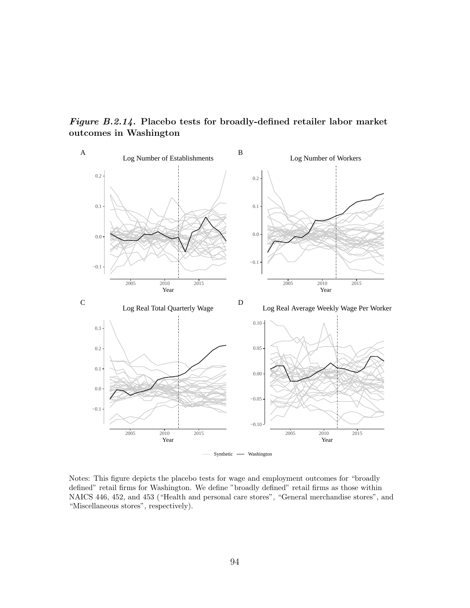Figure B.2.14. Placebo tests for broadly-defined retailer labor market outcomes in Washington



Notes: This figure depicts the placebo tests for wage and employment outcomes for "broadly defined" retail firms for Washington. We define "broadly defined" retail firms as those within NAICS 446, 452, and 453 ("Health and personal care stores", "General merchandise stores", and "Miscellaneous stores", respectively).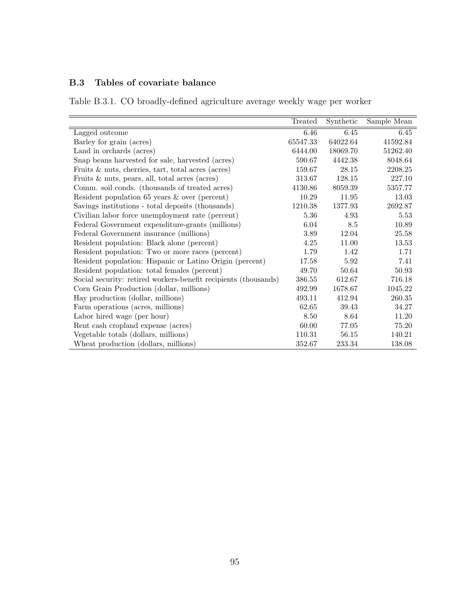# B.3 Tables of covariate balance

Table B.3.1. CO broadly-defined agriculture average weekly wage per worker

|                                                                 | Treated  | Synthetic | Sample Mean |
|-----------------------------------------------------------------|----------|-----------|-------------|
| Lagged outcome                                                  | 6.46     | 6.45      | 6.45        |
| Barley for grain (acres)                                        | 65547.33 | 64022.64  | 41592.84    |
| Land in orchards (acres)                                        | 6444.00  | 18069.70  | 51262.40    |
| Snap beans harvested for sale, harvested (acres)                | 590.67   | 4442.38   | 8048.64     |
| Fruits $\&$ nuts, cherries, tart, total acres (acres)           | 159.67   | 28.15     | 2208.25     |
| Fruits $\&$ nuts, pears, all, total acres (acres)               | 313.67   | 128.15    | 227.10      |
| Comm. soil conds. (thousands of treated acres)                  | 4130.86  | 8059.39   | 5357.77     |
| Resident population $65$ years $\&$ over (percent)              | 10.29    | 11.95     | 13.03       |
| Savings institutions - total deposits (thousands)               | 1210.38  | 1377.93   | 2692.87     |
| Civilian labor force unemployment rate (percent)                | 5.36     | 4.93      | 5.53        |
| Federal Government expenditure-grants (millions)                | 6.04     | 8.5       | 10.89       |
| Federal Government insurance (millions)                         | 3.89     | 12.04     | 25.58       |
| Resident population: Black alone (percent)                      | 4.25     | 11.00     | 13.53       |
| Resident population: Two or more races (percent)                | 1.79     | 1.42      | 1.71        |
| Resident population: Hispanic or Latino Origin (percent)        | 17.58    | 5.92      | 7.41        |
| Resident population: total females (percent)                    | 49.70    | 50.64     | 50.93       |
| Social security: retired workers-benefit recipients (thousands) | 386.55   | 612.67    | 716.18      |
| Corn Grain Production (dollar, millions)                        | 492.99   | 1678.67   | 1045.22     |
| Hay production (dollar, millions)                               | 493.11   | 412.94    | 260.35      |
| Farm operations (acres, millions)                               | 62.65    | 39.43     | 34.27       |
| Labor hired wage (per hour)                                     | 8.50     | 8.64      | 11.20       |
| Rent cash cropland expense (acres)                              | 60.00    | 77.05     | 75.20       |
| Vegetable totals (dollars, millions)                            | 110.31   | 56.15     | 140.21      |
| Wheat production (dollars, millions)                            | 352.67   | 233.34    | 138.08      |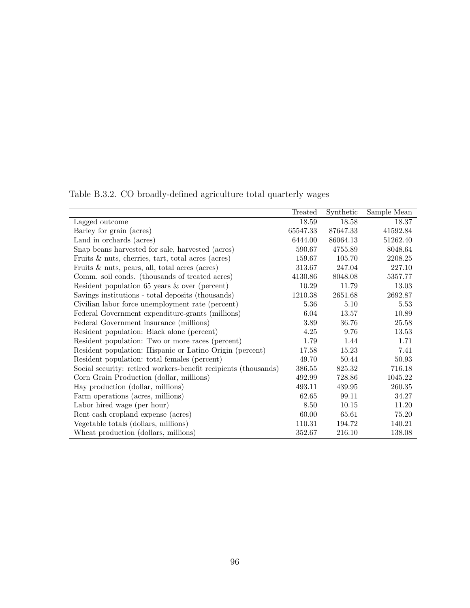|                                                                 | Treated  | Synthetic | Sample Mean |
|-----------------------------------------------------------------|----------|-----------|-------------|
| Lagged outcome                                                  | 18.59    | 18.58     | 18.37       |
| Barley for grain (acres)                                        | 65547.33 | 87647.33  | 41592.84    |
| Land in orchards (acres)                                        | 6444.00  | 86064.13  | 51262.40    |
| Snap beans harvested for sale, harvested (acres)                | 590.67   | 4755.89   | 8048.64     |
| Fruits $\&$ nuts, cherries, tart, total acres (acres)           | 159.67   | 105.70    | 2208.25     |
| Fruits $\&$ nuts, pears, all, total acres (acres)               | 313.67   | 247.04    | 227.10      |
| Comm. soil conds. (thousands of treated acres)                  | 4130.86  | 8048.08   | 5357.77     |
| Resident population $65$ years $\&$ over (percent)              | 10.29    | 11.79     | 13.03       |
| Savings institutions - total deposits (thousands)               | 1210.38  | 2651.68   | 2692.87     |
| Civilian labor force unemployment rate (percent)                | 5.36     | 5.10      | 5.53        |
| Federal Government expenditure-grants (millions)                | 6.04     | 13.57     | 10.89       |
| Federal Government insurance (millions)                         | 3.89     | 36.76     | 25.58       |
| Resident population: Black alone (percent)                      | 4.25     | 9.76      | 13.53       |
| Resident population: Two or more races (percent)                | 1.79     | 1.44      | 1.71        |
| Resident population: Hispanic or Latino Origin (percent)        | 17.58    | 15.23     | 7.41        |
| Resident population: total females (percent)                    | 49.70    | 50.44     | 50.93       |
| Social security: retired workers-benefit recipients (thousands) | 386.55   | 825.32    | 716.18      |
| Corn Grain Production (dollar, millions)                        | 492.99   | 728.86    | 1045.22     |
| Hay production (dollar, millions)                               | 493.11   | 439.95    | 260.35      |
| Farm operations (acres, millions)                               | 62.65    | 99.11     | 34.27       |
| Labor hired wage (per hour)                                     | 8.50     | 10.15     | 11.20       |
| Rent cash cropland expense (acres)                              | 60.00    | 65.61     | 75.20       |
| Vegetable totals (dollars, millions)                            | 110.31   | 194.72    | 140.21      |
| Wheat production (dollars, millions)                            | 352.67   | 216.10    | 138.08      |

Table B.3.2. CO broadly-defined agriculture total quarterly wages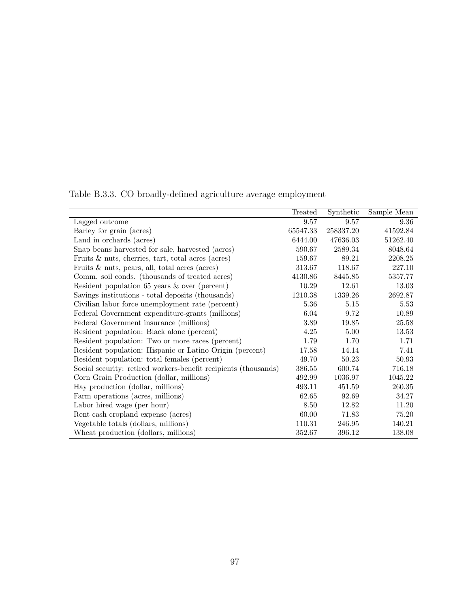|                                                                 | Treated  | Synthetic | Sample Mean |
|-----------------------------------------------------------------|----------|-----------|-------------|
| Lagged outcome                                                  | 9.57     | 9.57      | 9.36        |
| Barley for grain (acres)                                        | 65547.33 | 258337.20 | 41592.84    |
| Land in orchards (acres)                                        | 6444.00  | 47636.03  | 51262.40    |
| Snap beans harvested for sale, harvested (acres)                | 590.67   | 2589.34   | 8048.64     |
| Fruits $\&$ nuts, cherries, tart, total acres (acres)           | 159.67   | 89.21     | 2208.25     |
| Fruits $\&$ nuts, pears, all, total acres (acres)               | 313.67   | 118.67    | 227.10      |
| Comm. soil conds. (thousands of treated acres)                  | 4130.86  | 8445.85   | 5357.77     |
| Resident population $65$ years $\&$ over (percent)              | 10.29    | 12.61     | 13.03       |
| Savings institutions - total deposits (thousands)               | 1210.38  | 1339.26   | 2692.87     |
| Civilian labor force unemployment rate (percent)                | 5.36     | 5.15      | 5.53        |
| Federal Government expenditure-grants (millions)                | 6.04     | 9.72      | 10.89       |
| Federal Government insurance (millions)                         | 3.89     | 19.85     | 25.58       |
| Resident population: Black alone (percent)                      | 4.25     | 5.00      | 13.53       |
| Resident population: Two or more races (percent)                | 1.79     | 1.70      | 1.71        |
| Resident population: Hispanic or Latino Origin (percent)        | 17.58    | 14.14     | 7.41        |
| Resident population: total females (percent)                    | 49.70    | 50.23     | 50.93       |
| Social security: retired workers-benefit recipients (thousands) | 386.55   | 600.74    | 716.18      |
| Corn Grain Production (dollar, millions)                        | 492.99   | 1036.97   | 1045.22     |
| Hay production (dollar, millions)                               | 493.11   | 451.59    | 260.35      |
| Farm operations (acres, millions)                               | 62.65    | 92.69     | 34.27       |
| Labor hired wage (per hour)                                     | 8.50     | 12.82     | 11.20       |
| Rent cash cropland expense (acres)                              | 60.00    | 71.83     | 75.20       |
| Vegetable totals (dollars, millions)                            | 110.31   | 246.95    | 140.21      |
| Wheat production (dollars, millions)                            | 352.67   | 396.12    | 138.08      |

Table B.3.3. CO broadly-defined agriculture average employment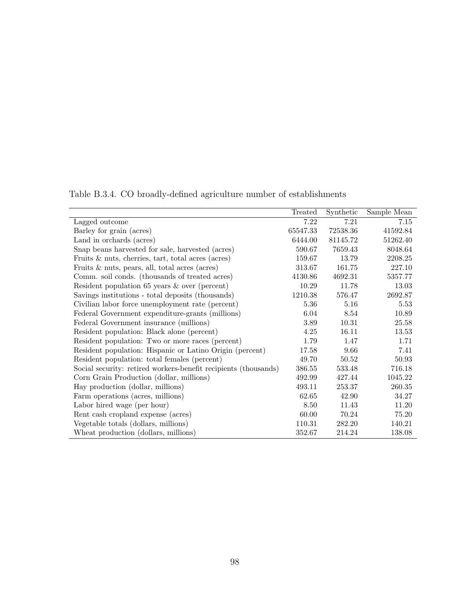|                                                                 | Treated  | Synthetic | Sample Mean |
|-----------------------------------------------------------------|----------|-----------|-------------|
|                                                                 | 7.22     | 7.21      | 7.15        |
| Lagged outcome                                                  |          |           |             |
| Barley for grain (acres)                                        | 65547.33 | 72538.36  | 41592.84    |
| Land in orchards (acres)                                        | 6444.00  | 81145.72  | 51262.40    |
| Snap beans harvested for sale, harvested (acres)                | 590.67   | 7659.43   | 8048.64     |
| Fruits $\&$ nuts, cherries, tart, total acres (acres)           | 159.67   | 13.79     | 2208.25     |
| Fruits $\&$ nuts, pears, all, total acres (acres)               | 313.67   | 161.75    | 227.10      |
| Comm. soil conds. (thousands of treated acres)                  | 4130.86  | 4692.31   | 5357.77     |
| Resident population $65$ years $\&$ over (percent)              | 10.29    | 11.78     | 13.03       |
| Savings institutions - total deposits (thousands)               | 1210.38  | 576.47    | 2692.87     |
| Civilian labor force unemployment rate (percent)                | 5.36     | 5.16      | 5.53        |
| Federal Government expenditure-grants (millions)                | 6.04     | 8.54      | 10.89       |
| Federal Government insurance (millions)                         | 3.89     | 10.31     | 25.58       |
| Resident population: Black alone (percent)                      | 4.25     | 16.11     | 13.53       |
| Resident population: Two or more races (percent)                | 1.79     | 1.47      | 1.71        |
| Resident population: Hispanic or Latino Origin (percent)        | 17.58    | 9.66      | 7.41        |
| Resident population: total females (percent)                    | 49.70    | 50.52     | 50.93       |
| Social security: retired workers-benefit recipients (thousands) | 386.55   | 533.48    | 716.18      |
| Corn Grain Production (dollar, millions)                        | 492.99   | 427.44    | 1045.22     |
| Hay production (dollar, millions)                               | 493.11   | 253.37    | 260.35      |
| Farm operations (acres, millions)                               | 62.65    | 42.90     | 34.27       |
| Labor hired wage (per hour)                                     | 8.50     | 11.43     | 11.20       |
| Rent cash cropland expense (acres)                              | 60.00    | 70.24     | 75.20       |
| Vegetable totals (dollars, millions)                            | 110.31   | 282.20    | 140.21      |
| Wheat production (dollars, millions)                            | 352.67   | 214.24    | 138.08      |

Table B.3.4. CO broadly-defined agriculture number of establishments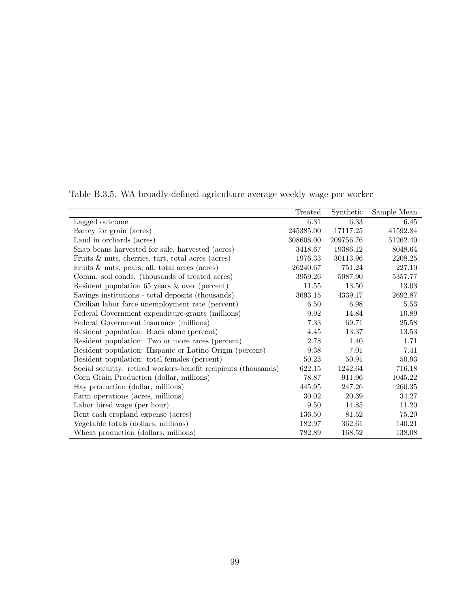|                                                                 | Treated   | Synthetic | Sample Mean |
|-----------------------------------------------------------------|-----------|-----------|-------------|
| Lagged outcome                                                  | 6.31      | 6.33      | 6.45        |
| Barley for grain (acres)                                        | 245385.00 | 17117.25  | 41592.84    |
| Land in orchards (acres)                                        | 308608.00 | 209756.76 | 51262.40    |
| Snap beans harvested for sale, harvested (acres)                | 3418.67   | 19386.12  | 8048.64     |
| Fruits $\&$ nuts, cherries, tart, total acres (acres)           | 1976.33   | 30113.96  | 2208.25     |
| Fruits $\&$ nuts, pears, all, total acres (acres)               | 26240.67  | 751.24    | 227.10      |
| Comm. soil conds. (thousands of treated acres)                  | 3959.26   | 5087.90   | 5357.77     |
| Resident population $65$ years $\&$ over (percent)              | 11.55     | 13.50     | 13.03       |
| Savings institutions - total deposits (thousands)               | 3693.15   | 4339.17   | 2692.87     |
| Civilian labor force unemployment rate (percent)                | 6.50      | 6.98      | 5.53        |
| Federal Government expenditure-grants (millions)                | 9.92      | 14.84     | 10.89       |
| Federal Government insurance (millions)                         | 7.33      | 69.71     | 25.58       |
| Resident population: Black alone (percent)                      | 4.45      | 13.37     | 13.53       |
| Resident population: Two or more races (percent)                | 2.78      | 1.40      | 1.71        |
| Resident population: Hispanic or Latino Origin (percent)        | 9.38      | 7.01      | 7.41        |
| Resident population: total females (percent)                    | 50.23     | 50.91     | 50.93       |
| Social security: retired workers-benefit recipients (thousands) | 622.15    | 1242.64   | 716.18      |
| Corn Grain Production (dollar, millions)                        | 78.87     | 911.96    | 1045.22     |
| Hay production (dollar, millions)                               | 445.95    | 247.26    | 260.35      |
| Farm operations (acres, millions)                               | 30.02     | 20.39     | 34.27       |
| Labor hired wage (per hour)                                     | 9.50      | 14.85     | 11.20       |
| Rent cash cropland expense (acres)                              | 136.50    | 81.52     | 75.20       |
| Vegetable totals (dollars, millions)                            | 182.97    | 362.61    | 140.21      |
| Wheat production (dollars, millions)                            | 782.89    | 168.52    | 138.08      |

Table B.3.5. WA broadly-defined agriculture average weekly wage per worker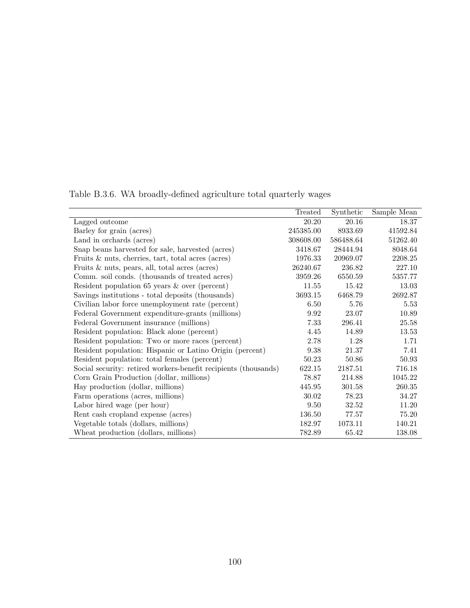|                                                                 | Treated   | Synthetic | Sample Mean |
|-----------------------------------------------------------------|-----------|-----------|-------------|
| Lagged outcome                                                  | 20.20     | 20.16     | 18.37       |
| Barley for grain (acres)                                        | 245385.00 | 8933.69   | 41592.84    |
| Land in orchards (acres)                                        | 308608.00 | 586488.64 | 51262.40    |
| Snap beans harvested for sale, harvested (acres)                | 3418.67   | 28444.94  | 8048.64     |
| Fruits $\&$ nuts, cherries, tart, total acres (acres)           | 1976.33   | 20969.07  | 2208.25     |
| Fruits $\&$ nuts, pears, all, total acres (acres)               | 26240.67  | 236.82    | 227.10      |
| Comm. soil conds. (thousands of treated acres)                  | 3959.26   | 6550.59   | 5357.77     |
| Resident population 65 years $\&$ over (percent)                | 11.55     | 15.42     | 13.03       |
| Savings institutions - total deposits (thousands)               | 3693.15   | 6468.79   | 2692.87     |
| Civilian labor force unemployment rate (percent)                | 6.50      | 5.76      | 5.53        |
| Federal Government expenditure-grants (millions)                | 9.92      | 23.07     | 10.89       |
| Federal Government insurance (millions)                         | 7.33      | 296.41    | 25.58       |
| Resident population: Black alone (percent)                      | 4.45      | 14.89     | 13.53       |
| Resident population: Two or more races (percent)                | 2.78      | 1.28      | 1.71        |
| Resident population: Hispanic or Latino Origin (percent)        | 9.38      | 21.37     | 7.41        |
| Resident population: total females (percent)                    | 50.23     | 50.86     | 50.93       |
| Social security: retired workers-benefit recipients (thousands) | 622.15    | 2187.51   | 716.18      |
| Corn Grain Production (dollar, millions)                        | 78.87     | 214.88    | 1045.22     |
| Hay production (dollar, millions)                               | 445.95    | 301.58    | 260.35      |
| Farm operations (acres, millions)                               | 30.02     | 78.23     | 34.27       |
| Labor hired wage (per hour)                                     | 9.50      | 32.52     | 11.20       |
| Rent cash cropland expense (acres)                              | 136.50    | 77.57     | 75.20       |
| Vegetable totals (dollars, millions)                            | 182.97    | 1073.11   | 140.21      |
| Wheat production (dollars, millions)                            | 782.89    | 65.42     | 138.08      |
|                                                                 |           |           |             |

Table B.3.6. WA broadly-defined agriculture total quarterly wages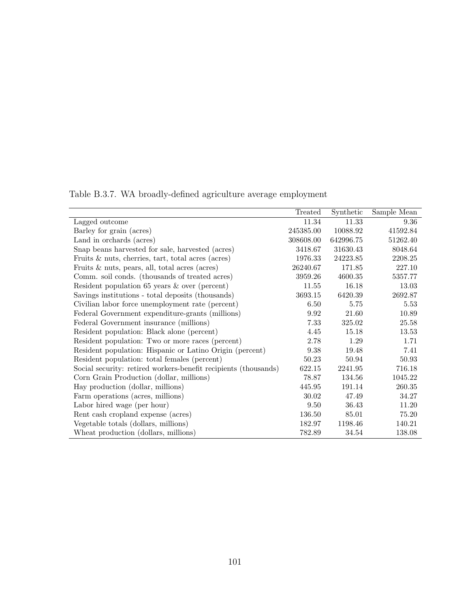|                                                                 | Treated   | Synthetic | Sample Mean |
|-----------------------------------------------------------------|-----------|-----------|-------------|
| Lagged outcome                                                  | 11.34     | 11.33     | 9.36        |
| Barley for grain (acres)                                        | 245385.00 | 10088.92  | 41592.84    |
| Land in orchards (acres)                                        | 308608.00 | 642996.75 | 51262.40    |
| Snap beans harvested for sale, harvested (acres)                | 3418.67   | 31630.43  | 8048.64     |
| Fruits $\&$ nuts, cherries, tart, total acres (acres)           | 1976.33   | 24223.85  | 2208.25     |
| Fruits $\&$ nuts, pears, all, total acres (acres)               | 26240.67  | 171.85    | 227.10      |
| Comm. soil conds. (thousands of treated acres)                  | 3959.26   | 4600.35   | 5357.77     |
| Resident population $65$ years $\&$ over (percent)              | 11.55     | 16.18     | 13.03       |
| Savings institutions - total deposits (thousands)               | 3693.15   | 6420.39   | 2692.87     |
| Civilian labor force unemployment rate (percent)                | 6.50      | 5.75      | 5.53        |
| Federal Government expenditure-grants (millions)                | 9.92      | 21.60     | 10.89       |
| Federal Government insurance (millions)                         | 7.33      | 325.02    | 25.58       |
| Resident population: Black alone (percent)                      | 4.45      | 15.18     | 13.53       |
| Resident population: Two or more races (percent)                | 2.78      | 1.29      | 1.71        |
| Resident population: Hispanic or Latino Origin (percent)        | 9.38      | 19.48     | 7.41        |
| Resident population: total females (percent)                    | 50.23     | 50.94     | 50.93       |
| Social security: retired workers-benefit recipients (thousands) | 622.15    | 2241.95   | 716.18      |
| Corn Grain Production (dollar, millions)                        | 78.87     | 134.56    | 1045.22     |
| Hay production (dollar, millions)                               | 445.95    | 191.14    | 260.35      |
| Farm operations (acres, millions)                               | 30.02     | 47.49     | 34.27       |
| Labor hired wage (per hour)                                     | 9.50      | 36.43     | 11.20       |
| Rent cash cropland expense (acres)                              | 136.50    | 85.01     | 75.20       |
| Vegetable totals (dollars, millions)                            | 182.97    | 1198.46   | 140.21      |
| Wheat production (dollars, millions)                            | 782.89    | 34.54     | 138.08      |
|                                                                 |           |           |             |

Table B.3.7. WA broadly-defined agriculture average employment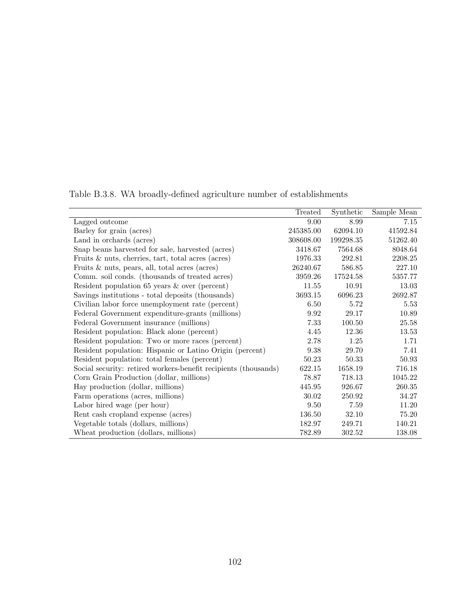|                                                                 | Treated   | Synthetic | Sample Mean |
|-----------------------------------------------------------------|-----------|-----------|-------------|
| Lagged outcome                                                  | 9.00      | 8.99      | 7.15        |
| Barley for grain (acres)                                        | 245385.00 | 62094.10  | 41592.84    |
| Land in orchards (acres)                                        | 308608.00 | 199298.35 | 51262.40    |
| Snap beans harvested for sale, harvested (acres)                | 3418.67   | 7564.68   | 8048.64     |
| Fruits $\&$ nuts, cherries, tart, total acres (acres)           | 1976.33   | 292.81    | 2208.25     |
| Fruits $\&$ nuts, pears, all, total acres (acres)               | 26240.67  | 586.85    | 227.10      |
| Comm. soil conds. (thousands of treated acres)                  | 3959.26   | 17524.58  | 5357.77     |
| Resident population 65 years $\&$ over (percent)                | 11.55     | 10.91     | 13.03       |
| Savings institutions - total deposits (thousands)               | 3693.15   | 6096.23   | 2692.87     |
| Civilian labor force unemployment rate (percent)                | 6.50      | 5.72      | 5.53        |
| Federal Government expenditure-grants (millions)                | 9.92      | 29.17     | 10.89       |
| Federal Government insurance (millions)                         | 7.33      | 100.50    | 25.58       |
| Resident population: Black alone (percent)                      | 4.45      | 12.36     | 13.53       |
| Resident population: Two or more races (percent)                | 2.78      | 1.25      | 1.71        |
| Resident population: Hispanic or Latino Origin (percent)        | 9.38      | 29.70     | 7.41        |
| Resident population: total females (percent)                    | 50.23     | 50.33     | 50.93       |
| Social security: retired workers-benefit recipients (thousands) | 622.15    | 1658.19   | 716.18      |
| Corn Grain Production (dollar, millions)                        | 78.87     | 718.13    | 1045.22     |
| Hay production (dollar, millions)                               | 445.95    | 926.67    | 260.35      |
| Farm operations (acres, millions)                               | 30.02     | 250.92    | 34.27       |
| Labor hired wage (per hour)                                     | 9.50      | 7.59      | 11.20       |
| Rent cash cropland expense (acres)                              | 136.50    | 32.10     | 75.20       |
| Vegetable totals (dollars, millions)                            | 182.97    | 249.71    | 140.21      |
| Wheat production (dollars, millions)                            | 782.89    | 302.52    | 138.08      |
|                                                                 |           |           |             |

Table B.3.8. WA broadly-defined agriculture number of establishments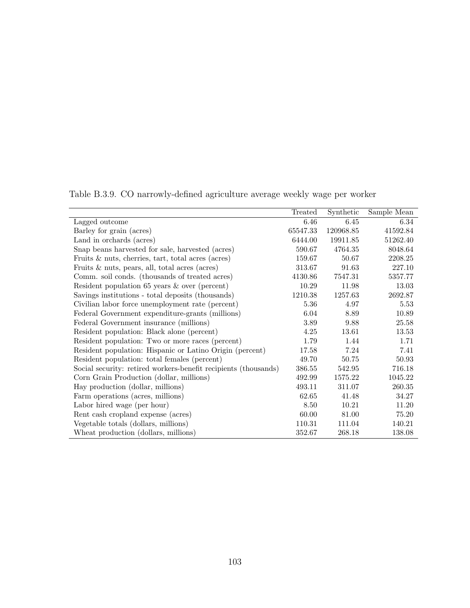|                                                                 | Treated  | Synthetic | Sample Mean |
|-----------------------------------------------------------------|----------|-----------|-------------|
| Lagged outcome                                                  | 6.46     | 6.45      | 6.34        |
| Barley for grain (acres)                                        | 65547.33 | 120968.85 | 41592.84    |
| Land in orchards (acres)                                        | 6444.00  | 19911.85  | 51262.40    |
| Snap beans harvested for sale, harvested (acres)                | 590.67   | 4764.35   | 8048.64     |
| Fruits $\&$ nuts, cherries, tart, total acres (acres)           | 159.67   | 50.67     | 2208.25     |
| Fruits $\&$ nuts, pears, all, total acres (acres)               | 313.67   | 91.63     | 227.10      |
| Comm. soil conds. (thousands of treated acres)                  | 4130.86  | 7547.31   | 5357.77     |
| Resident population $65$ years $\&$ over (percent)              | 10.29    | 11.98     | 13.03       |
| Savings institutions - total deposits (thousands)               | 1210.38  | 1257.63   | 2692.87     |
| Civilian labor force unemployment rate (percent)                | 5.36     | 4.97      | 5.53        |
| Federal Government expenditure-grants (millions)                | 6.04     | 8.89      | 10.89       |
| Federal Government insurance (millions)                         | 3.89     | 9.88      | 25.58       |
| Resident population: Black alone (percent)                      | 4.25     | 13.61     | 13.53       |
| Resident population: Two or more races (percent)                | 1.79     | 1.44      | 1.71        |
| Resident population: Hispanic or Latino Origin (percent)        | 17.58    | 7.24      | 7.41        |
| Resident population: total females (percent)                    | 49.70    | 50.75     | 50.93       |
| Social security: retired workers-benefit recipients (thousands) | 386.55   | 542.95    | 716.18      |
| Corn Grain Production (dollar, millions)                        | 492.99   | 1575.22   | 1045.22     |
| Hay production (dollar, millions)                               | 493.11   | 311.07    | 260.35      |
| Farm operations (acres, millions)                               | 62.65    | 41.48     | 34.27       |
| Labor hired wage (per hour)                                     | 8.50     | 10.21     | 11.20       |
| Rent cash cropland expense (acres)                              | 60.00    | 81.00     | 75.20       |
| Vegetable totals (dollars, millions)                            | 110.31   | 111.04    | 140.21      |
| Wheat production (dollars, millions)                            | 352.67   | 268.18    | 138.08      |

Table B.3.9. CO narrowly-defined agriculture average weekly wage per worker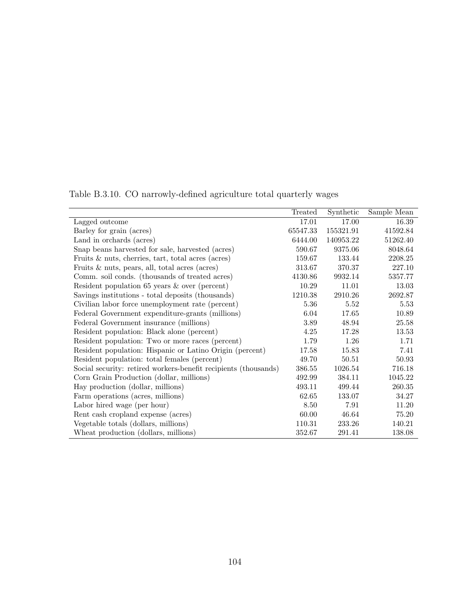|                                                                 | Treated  | Synthetic | Sample Mean |
|-----------------------------------------------------------------|----------|-----------|-------------|
| Lagged outcome                                                  | 17.01    | 17.00     | 16.39       |
| Barley for grain (acres)                                        | 65547.33 | 155321.91 | 41592.84    |
| Land in orchards (acres)                                        | 6444.00  | 140953.22 | 51262.40    |
| Snap beans harvested for sale, harvested (acres)                | 590.67   | 9375.06   | 8048.64     |
| Fruits $\&$ nuts, cherries, tart, total acres (acres)           | 159.67   | 133.44    | 2208.25     |
| Fruits $\&$ nuts, pears, all, total acres (acres)               | 313.67   | 370.37    | 227.10      |
| Comm. soil conds. (thousands of treated acres)                  | 4130.86  | 9932.14   | 5357.77     |
| Resident population $65$ years $\&$ over (percent)              | 10.29    | 11.01     | 13.03       |
| Savings institutions - total deposits (thousands)               | 1210.38  | 2910.26   | 2692.87     |
| Civilian labor force unemployment rate (percent)                | 5.36     | 5.52      | 5.53        |
| Federal Government expenditure-grants (millions)                | 6.04     | 17.65     | 10.89       |
| Federal Government insurance (millions)                         | 3.89     | 48.94     | 25.58       |
| Resident population: Black alone (percent)                      | 4.25     | 17.28     | 13.53       |
| Resident population: Two or more races (percent)                | 1.79     | 1.26      | 1.71        |
| Resident population: Hispanic or Latino Origin (percent)        | 17.58    | 15.83     | 7.41        |
| Resident population: total females (percent)                    | 49.70    | 50.51     | 50.93       |
| Social security: retired workers-benefit recipients (thousands) | 386.55   | 1026.54   | 716.18      |
| Corn Grain Production (dollar, millions)                        | 492.99   | 384.11    | 1045.22     |
| Hay production (dollar, millions)                               | 493.11   | 499.44    | 260.35      |
| Farm operations (acres, millions)                               | 62.65    | 133.07    | 34.27       |
| Labor hired wage (per hour)                                     | 8.50     | 7.91      | 11.20       |
| Rent cash cropland expense (acres)                              | 60.00    | 46.64     | 75.20       |
| Vegetable totals (dollars, millions)                            | 110.31   | 233.26    | 140.21      |
| Wheat production (dollars, millions)                            | 352.67   | 291.41    | 138.08      |

Table B.3.10. CO narrowly-defined agriculture total quarterly wages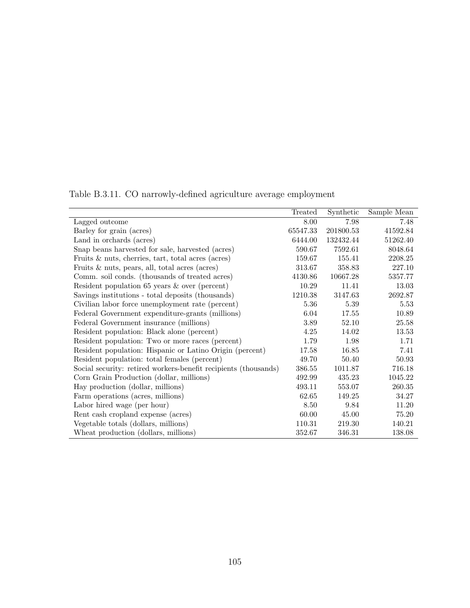|                                                                 | Treated  | Synthetic | Sample Mean |
|-----------------------------------------------------------------|----------|-----------|-------------|
|                                                                 | 8.00     | 7.98      | 7.48        |
| Lagged outcome                                                  |          |           |             |
| Barley for grain (acres)                                        | 65547.33 | 201800.53 | 41592.84    |
| Land in orchards (acres)                                        | 6444.00  | 132432.44 | 51262.40    |
| Snap beans harvested for sale, harvested (acres)                | 590.67   | 7592.61   | 8048.64     |
| Fruits $\&$ nuts, cherries, tart, total acres (acres)           | 159.67   | 155.41    | 2208.25     |
| Fruits $\&$ nuts, pears, all, total acres (acres)               | 313.67   | 358.83    | 227.10      |
| Comm. soil conds. (thousands of treated acres)                  | 4130.86  | 10667.28  | 5357.77     |
| Resident population $65$ years $\&$ over (percent)              | 10.29    | 11.41     | 13.03       |
| Savings institutions - total deposits (thousands)               | 1210.38  | 3147.63   | 2692.87     |
| Civilian labor force unemployment rate (percent)                | 5.36     | 5.39      | 5.53        |
| Federal Government expenditure-grants (millions)                | 6.04     | 17.55     | 10.89       |
| Federal Government insurance (millions)                         | 3.89     | 52.10     | 25.58       |
| Resident population: Black alone (percent)                      | 4.25     | 14.02     | 13.53       |
| Resident population: Two or more races (percent)                | 1.79     | 1.98      | 1.71        |
| Resident population: Hispanic or Latino Origin (percent)        | 17.58    | 16.85     | 7.41        |
| Resident population: total females (percent)                    | 49.70    | 50.40     | 50.93       |
| Social security: retired workers-benefit recipients (thousands) | 386.55   | 1011.87   | 716.18      |
| Corn Grain Production (dollar, millions)                        | 492.99   | 435.23    | 1045.22     |
| Hay production (dollar, millions)                               | 493.11   | 553.07    | 260.35      |
| Farm operations (acres, millions)                               | 62.65    | 149.25    | 34.27       |
| Labor hired wage (per hour)                                     | 8.50     | 9.84      | 11.20       |
| Rent cash cropland expense (acres)                              | 60.00    | 45.00     | 75.20       |
| Vegetable totals (dollars, millions)                            | 110.31   | 219.30    | 140.21      |
| Wheat production (dollars, millions)                            | 352.67   | 346.31    | 138.08      |

Table B.3.11. CO narrowly-defined agriculture average employment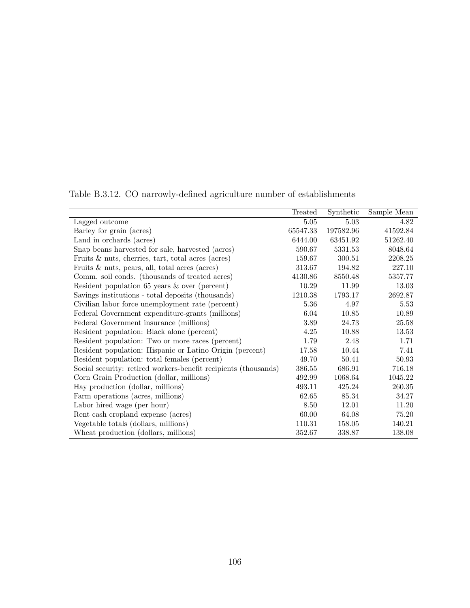|                                                                 | Treated  | Synthetic | Sample Mean |
|-----------------------------------------------------------------|----------|-----------|-------------|
| Lagged outcome                                                  | 5.05     | 5.03      | 4.82        |
| Barley for grain (acres)                                        | 65547.33 | 197582.96 | 41592.84    |
| Land in orchards (acres)                                        | 6444.00  | 63451.92  | 51262.40    |
| Snap beans harvested for sale, harvested (acres)                | 590.67   | 5331.53   | 8048.64     |
| Fruits $\&$ nuts, cherries, tart, total acres (acres)           | 159.67   | 300.51    | 2208.25     |
| Fruits $\&$ nuts, pears, all, total acres (acres)               | 313.67   | 194.82    | 227.10      |
| Comm. soil conds. (thousands of treated acres)                  | 4130.86  | 8550.48   | 5357.77     |
| Resident population $65$ years $\&$ over (percent)              | 10.29    | 11.99     | 13.03       |
| Savings institutions - total deposits (thousands)               | 1210.38  | 1793.17   | 2692.87     |
| Civilian labor force unemployment rate (percent)                | 5.36     | 4.97      | 5.53        |
| Federal Government expenditure-grants (millions)                | 6.04     | 10.85     | 10.89       |
| Federal Government insurance (millions)                         | 3.89     | 24.73     | 25.58       |
| Resident population: Black alone (percent)                      | 4.25     | 10.88     | 13.53       |
| Resident population: Two or more races (percent)                | 1.79     | 2.48      | 1.71        |
| Resident population: Hispanic or Latino Origin (percent)        | 17.58    | 10.44     | 7.41        |
| Resident population: total females (percent)                    | 49.70    | 50.41     | 50.93       |
| Social security: retired workers-benefit recipients (thousands) | 386.55   | 686.91    | 716.18      |
| Corn Grain Production (dollar, millions)                        | 492.99   | 1068.64   | 1045.22     |
| Hay production (dollar, millions)                               | 493.11   | 425.24    | 260.35      |
| Farm operations (acres, millions)                               | 62.65    | 85.34     | 34.27       |
| Labor hired wage (per hour)                                     | 8.50     | 12.01     | 11.20       |
| Rent cash cropland expense (acres)                              | 60.00    | 64.08     | 75.20       |
| Vegetable totals (dollars, millions)                            | 110.31   | 158.05    | 140.21      |
| Wheat production (dollars, millions)                            | 352.67   | 338.87    | 138.08      |

Table B.3.12. CO narrowly-defined agriculture number of establishments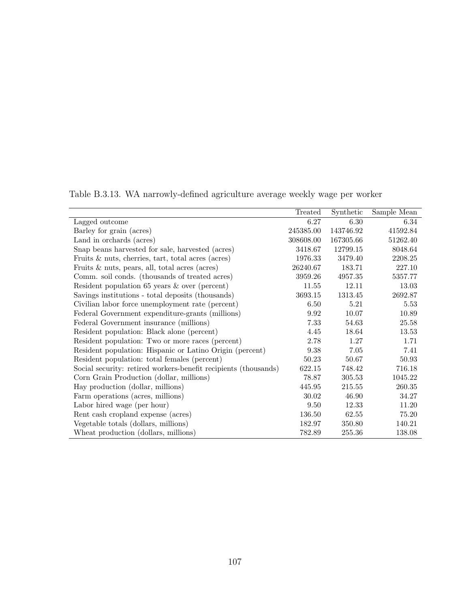|                                                                 | Treated   | Synthetic | Sample Mean |
|-----------------------------------------------------------------|-----------|-----------|-------------|
| Lagged outcome                                                  | 6.27      | 6.30      | 6.34        |
| Barley for grain (acres)                                        | 245385.00 | 143746.92 | 41592.84    |
| Land in orchards (acres)                                        | 308608.00 | 167305.66 | 51262.40    |
| Snap beans harvested for sale, harvested (acres)                | 3418.67   | 12799.15  | 8048.64     |
| Fruits $\&$ nuts, cherries, tart, total acres (acres)           | 1976.33   | 3479.40   | 2208.25     |
| Fruits $\&$ nuts, pears, all, total acres (acres)               | 26240.67  | 183.71    | 227.10      |
| Comm. soil conds. (thousands of treated acres)                  | 3959.26   | 4957.35   | 5357.77     |
| Resident population $65$ years $\&$ over (percent)              | 11.55     | 12.11     | 13.03       |
| Savings institutions - total deposits (thousands)               | 3693.15   | 1313.45   | 2692.87     |
| Civilian labor force unemployment rate (percent)                | 6.50      | 5.21      | 5.53        |
| Federal Government expenditure-grants (millions)                | 9.92      | 10.07     | 10.89       |
| Federal Government insurance (millions)                         | 7.33      | 54.63     | 25.58       |
| Resident population: Black alone (percent)                      | 4.45      | 18.64     | 13.53       |
| Resident population: Two or more races (percent)                | 2.78      | 1.27      | 1.71        |
| Resident population: Hispanic or Latino Origin (percent)        | 9.38      | 7.05      | 7.41        |
| Resident population: total females (percent)                    | 50.23     | 50.67     | 50.93       |
| Social security: retired workers-benefit recipients (thousands) | 622.15    | 748.42    | 716.18      |
| Corn Grain Production (dollar, millions)                        | 78.87     | 305.53    | 1045.22     |
| Hay production (dollar, millions)                               | 445.95    | 215.55    | 260.35      |
| Farm operations (acres, millions)                               | 30.02     | 46.90     | 34.27       |
| Labor hired wage (per hour)                                     | 9.50      | 12.33     | 11.20       |
| Rent cash cropland expense (acres)                              | 136.50    | 62.55     | 75.20       |
| Vegetable totals (dollars, millions)                            | 182.97    | 350.80    | 140.21      |
| Wheat production (dollars, millions)                            | 782.89    | 255.36    | 138.08      |

Table B.3.13. WA narrowly-defined agriculture average weekly wage per worker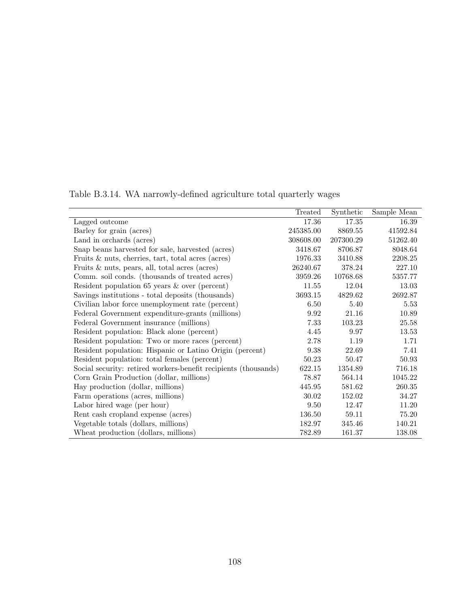|                                                                 | Treated   | Synthetic | Sample Mean |
|-----------------------------------------------------------------|-----------|-----------|-------------|
| Lagged outcome                                                  | 17.36     | 17.35     | 16.39       |
| Barley for grain (acres)                                        | 245385.00 | 8869.55   | 41592.84    |
| Land in orchards (acres)                                        | 308608.00 | 207300.29 | 51262.40    |
| Snap beans harvested for sale, harvested (acres)                | 3418.67   | 8706.87   | 8048.64     |
| Fruits $\&$ nuts, cherries, tart, total acres (acres)           | 1976.33   | 3410.88   | 2208.25     |
| Fruits $\&$ nuts, pears, all, total acres (acres)               | 26240.67  | 378.24    | 227.10      |
| Comm. soil conds. (thousands of treated acres)                  | 3959.26   | 10768.68  | 5357.77     |
| Resident population $65$ years $\&$ over (percent)              | 11.55     | 12.04     | 13.03       |
| Savings institutions - total deposits (thousands)               | 3693.15   | 4829.62   | 2692.87     |
| Civilian labor force unemployment rate (percent)                | 6.50      | 5.40      | 5.53        |
| Federal Government expenditure-grants (millions)                | 9.92      | 21.16     | 10.89       |
| Federal Government insurance (millions)                         | 7.33      | 103.23    | 25.58       |
| Resident population: Black alone (percent)                      | 4.45      | 9.97      | 13.53       |
| Resident population: Two or more races (percent)                | 2.78      | 1.19      | 1.71        |
| Resident population: Hispanic or Latino Origin (percent)        | 9.38      | 22.69     | 7.41        |
| Resident population: total females (percent)                    | 50.23     | 50.47     | 50.93       |
| Social security: retired workers-benefit recipients (thousands) | 622.15    | 1354.89   | 716.18      |
| Corn Grain Production (dollar, millions)                        | 78.87     | 564.14    | 1045.22     |
| Hay production (dollar, millions)                               | 445.95    | 581.62    | 260.35      |
| Farm operations (acres, millions)                               | 30.02     | 152.02    | 34.27       |
| Labor hired wage (per hour)                                     | 9.50      | 12.47     | 11.20       |
| Rent cash cropland expense (acres)                              | 136.50    | 59.11     | 75.20       |
| Vegetable totals (dollars, millions)                            | 182.97    | 345.46    | 140.21      |
| Wheat production (dollars, millions)                            | 782.89    | 161.37    | 138.08      |
|                                                                 |           |           |             |

Table B.3.14. WA narrowly-defined agriculture total quarterly wages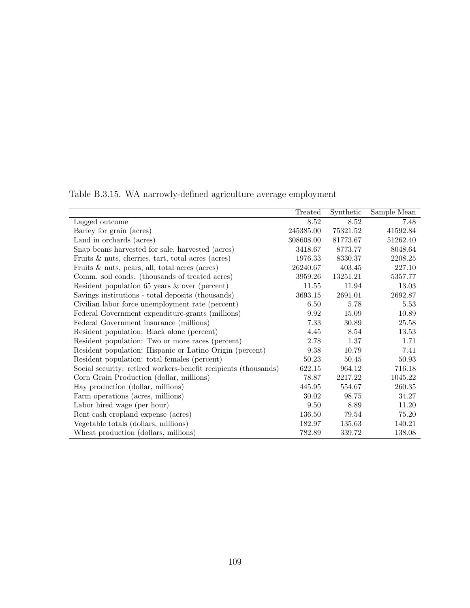|                                                                 | Treated   | Synthetic | Sample Mean |
|-----------------------------------------------------------------|-----------|-----------|-------------|
| Lagged outcome                                                  | 8.52      | 8.52      | 7.48        |
| Barley for grain (acres)                                        | 245385.00 | 75321.52  | 41592.84    |
| Land in orchards (acres)                                        | 308608.00 | 81773.67  | 51262.40    |
| Snap beans harvested for sale, harvested (acres)                | 3418.67   | 8773.77   | 8048.64     |
| Fruits $\&$ nuts, cherries, tart, total acres (acres)           | 1976.33   | 8330.37   | 2208.25     |
| Fruits $\&$ nuts, pears, all, total acres (acres)               | 26240.67  | 403.45    | 227.10      |
| Comm. soil conds. (thousands of treated acres)                  | 3959.26   | 13251.21  | 5357.77     |
| Resident population $65$ years $\&$ over (percent)              | 11.55     | 11.94     | 13.03       |
| Savings institutions - total deposits (thousands)               | 3693.15   | 2691.01   | 2692.87     |
| Civilian labor force unemployment rate (percent)                | 6.50      | 5.78      | 5.53        |
| Federal Government expenditure-grants (millions)                | 9.92      | 15.09     | 10.89       |
| Federal Government insurance (millions)                         | 7.33      | 30.89     | 25.58       |
| Resident population: Black alone (percent)                      | 4.45      | 8.54      | 13.53       |
| Resident population: Two or more races (percent)                | 2.78      | 1.37      | 1.71        |
| Resident population: Hispanic or Latino Origin (percent)        | 9.38      | 10.79     | 7.41        |
| Resident population: total females (percent)                    | 50.23     | 50.45     | 50.93       |
| Social security: retired workers-benefit recipients (thousands) | 622.15    | 964.12    | 716.18      |
| Corn Grain Production (dollar, millions)                        | 78.87     | 2217.22   | 1045.22     |
| Hay production (dollar, millions)                               | 445.95    | 554.67    | 260.35      |
| Farm operations (acres, millions)                               | 30.02     | 98.75     | 34.27       |
| Labor hired wage (per hour)                                     | 9.50      | 8.89      | 11.20       |
| Rent cash cropland expense (acres)                              | 136.50    | 79.54     | 75.20       |
| Vegetable totals (dollars, millions)                            | 182.97    | 135.63    | 140.21      |
| Wheat production (dollars, millions)                            | 782.89    | 339.72    | 138.08      |

Table B.3.15. WA narrowly-defined agriculture average employment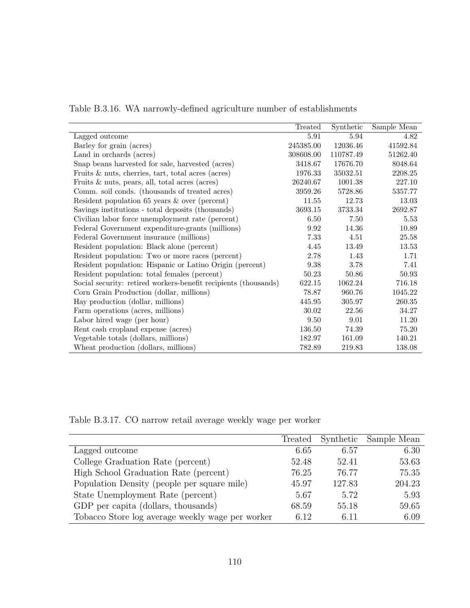|                                                                 | Treated   | Synthetic | Sample Mean |
|-----------------------------------------------------------------|-----------|-----------|-------------|
| Lagged outcome                                                  | 5.91      | 5.94      | 4.82        |
| Barley for grain (acres)                                        | 245385.00 | 12036.46  | 41592.84    |
| Land in orchards (acres)                                        | 308608.00 | 110787.49 | 51262.40    |
| Snap beans harvested for sale, harvested (acres)                | 3418.67   | 17676.70  | 8048.64     |
| Fruits $\&$ nuts, cherries, tart, total acres (acres)           | 1976.33   | 35032.51  | 2208.25     |
| Fruits $\&$ nuts, pears, all, total acres (acres)               | 26240.67  | 1001.38   | 227.10      |
| Comm. soil conds. (thousands of treated acres)                  | 3959.26   | 5728.86   | 5357.77     |
| Resident population $65$ years $\&$ over (percent)              | 11.55     | 12.73     | 13.03       |
| Savings institutions - total deposits (thousands)               | 3693.15   | 3733.34   | 2692.87     |
| Civilian labor force unemployment rate (percent)                | 6.50      | 7.50      | 5.53        |
| Federal Government expenditure-grants (millions)                | 9.92      | 14.36     | 10.89       |
| Federal Government insurance (millions)                         | 7.33      | 4.51      | 25.58       |
| Resident population: Black alone (percent)                      | 4.45      | 13.49     | 13.53       |
| Resident population: Two or more races (percent)                | 2.78      | 1.43      | 1.71        |
| Resident population: Hispanic or Latino Origin (percent)        | 9.38      | 3.78      | 7.41        |
| Resident population: total females (percent)                    | 50.23     | 50.86     | 50.93       |
| Social security: retired workers-benefit recipients (thousands) | 622.15    | 1062.24   | 716.18      |
| Corn Grain Production (dollar, millions)                        | 78.87     | 960.76    | 1045.22     |
| Hay production (dollar, millions)                               | 445.95    | 305.97    | 260.35      |
| Farm operations (acres, millions)                               | 30.02     | 22.56     | 34.27       |
| Labor hired wage (per hour)                                     | 9.50      | 9.01      | 11.20       |
| Rent cash cropland expense (acres)                              | 136.50    | 74.39     | 75.20       |
| Vegetable totals (dollars, millions)                            | 182.97    | 161.09    | 140.21      |
| Wheat production (dollars, millions)                            | 782.89    | 219.83    | 138.08      |

Table B.3.16. WA narrowly-defined agriculture number of establishments

Table B.3.17. CO narrow retail average weekly wage per worker

|                                                  | Treated |        | Synthetic Sample Mean |
|--------------------------------------------------|---------|--------|-----------------------|
| Lagged outcome                                   | 6.65    | 6.57   | 6.30                  |
| College Graduation Rate (percent)                | 52.48   | 52.41  | 53.63                 |
| High School Graduation Rate (percent)            | 76.25   | 76.77  | 75.35                 |
| Population Density (people per square mile)      | 45.97   | 127.83 | 204.23                |
| State Unemployment Rate (percent)                | 5.67    | 5.72   | 5.93                  |
| GDP per capita (dollars, thousands)              | 68.59   | 55.18  | 59.65                 |
| Tobacco Store log average weekly wage per worker | 6.12    | 6.11   | 6.09                  |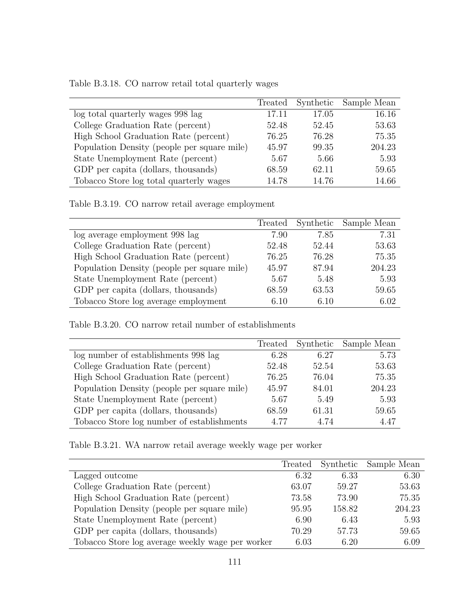| Table B.3.18. CO narrow retail total quarterly wages |  |  |  |  |  |  |
|------------------------------------------------------|--|--|--|--|--|--|
|------------------------------------------------------|--|--|--|--|--|--|

|                                             | Treated |       | Synthetic Sample Mean |
|---------------------------------------------|---------|-------|-----------------------|
| log total quarterly wages 998 lag           | 17.11   | 17.05 | 16.16                 |
| College Graduation Rate (percent)           | 52.48   | 52.45 | 53.63                 |
| High School Graduation Rate (percent)       | 76.25   | 76.28 | 75.35                 |
| Population Density (people per square mile) | 45.97   | 99.35 | 204.23                |
| State Unemployment Rate (percent)           | 5.67    | 5.66  | 5.93                  |
| GDP per capita (dollars, thousands)         | 68.59   | 62.11 | 59.65                 |
| Tobacco Store log total quarterly wages     | 14.78   | 14.76 | 14.66                 |

Table B.3.19. CO narrow retail average employment

|                                             | Treated | Synthetic | Sample Mean |
|---------------------------------------------|---------|-----------|-------------|
| log average employment 998 lag              | 7.90    | 7.85      | 7.31        |
| College Graduation Rate (percent)           | 52.48   | 52.44     | 53.63       |
| High School Graduation Rate (percent)       | 76.25   | 76.28     | 75.35       |
| Population Density (people per square mile) | 45.97   | 87.94     | 204.23      |
| State Unemployment Rate (percent)           | 5.67    | 5.48      | 5.93        |
| GDP per capita (dollars, thousands)         | 68.59   | 63.53     | 59.65       |
| Tobacco Store log average employment        | 6.10    | 6.10      | 6.02        |

Table B.3.20. CO narrow retail number of establishments

|                                             | Treated | Synthetic | Sample Mean |
|---------------------------------------------|---------|-----------|-------------|
| log number of establishments 998 lag        | 6.28    | 6.27      | 5.73        |
| College Graduation Rate (percent)           | 52.48   | 52.54     | 53.63       |
| High School Graduation Rate (percent)       | 76.25   | 76.04     | 75.35       |
| Population Density (people per square mile) | 45.97   | 84.01     | 204.23      |
| State Unemployment Rate (percent)           | 5.67    | 5.49      | 5.93        |
| GDP per capita (dollars, thousands)         | 68.59   | 61.31     | 59.65       |
| Tobacco Store log number of establishments  | 4.77    | 4.74      | 4.47        |

Table B.3.21. WA narrow retail average weekly wage per worker

|                                                  |       |        | Treated Synthetic Sample Mean |
|--------------------------------------------------|-------|--------|-------------------------------|
| Lagged outcome                                   | 6.32  | 6.33   | 6.30                          |
| College Graduation Rate (percent)                | 63.07 | 59.27  | 53.63                         |
| High School Graduation Rate (percent)            | 73.58 | 73.90  | 75.35                         |
| Population Density (people per square mile)      | 95.95 | 158.82 | 204.23                        |
| State Unemployment Rate (percent)                | 6.90  | 6.43   | 5.93                          |
| GDP per capita (dollars, thousands)              | 70.29 | 57.73  | 59.65                         |
| Tobacco Store log average weekly wage per worker | 6.03  | 6.20   | 6.09                          |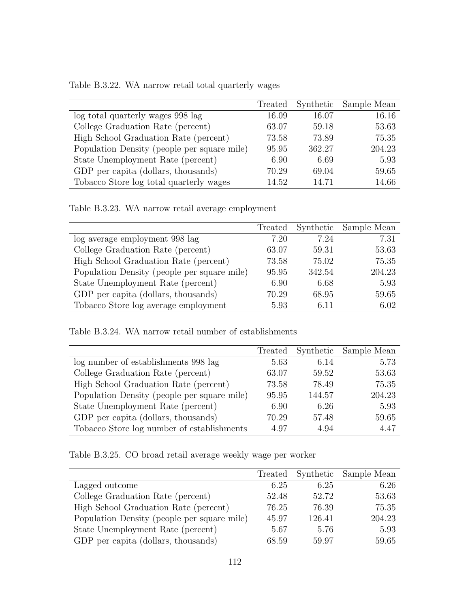| Table B.3.22. WA narrow retail total quarterly wages |  |  |  |
|------------------------------------------------------|--|--|--|
|                                                      |  |  |  |

|                                             | Treated | Synthetic | Sample Mean |
|---------------------------------------------|---------|-----------|-------------|
| log total quarterly wages 998 lag           | 16.09   | 16.07     | 16.16       |
| College Graduation Rate (percent)           | 63.07   | 59.18     | 53.63       |
| High School Graduation Rate (percent)       | 73.58   | 73.89     | 75.35       |
| Population Density (people per square mile) | 95.95   | 362.27    | 204.23      |
| State Unemployment Rate (percent)           | 6.90    | 6.69      | 5.93        |
| GDP per capita (dollars, thousands)         | 70.29   | 69.04     | 59.65       |
| Tobacco Store log total quarterly wages     | 14.52   | 14.71     | 14.66       |

Table B.3.23. WA narrow retail average employment

|                                             |       |        | Treated Synthetic Sample Mean |
|---------------------------------------------|-------|--------|-------------------------------|
| log average employment 998 lag              | 7.20  | 7.24   | 7.31                          |
| College Graduation Rate (percent)           | 63.07 | 59.31  | 53.63                         |
| High School Graduation Rate (percent)       | 73.58 | 75.02  | 75.35                         |
| Population Density (people per square mile) | 95.95 | 342.54 | 204.23                        |
| State Unemployment Rate (percent)           | 6.90  | 6.68   | 5.93                          |
| GDP per capita (dollars, thousands)         | 70.29 | 68.95  | 59.65                         |
| Tobacco Store log average employment        | 5.93  | 6.11   | 6.02                          |

Table B.3.24. WA narrow retail number of establishments

|                                             | Treated |        | Synthetic Sample Mean |
|---------------------------------------------|---------|--------|-----------------------|
| log number of establishments 998 lag        | 5.63    | 6.14   | 5.73                  |
| College Graduation Rate (percent)           | 63.07   | 59.52  | 53.63                 |
| High School Graduation Rate (percent)       | 73.58   | 78.49  | 75.35                 |
| Population Density (people per square mile) | 95.95   | 144.57 | 204.23                |
| State Unemployment Rate (percent)           | 6.90    | 6.26   | 5.93                  |
| GDP per capita (dollars, thousands)         | 70.29   | 57.48  | 59.65                 |
| Tobacco Store log number of establishments  | 4.97    | 4.94   | 4.47                  |

Table B.3.25. CO broad retail average weekly wage per worker

|                                             | Treated |        | Synthetic Sample Mean |
|---------------------------------------------|---------|--------|-----------------------|
| Lagged outcome                              | 6.25    | 6.25   | 6.26                  |
| College Graduation Rate (percent)           | 52.48   | 52.72  | 53.63                 |
| High School Graduation Rate (percent)       | 76.25   | 76.39  | 75.35                 |
| Population Density (people per square mile) | 45.97   | 126.41 | 204.23                |
| State Unemployment Rate (percent)           | 5.67    | 5.76   | 5.93                  |
| GDP per capita (dollars, thousands)         | 68.59   | 59.97  | 59.65                 |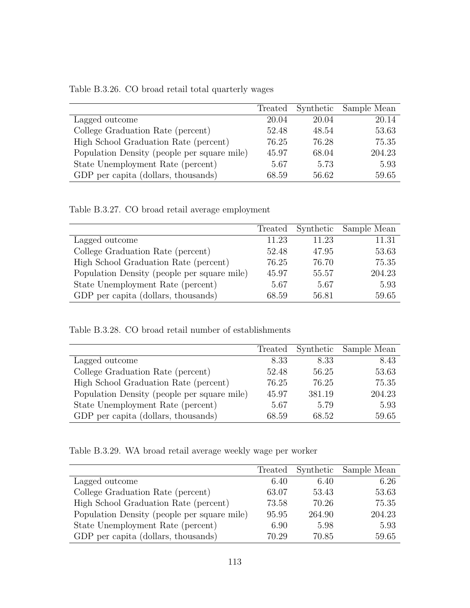| Table B.3.26. CO broad retail total quarterly wages |  |  |  |  |  |  |
|-----------------------------------------------------|--|--|--|--|--|--|
|-----------------------------------------------------|--|--|--|--|--|--|

|                                             | Treated |       | Synthetic Sample Mean |
|---------------------------------------------|---------|-------|-----------------------|
| Lagged outcome                              | 20.04   | 20.04 | 20.14                 |
| College Graduation Rate (percent)           | 52.48   | 48.54 | 53.63                 |
| High School Graduation Rate (percent)       | 76.25   | 76.28 | 75.35                 |
| Population Density (people per square mile) | 45.97   | 68.04 | 204.23                |
| State Unemployment Rate (percent)           | 5.67    | 5.73  | 5.93                  |
| GDP per capita (dollars, thousands)         | 68.59   | 56.62 | 59.65                 |

Table B.3.27. CO broad retail average employment

|                                             |       |       | Treated Synthetic Sample Mean |
|---------------------------------------------|-------|-------|-------------------------------|
| Lagged outcome                              | 11.23 | 11.23 | 11.31                         |
| College Graduation Rate (percent)           | 52.48 | 47.95 | 53.63                         |
| High School Graduation Rate (percent)       | 76.25 | 76.70 | 75.35                         |
| Population Density (people per square mile) | 45.97 | 55.57 | 204.23                        |
| State Unemployment Rate (percent)           | 5.67  | 5.67  | 5.93                          |
| GDP per capita (dollars, thousands)         | 68.59 | 56.81 | 59.65                         |

Table B.3.28. CO broad retail number of establishments

|                                             | Treated |        | Synthetic Sample Mean |
|---------------------------------------------|---------|--------|-----------------------|
| Lagged outcome                              | 8.33    | 8.33   | 8.43                  |
| College Graduation Rate (percent)           | 52.48   | 56.25  | 53.63                 |
| High School Graduation Rate (percent)       | 76.25   | 76.25  | 75.35                 |
| Population Density (people per square mile) | 45.97   | 381.19 | 204.23                |
| State Unemployment Rate (percent)           | 5.67    | 5.79   | 5.93                  |
| GDP per capita (dollars, thousands)         | 68.59   | 68.52  | 59.65                 |
|                                             |         |        |                       |

Table B.3.29. WA broad retail average weekly wage per worker

|                                             | Treated |        | Synthetic Sample Mean |
|---------------------------------------------|---------|--------|-----------------------|
| Lagged outcome                              | 6.40    | 6.40   | 6.26                  |
| College Graduation Rate (percent)           | 63.07   | 53.43  | 53.63                 |
| High School Graduation Rate (percent)       | 73.58   | 70.26  | 75.35                 |
| Population Density (people per square mile) | 95.95   | 264.90 | 204.23                |
| State Unemployment Rate (percent)           | 6.90    | 5.98   | 5.93                  |
| GDP per capita (dollars, thousands)         | 70.29   | 70.85  | 59.65                 |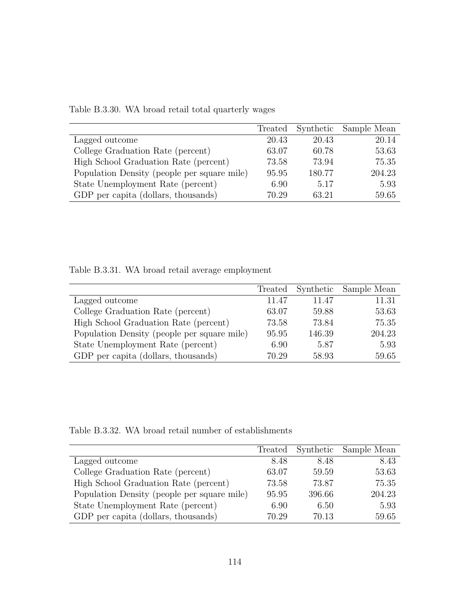|                                             | Treated |        | Synthetic Sample Mean |
|---------------------------------------------|---------|--------|-----------------------|
| Lagged outcome                              | 20.43   | 20.43  | 20.14                 |
| College Graduation Rate (percent)           | 63.07   | 60.78  | 53.63                 |
| High School Graduation Rate (percent)       | 73.58   | 73.94  | 75.35                 |
| Population Density (people per square mile) | 95.95   | 180.77 | 204.23                |
| State Unemployment Rate (percent)           | 6.90    | 5.17   | 5.93                  |
| GDP per capita (dollars, thousands)         | 70.29   | 63.21  | 59.65                 |

Table B.3.30. WA broad retail total quarterly wages

Table B.3.31. WA broad retail average employment

|                                             | Treated |        | Synthetic Sample Mean |
|---------------------------------------------|---------|--------|-----------------------|
| Lagged outcome                              | 11.47   | 11.47  | 11.31                 |
| College Graduation Rate (percent)           | 63.07   | 59.88  | 53.63                 |
| High School Graduation Rate (percent)       | 73.58   | 73.84  | 75.35                 |
| Population Density (people per square mile) | 95.95   | 146.39 | 204.23                |
| State Unemployment Rate (percent)           | 6.90    | 5.87   | 5.93                  |
| GDP per capita (dollars, thousands)         | 70.29   | 58.93  | 59.65                 |

Table B.3.32. WA broad retail number of establishments

|                                             | Treated |        | Synthetic Sample Mean |
|---------------------------------------------|---------|--------|-----------------------|
| Lagged outcome                              | 8.48    | 8.48   | 8.43                  |
| College Graduation Rate (percent)           | 63.07   | 59.59  | 53.63                 |
| High School Graduation Rate (percent)       | 73.58   | 73.87  | 75.35                 |
| Population Density (people per square mile) | 95.95   | 396.66 | 204.23                |
| State Unemployment Rate (percent)           | 6.90    | 6.50   | 5.93                  |
| GDP per capita (dollars, thousands)         | 70.29   | 70.13  | 59.65                 |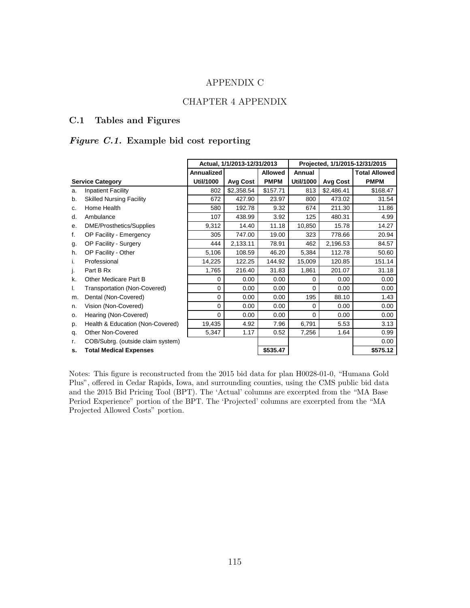### APPENDIX C

### CHAPTER 4 APPENDIX

#### C.1 Tables and Figures

## Figure C.1. Example bid cost reporting

|                |                                   | Actual, 1/1/2013-12/31/2013 |            |                |           | Projected, 1/1/2015-12/31/2015 |                      |
|----------------|-----------------------------------|-----------------------------|------------|----------------|-----------|--------------------------------|----------------------|
|                |                                   | <b>Annualized</b>           |            | <b>Allowed</b> | Annual    |                                | <b>Total Allowed</b> |
|                | <b>Service Category</b>           | Util/1000                   | Avg Cost   | <b>PMPM</b>    | Util/1000 | Avg Cost                       | <b>PMPM</b>          |
| a.             | <b>Inpatient Facility</b>         | 802                         | \$2,358.54 | \$157.71       | 813       | \$2,486.41                     | \$168.47             |
| b.             | <b>Skilled Nursing Facility</b>   | 672                         | 427.90     | 23.97          | 800       | 473.02                         | 31.54                |
| C <sub>1</sub> | Home Health                       | 580                         | 192.78     | 9.32           | 674       | 211.30                         | 11.86                |
| d.             | Ambulance                         | 107                         | 438.99     | 3.92           | 125       | 480.31                         | 4.99                 |
| е.             | DME/Prosthetics/Supplies          | 9,312                       | 14.40      | 11.18          | 10,850    | 15.78                          | 14.27                |
| f.             | OP Facility - Emergency           | 305                         | 747.00     | 19.00          | 323       | 778.66                         | 20.94                |
| g.             | OP Facility - Surgery             | 444                         | 2,133.11   | 78.91          | 462       | 2,196.53                       | 84.57                |
| h.             | OP Facility - Other               | 5,106                       | 108.59     | 46.20          | 5,384     | 112.78                         | 50.60                |
| i.             | Professional                      | 14,225                      | 122.25     | 144.92         | 15,009    | 120.85                         | 151.14               |
| j.             | Part B Rx                         | 1,765                       | 216.40     | 31.83          | 1,861     | 201.07                         | 31.18                |
| k.             | Other Medicare Part B             | 0                           | 0.00       | 0.00           | $\Omega$  | 0.00                           | 0.00                 |
| Ι.             | Transportation (Non-Covered)      | 0                           | 0.00       | 0.00           | $\Omega$  | 0.00                           | 0.00                 |
| m.             | Dental (Non-Covered)              | $\mathbf 0$                 | 0.00       | 0.00           | 195       | 88.10                          | 1.43                 |
| n.             | Vision (Non-Covered)              | 0                           | 0.00       | 0.00           | 0         | 0.00                           | 0.00                 |
| 0.             | Hearing (Non-Covered)             | $\Omega$                    | 0.00       | 0.00           | 0         | 0.00                           | 0.00                 |
| p.             | Health & Education (Non-Covered)  | 19,435                      | 4.92       | 7.96           | 6,791     | 5.53                           | 3.13                 |
| q.             | <b>Other Non-Covered</b>          | 5,347                       | 1.17       | 0.52           | 7,256     | 1.64                           | 0.99                 |
| r.             | COB/Subrg. (outside claim system) |                             |            |                |           |                                | 0.00                 |
| s.             | <b>Total Medical Expenses</b>     |                             |            | \$535.47       |           |                                | \$575.12             |

Notes: This figure is reconstructed from the 2015 bid data for plan H0028-01-0, "Humana Gold Plus", offered in Cedar Rapids, Iowa, and surrounding counties, using the CMS public bid data and the 2015 Bid Pricing Tool (BPT). The 'Actual' columns are excerpted from the "MA Base Period Experience" portion of the BPT. The 'Projected' columns are excerpted from the "MA Projected Allowed Costs" portion.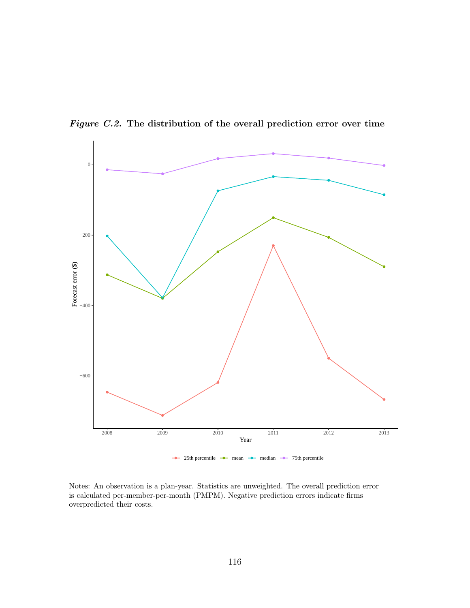

Figure C.2. The distribution of the overall prediction error over time

Notes: An observation is a plan-year. Statistics are unweighted. The overall prediction error is calculated per-member-per-month (PMPM). Negative prediction errors indicate firms overpredicted their costs.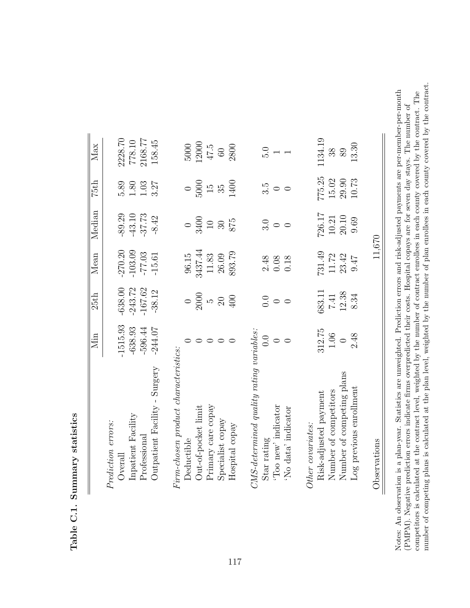|                          |                                             |                                         | 11,670              |                  |                    | Observations                                                                                                                                                   |
|--------------------------|---------------------------------------------|-----------------------------------------|---------------------|------------------|--------------------|----------------------------------------------------------------------------------------------------------------------------------------------------------------|
| 13.30                    | $10.73\,$                                   | 9.69                                    | $7f$ .6             | 8.34             | 2.48               |                                                                                                                                                                |
| 89                       | $15.02$<br>$29.90$                          | $10.21$<br>$20.10$                      | 23.42               | $7.41$<br>12.38  | $\bigcirc$         |                                                                                                                                                                |
| 1134.19<br>38            | 775.25                                      | 726.17                                  | 731.49<br>$11.72\,$ | 683.11           | 312.75<br>$1.06\,$ |                                                                                                                                                                |
|                          |                                             |                                         |                     |                  |                    | Other covariates:<br>Risk-adjusted payment<br>Number of competitors<br>Number of competing plans<br>Log previous enrollment                                    |
| $\overline{\phantom{0}}$ | $\circ$                                     | $\circ$                                 | 0.18                | $\circ$          |                    | $CMS$ -determined quality rating variables:<br>Star rating<br>"Too new' indicator $0.0$<br>"No data' indicator $0$                                             |
|                          | $\circ$                                     |                                         |                     |                  |                    |                                                                                                                                                                |
| $\frac{1}{10}$ .         | 3.5                                         | $\frac{1}{3}$ 0                         | $2.48$<br>0.08      | $rac{1}{0}$      |                    |                                                                                                                                                                |
|                          |                                             |                                         |                     |                  |                    |                                                                                                                                                                |
| 2800                     | 1400                                        | 875                                     | 893.79              | 400              |                    |                                                                                                                                                                |
| $60\,$                   |                                             |                                         | 26.09               | $20\,$           |                    |                                                                                                                                                                |
| 47.5                     |                                             | $\begin{array}{c} 10 \\ 30 \end{array}$ | 11.83               |                  |                    |                                                                                                                                                                |
| 12000                    | $\frac{5000}{15}$                           | 3400                                    | 3437.44             | $\frac{2000}{5}$ |                    |                                                                                                                                                                |
| 5000                     |                                             |                                         | 96.15               | $\bigcirc$       |                    | $chosen\ product\ characteristics:$<br>Firm-chosen product cl<br>Deductible<br>Out-of-pocket limit<br>Primary care copay<br>Specialist copay<br>Hospital copay |
| 158.45                   | 3.27                                        | $-8.42$                                 | $-15.61$            | -38.12           | $-244.07$          |                                                                                                                                                                |
| 2168.77                  |                                             | $-37.73$                                | $-77.03$            | $-167.62$        | $-596.44$          |                                                                                                                                                                |
| 778.10                   | $\begin{array}{c} 1.80 \\ 1.03 \end{array}$ | $-43.10$                                | $-103.09$           | $-243.72$        | $-638.93$          |                                                                                                                                                                |
| 2228.70                  | 5.89                                        | $-89.29$                                | $-270.20$           | $-638.00$        | $-1515.93$         |                                                                                                                                                                |
|                          |                                             |                                         |                     |                  |                    | Prediction errors:<br>Overall<br>Inpatient Facility<br>Professional<br>Outpatient Facility - Surgery                                                           |
| Max                      | 75th                                        | Median                                  | Mean                | 25th             | Min                |                                                                                                                                                                |

Table C.1. Summary statistics Table C.1. Summary statistics

number of competing plans is calculated at the plan level, weighted by the number of plan enrollees in each county covered by the contract. number of competing plans is calculated at the plan level, weighted by the number of plan enrollees in each county covered by the contract. Notes: An observation is a plan-year. Statistics are unweighted. Prediction errors and risk-adjusted payments are per-member-per-month competitors is calculated at the contract level, weighted by the number of contract enrollees in each county covered by the contract. The Notes: An observation is a plan-year. Statistics are unweighted. Prediction errors and risk-adjusted payments are per-member-per-month competitors is calculated at the contract level, weighted by the number of contract enrollees in each county covered by the contract. The (PMPM). Negative prediction errors indicate firms overpredicted their costs. Hospital copays are for seven day stays. The number of (PMPM). Negative prediction errors indicate firms overpredicted their costs. Hospital copays are for seven day stays. The number of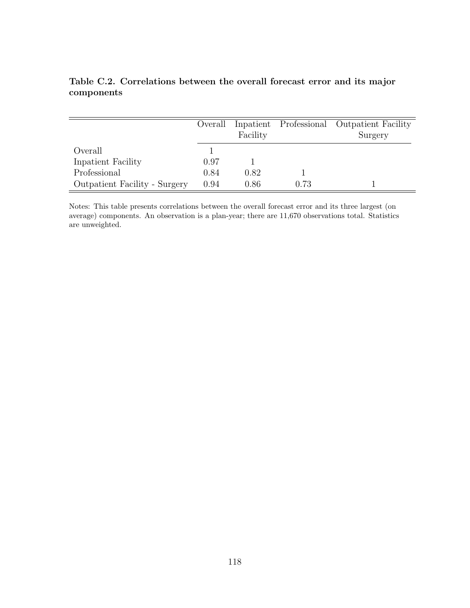|                                      | Overall | Facility |      | Inpatient Professional Outpatient Facility<br>Surgery |
|--------------------------------------|---------|----------|------|-------------------------------------------------------|
| Overall                              |         |          |      |                                                       |
| Inpatient Facility                   | 0.97    |          |      |                                                       |
| Professional                         | 0.84    | 0.82     |      |                                                       |
| <b>Outpatient Facility - Surgery</b> | 0.94    | 0.86     | 0.73 |                                                       |

Table C.2. Correlations between the overall forecast error and its major components

Notes: This table presents correlations between the overall forecast error and its three largest (on average) components. An observation is a plan-year; there are 11,670 observations total. Statistics are unweighted.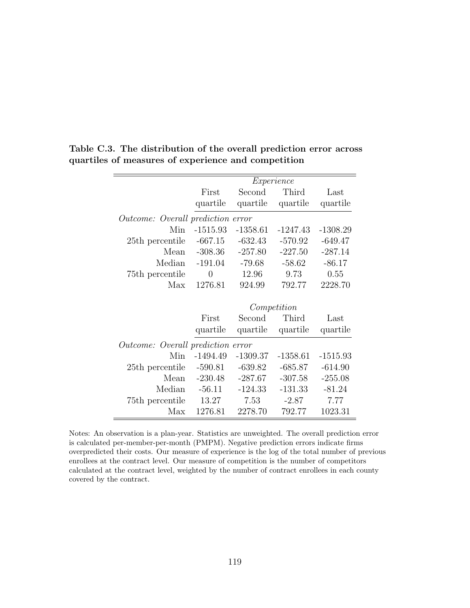|                                          |            |            | Experience  |            |
|------------------------------------------|------------|------------|-------------|------------|
|                                          | First      | Second     | Third       | Last       |
|                                          | quartile   | quartile   | quartile    | quartile   |
| <i>Outcome: Overall prediction error</i> |            |            |             |            |
| Min                                      | $-1515.93$ | $-1358.61$ | $-1247.43$  | $-1308.29$ |
| 25th percentile                          | $-667.15$  | $-632.43$  | $-570.92$   | $-649.47$  |
| Mean                                     | $-308.36$  | $-257.80$  | $-227.50$   | $-287.14$  |
| Median                                   | $-191.04$  | $-79.68$   | $-58.62$    | $-86.17$   |
| 75th percentile                          | $\theta$   | 12.96      | 9.73        | 0.55       |
| Max                                      | 1276.81    | 924.99     | 792.77      | 2228.70    |
|                                          |            |            |             |            |
|                                          |            |            | Competition |            |
|                                          | First      | Second     | Third       | Last       |
|                                          | quartile   | quartile   | quartile    | quartile   |
| <i>Outcome: Overall prediction error</i> |            |            |             |            |
| Min                                      | $-1494.49$ | $-1309.37$ | $-1358.61$  | $-1515.93$ |
| 25th percentile                          | $-590.81$  | $-639.82$  | $-685.87$   | $-614.90$  |
| Mean                                     | $-230.48$  | $-287.67$  | $-307.58$   | $-255.08$  |
| Median                                   | $-56.11$   | $-124.33$  | $-131.33$   | $-81.24$   |
| 75th percentile                          | 13.27      | 7.53       | $-2.87$     | 7.77       |
| Max                                      | 1276.81    | 2278.70    | 792.77      | 1023.31    |

Table C.3. The distribution of the overall prediction error across quartiles of measures of experience and competition

Notes: An observation is a plan-year. Statistics are unweighted. The overall prediction error is calculated per-member-per-month (PMPM). Negative prediction errors indicate firms overpredicted their costs. Our measure of experience is the log of the total number of previous enrollees at the contract level. Our measure of competition is the number of competitors calculated at the contract level, weighted by the number of contract enrollees in each county covered by the contract.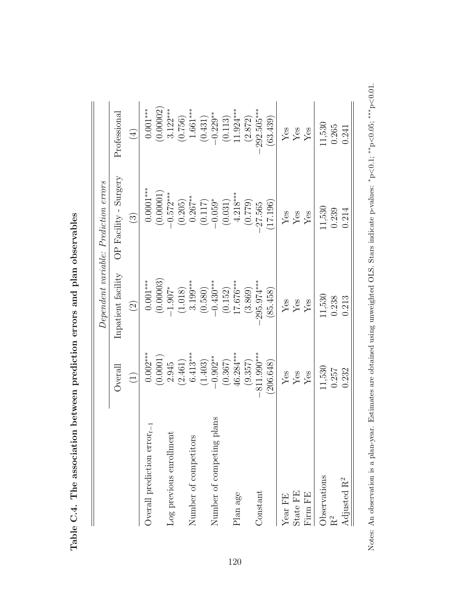|                                  |                                        |                         | Dependent variable: Prediction errors |                            |
|----------------------------------|----------------------------------------|-------------------------|---------------------------------------|----------------------------|
|                                  | <b>Overall</b>                         | Inpatient facility      | OP Facility - Surgery                 | Professional               |
|                                  | $\begin{pmatrix} 1 \end{pmatrix}$      | $\widehat{2}$           | $\widehat{\mathfrak{S}}$              | $\left(\frac{4}{5}\right)$ |
| Overall prediction $error_{t-1}$ | $0.002***$                             | $0.001***$              | $0.0001***$                           | $0.001***$                 |
|                                  | (0.0001)                               | (0.00003)               | (0.00001)                             | (0.00002)                  |
| Log previous enrollment          | 2.945                                  | $-1.907*$               | $-0.572***$                           | $3.122***$                 |
|                                  | (2.461)                                | (1.018)                 |                                       | (0.756)                    |
| Number of competitors            | $6.413***$                             | $3.199***$              | $(0.205)$<br>0.267**                  | 1.661***                   |
|                                  | (1.403)                                | (0.580)                 | (0.117)                               | (0.431)                    |
| plans<br>Number of competing     | $-0.902**$                             | $-0.430***$             | $-0.059*$                             | $-0.229**$                 |
|                                  | (0.367)                                | (0.152)                 | (0.031)                               | (0.113)                    |
| Plan age                         | 46.284***                              | $17.676***$             | $4.218***$                            | $1.924***$                 |
|                                  | (9.357)                                | (3.869)                 | (0.779)                               | (2.872)                    |
| Constant                         | $-811.990***$                          | 295.974***              | 27.565                                | 292.505***                 |
|                                  | (206.648)                              | 85.458)                 | 17.196)                               | (63.439)                   |
| Year FE                          |                                        | ${\rm Yes}$             | $\rm Yes$                             | ${\rm Yes}$                |
| State FE                         | ${\rm \widetilde{Y}_{\rm \acute{e}s}}$ | $\mathbf{Y}\mathbf{es}$ | $\mathbf{Yes}$                        | ${\rm Yes}$                |
| Firm FE                          | ${\rm Yes}$                            | $\rm Yes$               | $\rm Yes$                             | ${\rm Yes}$                |
| Observations                     | 11,530                                 | 11,530                  | 11,530                                | 11,530                     |
| R <sup>2</sup>                   | 0.257                                  | 0.238                   | 0.239                                 | 0.265                      |
| Adjusted $\mathrm{R}^2$          | 0.232                                  | 0.213                   | 0.214                                 | 0.241                      |

Notes: An observation is a plan-year. Estimates are obtained using unweighted OLS. Stars indicate p-values:

∗<sup>p</sup>

<0.1; ∗∗ p<0.05; ∗∗∗ p<0.01.

| i                                                         |
|-----------------------------------------------------------|
| -<br>}                                                    |
| <br> <br>                                                 |
| <br> <br> <br>í                                           |
| $\frac{1}{2}$                                             |
| ha accoriation batwaan pradintion organ and plan observer |
|                                                           |
| $\vdots$                                                  |
| iL 、 て , L L<br>N<br>N<br>H<br>$\frac{1}{2}$              |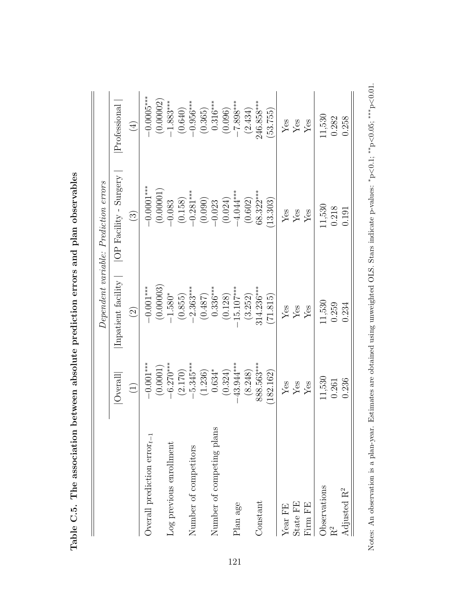| Overall<br>$\begin{pmatrix} 1 \end{pmatrix}$<br>Overall prediction $\text{error}_{t-1}$ |             |                    | Dependent variable: Prediction errors |                              |
|-----------------------------------------------------------------------------------------|-------------|--------------------|---------------------------------------|------------------------------|
|                                                                                         |             | Inpatient facility | OP Facility - Surgery                 | Professional                 |
|                                                                                         |             | $\widetilde{S}$    | $\widehat{\mathbb{G}}$                | $\left( \frac{1}{2} \right)$ |
|                                                                                         | $-0.001***$ | $-0.001***$        | $-0.0001***$                          | $0.0005***$                  |
|                                                                                         | (0.0001)    | (0.00003)          | (0.00001)                             | (0.00002)                    |
| Log previous enrollment                                                                 | $-6.270***$ | $-1.580*$          | $-0.083$                              | $-1.883***$                  |
|                                                                                         | (2.170)     | (0.855)            | (0.158)                               | (0.640)                      |
| Number of competitors                                                                   | $-5.345***$ | $-2.363***$        | $-0.281***$                           | $-0.956***$                  |
|                                                                                         | (1.236)     | (0.487)            | (0.090)                               | (0.365)                      |
| Number of competing plans                                                               | $0.634*$    | $0.336***$         | $-0.023$                              | $0.316***$                   |
|                                                                                         | (0.324)     | (0.128)            | (0.024)                               | (0.096)                      |
| Plan age                                                                                | 43.944***   | 15.107***          | $-4.044***$                           | $-7.898***$                  |
|                                                                                         | (8.248)     | (3.252)            | (0.602)                               | (2.434)                      |
| Constant                                                                                | 888.563***  | $314.236***$       | 68.322***                             | 246.858***                   |
|                                                                                         | 182.162)    | (71.815)           | 13.303                                | (53.755)                     |
| Yes<br>Year ${\rm FE}$                                                                  |             | Yes                | Yes                                   | $Y$ es                       |
| Yes<br>State FE                                                                         |             | Yes                | Yes                                   | Yes                          |
| Yes<br>Firm FE                                                                          |             | $Y$ es             | $Y$ es                                | Yes                          |
| 11,530<br>Observations                                                                  |             | 11,530             | 11,530                                | 11,530                       |
| 0.261<br>R <sup>2</sup>                                                                 |             | 0.259              | 0.218                                 | 0.282                        |
| 0.236<br>Adjusted $\mathbf{R}^2$                                                        |             | 0.234              | 0.191                                 | 0.258                        |

Notes: An observation is a plan-year. Estimates are obtained using unweighted OLS. Stars indicate p-values:

∗<sup>p</sup>

<0.1; ∗∗ p<0.05; ∗∗∗ p<0.01.

| $\frac{1}{2}$                                                                                                                                                                                                                       |
|-------------------------------------------------------------------------------------------------------------------------------------------------------------------------------------------------------------------------------------|
| 5<br>;<br>;                                                                                                                                                                                                                         |
| related resources contribution resources of the contribution of the contribution of the contribution of the contribution of the contribution of the contribution of the contribution of the contribution of the contribution o<br>İ |
| l                                                                                                                                                                                                                                   |
| こうしょう こうしょう こうりょう<br>;                                                                                                                                                                                                              |
| ֧ׅ֧֦֧֦֧֦֧֧֧֧֧֧֧֧֧֧֧֧֧֧֛֧֪֧֛֪֧֚֚֚֚֚֚֚֚֚֚֚֚֚֚֚֚֚֚֚֚֚֚֚֚֚֚֚֚֚֬֝֝֬֝֬֝֬֝֬֝֬֝֬֝֬֝֬֝֬֝֬֝֬֝֬֝֬֝֬֝֬<br>֧֧֧֧֧֧֧ׅ֧֧ׅ֧֧ׅ֧֧ׅ֧֧ׅ֧֧֧֧֧֧֧֧֚֚֚֚֚֚֚֚֚֚֚֚֚֚֚֝֝֓֝֓֝֬֝֬֜֓֝֬֜֓֝֬֜֓֝֬֜֓֝֬֜֝֬֝֬֝֬֝֬֝֬֝֬֝<br>֧֧֧֪֧֧֧֧֧ׅ֧֧֧֧֚֚֚֚֚֚֚֚֚֜֝֝֝֝֝֜֜֜֝֬              |
| $\frac{1}{2}$<br>$\frac{1}{2}$                                                                                                                                                                                                      |
| )<br>)                                                                                                                                                                                                                              |
| י<br> <br> -<br>ノンコンコント<br>$\vdots$                                                                                                                                                                                                 |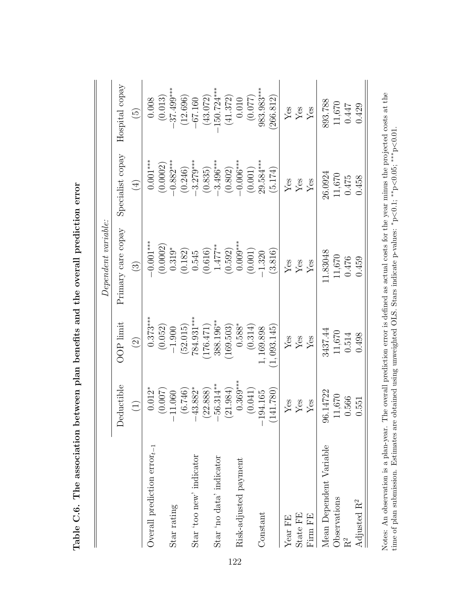| Specialist copay<br>$0.001***$<br>$-0.882***$<br>$-0.006***$<br>29.584 ***<br>$-3.279***$<br>$-3.496***$<br>(0.0002)<br>(0.246)<br>(0.802)<br>(0.001)<br>(5.174)<br>(0.835)<br>26.0924<br>11,670<br>0.475<br>$\rm Yes$<br>$\operatorname{Yes}$<br>${\rm Yes}$<br>$\bigoplus$<br>Primary care copay<br>$-0.001***$<br>$0.009***$<br>(0.0002)<br>$1.477***$<br>$0.319*$<br>(0.182)<br>(0.616)<br>(0.592)<br>(0.001)<br>(3.816)<br>0.545<br>11.83048<br>$-1.320$<br>11,670<br>0.476<br>$\rm Yes$<br>${\rm Yes}$<br>Yes<br>$\odot$<br>$0.373***$<br>784.931***<br>$388.196***$<br>OOP limit<br>$0.588*$<br>(0.052)<br>(169.503)<br>(52.015)<br>(176.471)<br>(0.314)<br>1,093.145<br>1,169.898<br>$-1.900$<br>3437.44<br>11,670<br>0.514<br>$\operatorname{Yes}$<br>$\mathbf{Y}\mathbf{e}\mathbf{s}$<br>${\rm Yes}$<br>$\widehat{c}$<br>$0.369***$<br>56.314**<br><b>Deductible</b><br>43.882*<br>$0.012*$<br>(21.984)<br>(0.041)<br>(6.746)<br>(22.888)<br>(141.780)<br>(0.007)<br>96.14722<br>11.060<br>$-194.165$<br>11,670<br>0.566<br>${\rm Yes}$<br>$\rm Yes$<br>Yes<br>$\bigoplus$<br>Overall prediction $error_{t-1}$<br>Mean Dependent Variable<br>Star 'too new' indicator<br>Star 'no data' indicator<br>Risk-adjusted payment<br>Observations<br>Star rating<br>Constant<br>State FE<br>Firm FE<br>Year FE |                         |       |       | $Dependent\ variable:$ |       |                         |
|-------------------------------------------------------------------------------------------------------------------------------------------------------------------------------------------------------------------------------------------------------------------------------------------------------------------------------------------------------------------------------------------------------------------------------------------------------------------------------------------------------------------------------------------------------------------------------------------------------------------------------------------------------------------------------------------------------------------------------------------------------------------------------------------------------------------------------------------------------------------------------------------------------------------------------------------------------------------------------------------------------------------------------------------------------------------------------------------------------------------------------------------------------------------------------------------------------------------------------------------------------------------------------------------------------------------|-------------------------|-------|-------|------------------------|-------|-------------------------|
|                                                                                                                                                                                                                                                                                                                                                                                                                                                                                                                                                                                                                                                                                                                                                                                                                                                                                                                                                                                                                                                                                                                                                                                                                                                                                                                   |                         |       |       |                        |       | Hospital copay          |
|                                                                                                                                                                                                                                                                                                                                                                                                                                                                                                                                                                                                                                                                                                                                                                                                                                                                                                                                                                                                                                                                                                                                                                                                                                                                                                                   |                         |       |       |                        |       | $\widetilde{5}$         |
| $\rm R^2$                                                                                                                                                                                                                                                                                                                                                                                                                                                                                                                                                                                                                                                                                                                                                                                                                                                                                                                                                                                                                                                                                                                                                                                                                                                                                                         |                         |       |       |                        |       | 0.008                   |
|                                                                                                                                                                                                                                                                                                                                                                                                                                                                                                                                                                                                                                                                                                                                                                                                                                                                                                                                                                                                                                                                                                                                                                                                                                                                                                                   |                         |       |       |                        |       | (0.013)                 |
|                                                                                                                                                                                                                                                                                                                                                                                                                                                                                                                                                                                                                                                                                                                                                                                                                                                                                                                                                                                                                                                                                                                                                                                                                                                                                                                   |                         |       |       |                        |       | $-37.499***$            |
|                                                                                                                                                                                                                                                                                                                                                                                                                                                                                                                                                                                                                                                                                                                                                                                                                                                                                                                                                                                                                                                                                                                                                                                                                                                                                                                   |                         |       |       |                        |       | (12.696)                |
|                                                                                                                                                                                                                                                                                                                                                                                                                                                                                                                                                                                                                                                                                                                                                                                                                                                                                                                                                                                                                                                                                                                                                                                                                                                                                                                   |                         |       |       |                        |       | $-67.160$               |
|                                                                                                                                                                                                                                                                                                                                                                                                                                                                                                                                                                                                                                                                                                                                                                                                                                                                                                                                                                                                                                                                                                                                                                                                                                                                                                                   |                         |       |       |                        |       | (43.072)                |
|                                                                                                                                                                                                                                                                                                                                                                                                                                                                                                                                                                                                                                                                                                                                                                                                                                                                                                                                                                                                                                                                                                                                                                                                                                                                                                                   |                         |       |       |                        |       | $150.724***$            |
|                                                                                                                                                                                                                                                                                                                                                                                                                                                                                                                                                                                                                                                                                                                                                                                                                                                                                                                                                                                                                                                                                                                                                                                                                                                                                                                   |                         |       |       |                        |       | (41.372)                |
|                                                                                                                                                                                                                                                                                                                                                                                                                                                                                                                                                                                                                                                                                                                                                                                                                                                                                                                                                                                                                                                                                                                                                                                                                                                                                                                   |                         |       |       |                        |       | 0.010                   |
|                                                                                                                                                                                                                                                                                                                                                                                                                                                                                                                                                                                                                                                                                                                                                                                                                                                                                                                                                                                                                                                                                                                                                                                                                                                                                                                   |                         |       |       |                        |       | (0.077)                 |
|                                                                                                                                                                                                                                                                                                                                                                                                                                                                                                                                                                                                                                                                                                                                                                                                                                                                                                                                                                                                                                                                                                                                                                                                                                                                                                                   |                         |       |       |                        |       | 983.983***              |
|                                                                                                                                                                                                                                                                                                                                                                                                                                                                                                                                                                                                                                                                                                                                                                                                                                                                                                                                                                                                                                                                                                                                                                                                                                                                                                                   |                         |       |       |                        |       | 266.812)                |
|                                                                                                                                                                                                                                                                                                                                                                                                                                                                                                                                                                                                                                                                                                                                                                                                                                                                                                                                                                                                                                                                                                                                                                                                                                                                                                                   |                         |       |       |                        |       | $\rm Yes$               |
|                                                                                                                                                                                                                                                                                                                                                                                                                                                                                                                                                                                                                                                                                                                                                                                                                                                                                                                                                                                                                                                                                                                                                                                                                                                                                                                   |                         |       |       |                        |       | $\mathbf{Yes}$          |
|                                                                                                                                                                                                                                                                                                                                                                                                                                                                                                                                                                                                                                                                                                                                                                                                                                                                                                                                                                                                                                                                                                                                                                                                                                                                                                                   |                         |       |       |                        |       | $\mathbf{Y}\mathbf{es}$ |
|                                                                                                                                                                                                                                                                                                                                                                                                                                                                                                                                                                                                                                                                                                                                                                                                                                                                                                                                                                                                                                                                                                                                                                                                                                                                                                                   |                         |       |       |                        |       | 893.788                 |
|                                                                                                                                                                                                                                                                                                                                                                                                                                                                                                                                                                                                                                                                                                                                                                                                                                                                                                                                                                                                                                                                                                                                                                                                                                                                                                                   |                         |       |       |                        |       | 11,670                  |
|                                                                                                                                                                                                                                                                                                                                                                                                                                                                                                                                                                                                                                                                                                                                                                                                                                                                                                                                                                                                                                                                                                                                                                                                                                                                                                                   |                         |       |       |                        |       | 0.447                   |
|                                                                                                                                                                                                                                                                                                                                                                                                                                                                                                                                                                                                                                                                                                                                                                                                                                                                                                                                                                                                                                                                                                                                                                                                                                                                                                                   | Adjusted $\mathbf{R}^2$ | 0.551 | 0.498 | 0.459                  | 0.458 | 0.429                   |

Notes: An observation is a plan-year. The overall prediction error is defined as actual costs for the year minus the projected costs at the

∗<sup>p</sup>

<0.1; ∗∗ p<0.05; ∗∗∗ p<0.01.

time of plan submission. Estimates are obtained using unweighted OLS. Stars indicate p-values:

Table C.6. The association between plan benefits and the overall prediction error Table C.6. The association between plan benefits and the overall prediction error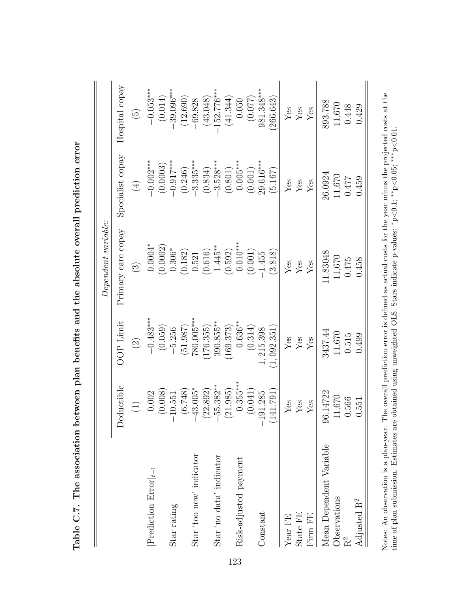|                                   |             |                      | $Dependent\ variable:$ |                  |                                  |
|-----------------------------------|-------------|----------------------|------------------------|------------------|----------------------------------|
|                                   | Deductible  | <b>OOP</b> Limit     | Primary care copay     | Specialist copay | Hospital copay                   |
|                                   | $\bigoplus$ | $\widehat{\odot}$    | $\widehat{\mathbb{C}}$ | $\bigoplus$      | $\widetilde{\mathbb{G}}$         |
| $ \text{Prediction Error} _{t-1}$ | 0.002       | $-0.483***$          | $0.0004*$              | $-0.002***$      | $-0.053***$                      |
|                                   | (0.008)     | (0.059)              | (0.0002)               | (0.0003)         | (0.014)                          |
| Star rating                       | 10.551      | $-5.256$             | $0.306^{\ast}$         | $-0.917***$      | $-39.096***$                     |
|                                   | (6.748)     | (51.987)             | (0.182)                | (0.246)          | (12.690)                         |
| Star 'too new' indicator          | $43.005*$   | 780.005***           | 0.521                  | $-3.335***$      | $-69.828$                        |
|                                   | (22.892)    | 176.355)             | (0.616)                | (0.834)          | (43.048)                         |
| Star 'no data' indicator          | $55.382***$ | $390.855***$         | $1.445**$              | $-3.528***$      | $152.776***$                     |
|                                   | (21.985)    | 169.373              | (0.592)                | (0.801)          | (41.344)                         |
| Risk-adjusted payment             | $0.355***$  | $0.636***$           | $0.010***$             | $-0.005***$      | 0.050                            |
|                                   | (0.041)     | (0.314)              | (0.001)                | (0.001)          | (0.077)                          |
| Constant                          | 191.285     | 1,215.398            | $-1.455$               | 29.616***        | 981.348***                       |
|                                   | (141.791)   | (1,092.351)          | (3.818)                | (5.167)          | 266.643                          |
| Year FE                           | ${\rm Yes}$ | $\operatorname{Yes}$ | ${\rm Yes}$            | ${\rm Yes}$      | $\operatorname{Yes}$             |
| State FE                          | ${\rm Yes}$ | $\operatorname{Yes}$ | ${\rm Yes}$            | ${\rm Yes}$      | $\mathbf{Y}\mathbf{e}\mathbf{s}$ |
| Firm FE                           | Yes         | ${\rm Yes}$          | Yes                    | ${\rm Yes}$      | ${\rm \widetilde{Y}}$ es         |
| Mean Dependent Variable           | 96.14722    | 3437.44              | 11.83048               | 26.0924          | 893.788                          |
| Observations                      | 11,670      | 11,670               | 11,670                 | 11,670           | 11,670                           |
| $\rm R^2$                         | 0.566       | 0.515                | 0.475                  | 0.477            | 0.448                            |
| Adjusted R <sup>2</sup>           | 0.551       | 0.499                | 0.458                  | 0.459            | 0.429                            |
|                                   |             |                      |                        |                  |                                  |

Notes: An observation is a plan-year. The overall prediction error is defined as actual costs for the year minus the projected costs at the

∗<sup>p</sup>

<0.1; ∗∗ p<0.05; ∗∗∗ p<0.01.

time of plan submission. Estimates are obtained using unweighted OLS. Stars indicate p-values:

Table C.7. The association between plan benefits and the absolute overall prediction error Table C.7. The association between plan benefits and the absolute overall prediction error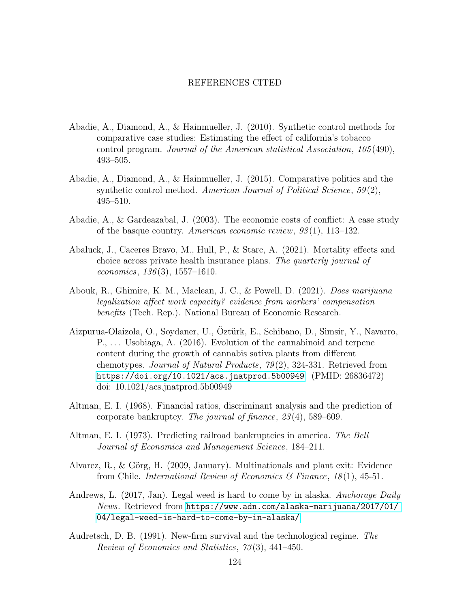#### REFERENCES CITED

- Abadie, A., Diamond, A., & Hainmueller, J. (2010). Synthetic control methods for comparative case studies: Estimating the effect of california's tobacco control program. Journal of the American statistical Association, 105 (490), 493–505.
- Abadie, A., Diamond, A., & Hainmueller, J. (2015). Comparative politics and the synthetic control method. American Journal of Political Science, 59(2), 495–510.
- Abadie, A., & Gardeazabal, J. (2003). The economic costs of conflict: A case study of the basque country. American economic review,  $93(1)$ , 113–132.
- Abaluck, J., Caceres Bravo, M., Hull, P., & Starc, A. (2021). Mortality effects and choice across private health insurance plans. The quarterly journal of economics,  $136(3)$ ,  $1557-1610$ .
- Abouk, R., Ghimire, K. M., Maclean, J. C., & Powell, D. (2021). Does marijuana legalization affect work capacity? evidence from workers' compensation benefits (Tech. Rep.). National Bureau of Economic Research.
- Aizpurua-Olaizola, O., Soydaner, U., Öztürk, E., Schibano, D., Simsir, Y., Navarro, P., . . . Usobiaga, A. (2016). Evolution of the cannabinoid and terpene content during the growth of cannabis sativa plants from different chemotypes. Journal of Natural Products,  $79(2)$ , 324-331. Retrieved from <https://doi.org/10.1021/acs.jnatprod.5b00949> (PMID: 26836472) doi: 10.1021/acs.jnatprod.5b00949
- Altman, E. I. (1968). Financial ratios, discriminant analysis and the prediction of corporate bankruptcy. The journal of finance, 23 (4), 589–609.
- Altman, E. I. (1973). Predicting railroad bankruptcies in america. The Bell Journal of Economics and Management Science, 184–211.
- Alvarez, R., & Görg, H. (2009, January). Multinationals and plant exit: Evidence from Chile. *International Review of Economics & Finance*,  $18(1)$ , 45-51.
- Andrews, L. (2017, Jan). Legal weed is hard to come by in alaska. Anchorage Daily News. Retrieved from [https://www.adn.com/alaska-marijuana/2017/01/](https://www.adn.com/alaska-marijuana/2017/01/04/legal-weed-is-hard-to-come-by-in-alaska/) [04/legal-weed-is-hard-to-come-by-in-alaska/](https://www.adn.com/alaska-marijuana/2017/01/04/legal-weed-is-hard-to-come-by-in-alaska/)
- Audretsch, D. B. (1991). New-firm survival and the technological regime. The Review of Economics and Statistics, 73 (3), 441–450.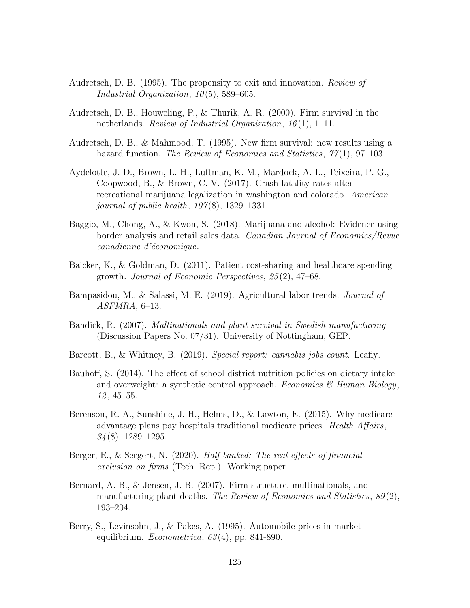- Audretsch, D. B. (1995). The propensity to exit and innovation. Review of Industrial Organization,  $10(5)$ , 589-605.
- Audretsch, D. B., Houweling, P., & Thurik, A. R. (2000). Firm survival in the netherlands. Review of Industrial Organization,  $16(1)$ , 1–11.
- Audretsch, D. B., & Mahmood, T. (1995). New firm survival: new results using a hazard function. The Review of Economics and Statistics,  $77(1)$ , 97-103.
- Aydelotte, J. D., Brown, L. H., Luftman, K. M., Mardock, A. L., Teixeira, P. G., Coopwood, B., & Brown, C. V. (2017). Crash fatality rates after recreational marijuana legalization in washington and colorado. American journal of public health,  $107(8)$ , 1329–1331.
- Baggio, M., Chong, A., & Kwon, S. (2018). Marijuana and alcohol: Evidence using border analysis and retail sales data. Canadian Journal of Economics/Revue canadienne d'économique.
- Baicker, K., & Goldman, D. (2011). Patient cost-sharing and healthcare spending growth. Journal of Economic Perspectives, 25 (2), 47–68.
- Bampasidou, M., & Salassi, M. E. (2019). Agricultural labor trends. Journal of ASFMRA, 6–13.
- Bandick, R. (2007). Multinationals and plant survival in Swedish manufacturing (Discussion Papers No. 07/31). University of Nottingham, GEP.
- Barcott, B., & Whitney, B. (2019). Special report: cannabis jobs count. Leafly.
- Bauhoff, S. (2014). The effect of school district nutrition policies on dietary intake and overweight: a synthetic control approach. Economics  $\mathscr$  Human Biology, 12 , 45–55.
- Berenson, R. A., Sunshine, J. H., Helms, D., & Lawton, E. (2015). Why medicare advantage plans pay hospitals traditional medicare prices. Health Affairs,  $34(8)$ , 1289-1295.
- Berger, E., & Seegert, N. (2020). Half banked: The real effects of financial exclusion on firms (Tech. Rep.). Working paper.
- Bernard, A. B., & Jensen, J. B. (2007). Firm structure, multinationals, and manufacturing plant deaths. The Review of Economics and Statistics,  $89(2)$ , 193–204.
- Berry, S., Levinsohn, J., & Pakes, A. (1995). Automobile prices in market equilibrium. *Econometrica*,  $63(4)$ , pp. 841-890.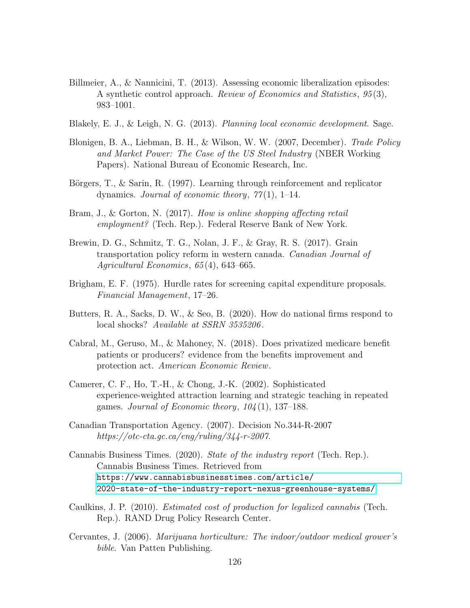- Billmeier, A., & Nannicini, T. (2013). Assessing economic liberalization episodes: A synthetic control approach. Review of Economics and Statistics, 95 (3), 983–1001.
- Blakely, E. J., & Leigh, N. G. (2013). Planning local economic development. Sage.
- Blonigen, B. A., Liebman, B. H., & Wilson, W. W. (2007, December). Trade Policy and Market Power: The Case of the US Steel Industry (NBER Working Papers). National Bureau of Economic Research, Inc.
- Börgers, T., & Sarin, R. (1997). Learning through reinforcement and replicator dynamics. Journal of economic theory,  $77(1)$ , 1–14.
- Bram, J., & Gorton, N. (2017). How is online shopping affecting retail employment? (Tech. Rep.). Federal Reserve Bank of New York.
- Brewin, D. G., Schmitz, T. G., Nolan, J. F., & Gray, R. S. (2017). Grain transportation policy reform in western canada. Canadian Journal of Agricultural Economics, 65 (4), 643–665.
- Brigham, E. F. (1975). Hurdle rates for screening capital expenditure proposals. Financial Management, 17–26.
- Butters, R. A., Sacks, D. W., & Seo, B. (2020). How do national firms respond to local shocks? Available at SSRN 3535206.
- Cabral, M., Geruso, M., & Mahoney, N. (2018). Does privatized medicare benefit patients or producers? evidence from the benefits improvement and protection act. American Economic Review.
- Camerer, C. F., Ho, T.-H., & Chong, J.-K. (2002). Sophisticated experience-weighted attraction learning and strategic teaching in repeated games. Journal of Economic theory,  $104(1)$ , 137–188.
- Canadian Transportation Agency. (2007). Decision No.344-R-2007 https://otc-cta.gc.ca/eng/ruling/344-r-2007.
- Cannabis Business Times. (2020). State of the industry report (Tech. Rep.). Cannabis Business Times. Retrieved from [https://www.cannabisbusinesstimes.com/article/](https://www.cannabisbusinesstimes.com/article/2020-state-of-the-industry-report-nexus-greenhouse-systems/) [2020-state-of-the-industry-report-nexus-greenhouse-systems/](https://www.cannabisbusinesstimes.com/article/2020-state-of-the-industry-report-nexus-greenhouse-systems/)
- Caulkins, J. P. (2010). Estimated cost of production for legalized cannabis (Tech. Rep.). RAND Drug Policy Research Center.
- Cervantes, J. (2006). Marijuana horticulture: The indoor/outdoor medical grower's bible. Van Patten Publishing.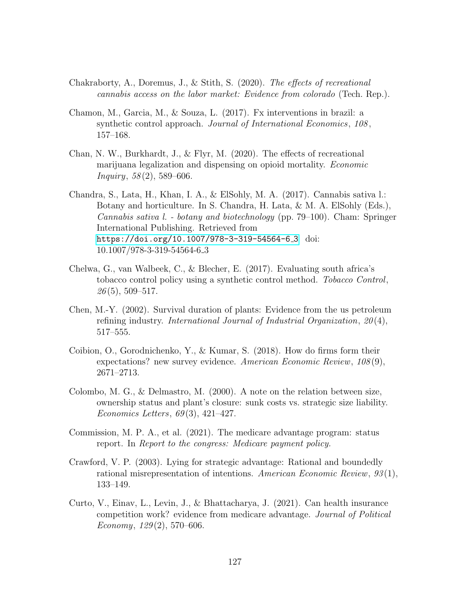- Chakraborty, A., Doremus, J., & Stith, S. (2020). The effects of recreational cannabis access on the labor market: Evidence from colorado (Tech. Rep.).
- Chamon, M., Garcia, M., & Souza, L. (2017). Fx interventions in brazil: a synthetic control approach. Journal of International Economics, 108, 157–168.
- Chan, N. W., Burkhardt, J., & Flyr, M. (2020). The effects of recreational marijuana legalization and dispensing on opioid mortality. Economic  $Inquiry, 58(2), 589-606.$
- Chandra, S., Lata, H., Khan, I. A., & ElSohly, M. A. (2017). Cannabis sativa l.: Botany and horticulture. In S. Chandra, H. Lata, & M. A. ElSohly (Eds.), Cannabis sativa l. - botany and biotechnology (pp. 79–100). Cham: Springer International Publishing. Retrieved from [https://doi.org/10.1007/978-3-319-54564-6](https://doi.org/10.1007/978-3-319-54564-6_3)<sub>-3</sub> doi: 10.1007/978-3-319-54564-6 3
- Chelwa, G., van Walbeek, C., & Blecher, E. (2017). Evaluating south africa's tobacco control policy using a synthetic control method. Tobacco Control,  $26(5)$ , 509-517.
- Chen, M.-Y. (2002). Survival duration of plants: Evidence from the us petroleum refining industry. International Journal of Industrial Organization, 20(4), 517–555.
- Coibion, O., Gorodnichenko, Y., & Kumar, S. (2018). How do firms form their expectations? new survey evidence. American Economic Review,  $108(9)$ , 2671–2713.
- Colombo, M. G., & Delmastro, M. (2000). A note on the relation between size, ownership status and plant's closure: sunk costs vs. strategic size liability. Economics Letters,  $69(3)$ ,  $421-427$ .
- Commission, M. P. A., et al. (2021). The medicare advantage program: status report. In Report to the congress: Medicare payment policy.
- Crawford, V. P. (2003). Lying for strategic advantage: Rational and boundedly rational misrepresentation of intentions. American Economic Review, 93 (1), 133–149.
- Curto, V., Einav, L., Levin, J., & Bhattacharya, J. (2021). Can health insurance competition work? evidence from medicare advantage. Journal of Political Economy,  $129(2)$ , 570–606.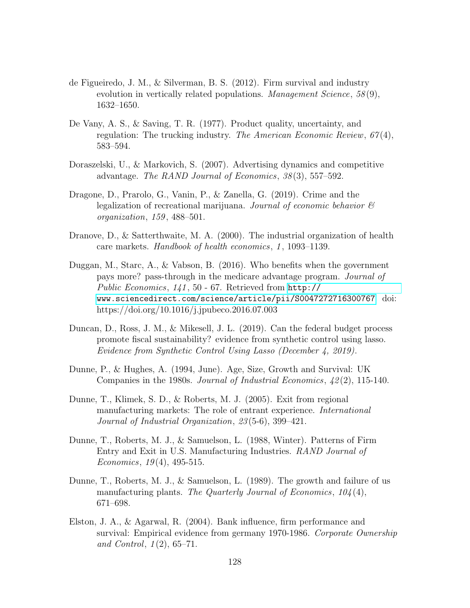- de Figueiredo, J. M., & Silverman, B. S. (2012). Firm survival and industry evolution in vertically related populations. Management Science,  $58(9)$ , 1632–1650.
- De Vany, A. S., & Saving, T. R. (1977). Product quality, uncertainty, and regulation: The trucking industry. The American Economic Review,  $67(4)$ , 583–594.
- Doraszelski, U., & Markovich, S. (2007). Advertising dynamics and competitive advantage. The RAND Journal of Economics, 38 (3), 557–592.
- Dragone, D., Prarolo, G., Vanin, P., & Zanella, G. (2019). Crime and the legalization of recreational marijuana. Journal of economic behavior  $\mathcal C$ organization, 159 , 488–501.
- Dranove, D., & Satterthwaite, M. A. (2000). The industrial organization of health care markets. *Handbook of health economics*, 1, 1093–1139.
- Duggan, M., Starc, A., & Vabson, B. (2016). Who benefits when the government pays more? pass-through in the medicare advantage program. Journal of Public Economics, 141 , 50 - 67. Retrieved from [http://](http://www.sciencedirect.com/science/article/pii/S0047272716300767) [www.sciencedirect.com/science/article/pii/S0047272716300767](http://www.sciencedirect.com/science/article/pii/S0047272716300767) doi: https://doi.org/10.1016/j.jpubeco.2016.07.003
- Duncan, D., Ross, J. M., & Mikesell, J. L. (2019). Can the federal budget process promote fiscal sustainability? evidence from synthetic control using lasso. Evidence from Synthetic Control Using Lasso (December 4, 2019).
- Dunne, P., & Hughes, A. (1994, June). Age, Size, Growth and Survival: UK Companies in the 1980s. Journal of Industrial Economics,  $\mathcal{L}(2)$ , 115-140.
- Dunne, T., Klimek, S. D., & Roberts, M. J. (2005). Exit from regional manufacturing markets: The role of entrant experience. International Journal of Industrial Organization, 23 (5-6), 399–421.
- Dunne, T., Roberts, M. J., & Samuelson, L. (1988, Winter). Patterns of Firm Entry and Exit in U.S. Manufacturing Industries. RAND Journal of Economics,  $19(4)$ ,  $495-515$ .
- Dunne, T., Roberts, M. J., & Samuelson, L. (1989). The growth and failure of us manufacturing plants. The Quarterly Journal of Economics,  $104(4)$ , 671–698.
- Elston, J. A., & Agarwal, R. (2004). Bank influence, firm performance and survival: Empirical evidence from germany 1970-1986. Corporate Ownership and Control,  $1(2)$ , 65–71.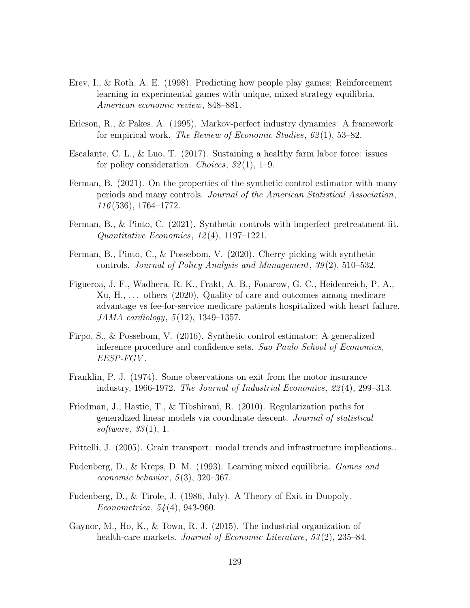- Erev, I., & Roth, A. E. (1998). Predicting how people play games: Reinforcement learning in experimental games with unique, mixed strategy equilibria. American economic review, 848–881.
- Ericson, R., & Pakes, A. (1995). Markov-perfect industry dynamics: A framework for empirical work. The Review of Economic Studies,  $62(1)$ , 53–82.
- Escalante, C. L., & Luo, T. (2017). Sustaining a healthy farm labor force: issues for policy consideration. *Choices*,  $32(1)$ , 1–9.
- Ferman, B. (2021). On the properties of the synthetic control estimator with many periods and many controls. Journal of the American Statistical Association, 116 (536), 1764–1772.
- Ferman, B., & Pinto, C. (2021). Synthetic controls with imperfect pretreatment fit.  $Quantitative\ Economics, 12(4), 1197-1221.$
- Ferman, B., Pinto, C., & Possebom, V. (2020). Cherry picking with synthetic controls. Journal of Policy Analysis and Management, 39 (2), 510–532.
- Figueroa, J. F., Wadhera, R. K., Frakt, A. B., Fonarow, G. C., Heidenreich, P. A.,  $Xu, H, \ldots$  others (2020). Quality of care and outcomes among medicare advantage vs fee-for-service medicare patients hospitalized with heart failure. JAMA cardiology, 5 (12), 1349–1357.
- Firpo, S., & Possebom, V. (2016). Synthetic control estimator: A generalized inference procedure and confidence sets. Sao Paulo School of Economics, EESP-FGV .
- Franklin, P. J. (1974). Some observations on exit from the motor insurance industry, 1966-1972. The Journal of Industrial Economics, 22 (4), 299–313.
- Friedman, J., Hastie, T., & Tibshirani, R. (2010). Regularization paths for generalized linear models via coordinate descent. Journal of statistical software,  $33(1)$ , 1.
- Frittelli, J. (2005). Grain transport: modal trends and infrastructure implications..
- Fudenberg, D., & Kreps, D. M. (1993). Learning mixed equilibria. Games and economic behavior,  $5(3)$ ,  $320-367$ .
- Fudenberg, D., & Tirole, J. (1986, July). A Theory of Exit in Duopoly. Econometrica, 54 (4), 943-960.
- Gaynor, M., Ho, K., & Town, R. J. (2015). The industrial organization of health-care markets. *Journal of Economic Literature*, 53(2), 235–84.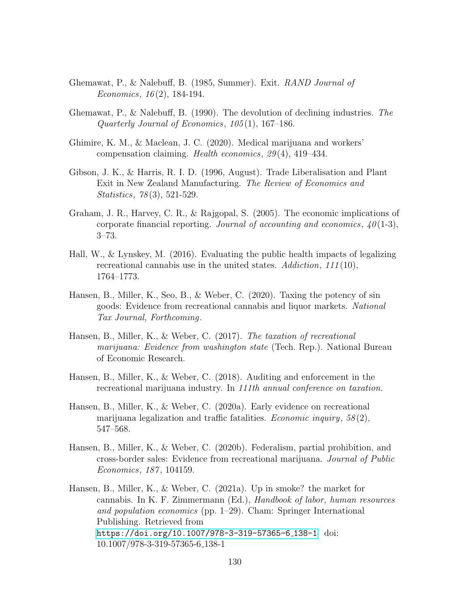- Ghemawat, P., & Nalebuff, B. (1985, Summer). Exit. RAND Journal of Economics,  $16(2)$ , 184-194.
- Ghemawat, P., & Nalebuff, B. (1990). The devolution of declining industries. The Quarterly Journal of Economics,  $105(1)$ , 167-186.
- Ghimire, K. M., & Maclean, J. C. (2020). Medical marijuana and workers' compensation claiming. Health economics, 29 (4), 419–434.
- Gibson, J. K., & Harris, R. I. D. (1996, August). Trade Liberalisation and Plant Exit in New Zealand Manufacturing. The Review of Economics and Statistics, 78 (3), 521-529.
- Graham, J. R., Harvey, C. R., & Rajgopal, S. (2005). The economic implications of corporate financial reporting. Journal of accounting and economics,  $40(1-3)$ , 3–73.
- Hall, W., & Lynskey, M. (2016). Evaluating the public health impacts of legalizing recreational cannabis use in the united states.  $Addiction, 111(10),$ 1764–1773.
- Hansen, B., Miller, K., Seo, B., & Weber, C. (2020). Taxing the potency of sin goods: Evidence from recreational cannabis and liquor markets. National Tax Journal, Forthcoming.
- Hansen, B., Miller, K., & Weber, C. (2017). The taxation of recreational marijuana: Evidence from washington state (Tech. Rep.). National Bureau of Economic Research.
- Hansen, B., Miller, K., & Weber, C. (2018). Auditing and enforcement in the recreational marijuana industry. In 111th annual conference on taxation.
- Hansen, B., Miller, K., & Weber, C. (2020a). Early evidence on recreational marijuana legalization and traffic fatalities. *Economic inquiry*,  $58(2)$ , 547–568.
- Hansen, B., Miller, K., & Weber, C. (2020b). Federalism, partial prohibition, and cross-border sales: Evidence from recreational marijuana. Journal of Public Economics, 187 , 104159.
- Hansen, B., Miller, K., & Weber, C. (2021a). Up in smoke? the market for cannabis. In K. F. Zimmermann (Ed.), Handbook of labor, human resources and population economics (pp. 1–29). Cham: Springer International Publishing. Retrieved from [https://doi.org/10.1007/978-3-319-57365-6](https://doi.org/10.1007/978-3-319-57365-6_138-1) 138-1 doi: 10.1007/978-3-319-57365-6 138-1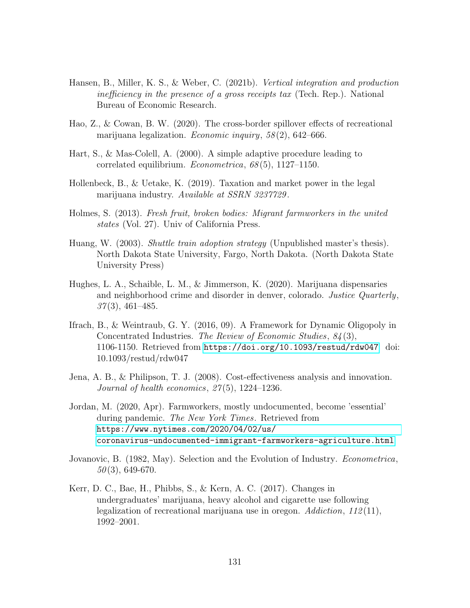- Hansen, B., Miller, K. S., & Weber, C. (2021b). Vertical integration and production inefficiency in the presence of a gross receipts tax (Tech. Rep.). National Bureau of Economic Research.
- Hao, Z., & Cowan, B. W. (2020). The cross-border spillover effects of recreational marijuana legalization. Economic inquiry,  $58(2)$ ,  $642-666$ .
- Hart, S., & Mas-Colell, A. (2000). A simple adaptive procedure leading to correlated equilibrium. Econometrica, 68 (5), 1127–1150.
- Hollenbeck, B., & Uetake, K. (2019). Taxation and market power in the legal marijuana industry. Available at SSRN 3237729.
- Holmes, S. (2013). Fresh fruit, broken bodies: Migrant farmworkers in the united states (Vol. 27). Univ of California Press.
- Huang, W. (2003). *Shuttle train adoption strategy* (Unpublished master's thesis). North Dakota State University, Fargo, North Dakota. (North Dakota State University Press)
- Hughes, L. A., Schaible, L. M., & Jimmerson, K. (2020). Marijuana dispensaries and neighborhood crime and disorder in denver, colorado. Justice Quarterly,  $37(3)$ , 461–485.
- Ifrach, B., & Weintraub, G. Y. (2016, 09). A Framework for Dynamic Oligopoly in Concentrated Industries. The Review of Economic Studies, 84 (3), 1106-1150. Retrieved from <https://doi.org/10.1093/restud/rdw047> doi: 10.1093/restud/rdw047
- Jena, A. B., & Philipson, T. J. (2008). Cost-effectiveness analysis and innovation. Journal of health economics,  $27(5)$ , 1224–1236.
- Jordan, M. (2020, Apr). Farmworkers, mostly undocumented, become 'essential' during pandemic. The New York Times. Retrieved from [https://www.nytimes.com/2020/04/02/us/](https://www.nytimes.com/2020/04/02/us/coronavirus-undocumented-immigrant-farmworkers-agriculture.html) [coronavirus-undocumented-immigrant-farmworkers-agriculture.html](https://www.nytimes.com/2020/04/02/us/coronavirus-undocumented-immigrant-farmworkers-agriculture.html)
- Jovanovic, B. (1982, May). Selection and the Evolution of Industry. *Econometrica*, 50 (3), 649-670.
- Kerr, D. C., Bae, H., Phibbs, S., & Kern, A. C. (2017). Changes in undergraduates' marijuana, heavy alcohol and cigarette use following legalization of recreational marijuana use in oregon.  $Addiction, 112(11),$ 1992–2001.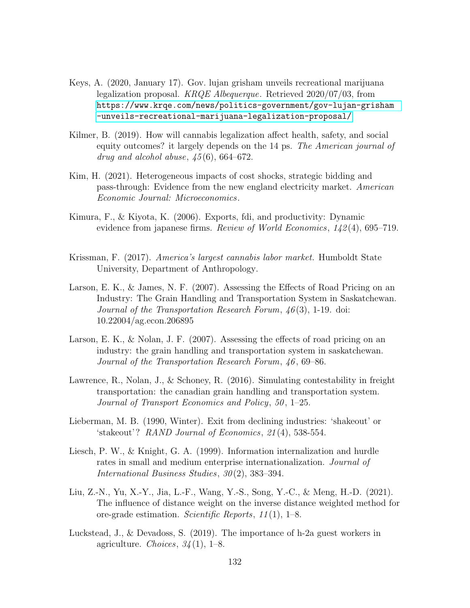- Keys, A. (2020, January 17). Gov. lujan grisham unveils recreational marijuana legalization proposal. KRQE Albequerque. Retrieved 2020/07/03, from [https://www.krqe.com/news/politics-government/gov-lujan-grisham](https://www.krqe.com/news/politics-government/gov-lujan-grisham-unveils-recreational-marijuana-legalization-proposal/) [-unveils-recreational-marijuana-legalization-proposal/](https://www.krqe.com/news/politics-government/gov-lujan-grisham-unveils-recreational-marijuana-legalization-proposal/)
- Kilmer, B. (2019). How will cannabis legalization affect health, safety, and social equity outcomes? it largely depends on the 14 ps. The American journal of drug and alcohol abuse,  $\mu$ 5(6), 664–672.
- Kim, H. (2021). Heterogeneous impacts of cost shocks, strategic bidding and pass-through: Evidence from the new england electricity market. American Economic Journal: Microeconomics.
- Kimura, F., & Kiyota, K. (2006). Exports, fdi, and productivity: Dynamic evidence from japanese firms. Review of World Economics, 142(4), 695–719.
- Krissman, F. (2017). America's largest cannabis labor market. Humboldt State University, Department of Anthropology.
- Larson, E. K., & James, N. F. (2007). Assessing the Effects of Road Pricing on an Industry: The Grain Handling and Transportation System in Saskatchewan. Journal of the Transportation Research Forum, 46 (3), 1-19. doi: 10.22004/ag.econ.206895
- Larson, E. K., & Nolan, J. F. (2007). Assessing the effects of road pricing on an industry: the grain handling and transportation system in saskatchewan. Journal of the Transportation Research Forum, 46 , 69–86.
- Lawrence, R., Nolan, J., & Schoney, R. (2016). Simulating contestability in freight transportation: the canadian grain handling and transportation system. Journal of Transport Economics and Policy, 50, 1–25.
- Lieberman, M. B. (1990, Winter). Exit from declining industries: 'shakeout' or 'stakeout'? RAND Journal of Economics, 21 (4), 538-554.
- Liesch, P. W., & Knight, G. A. (1999). Information internalization and hurdle rates in small and medium enterprise internationalization. Journal of International Business Studies, 30 (2), 383–394.
- Liu, Z.-N., Yu, X.-Y., Jia, L.-F., Wang, Y.-S., Song, Y.-C., & Meng, H.-D. (2021). The influence of distance weight on the inverse distance weighted method for ore-grade estimation. Scientific Reports, 11 (1), 1–8.
- Luckstead, J., & Devadoss, S. (2019). The importance of h-2a guest workers in agriculture. Choices,  $34(1)$ , 1–8.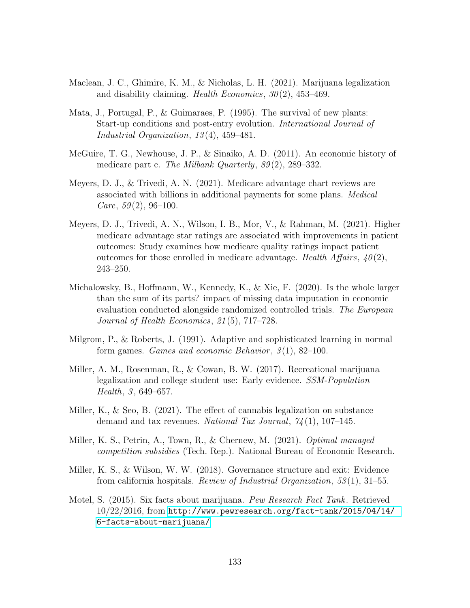- Maclean, J. C., Ghimire, K. M., & Nicholas, L. H. (2021). Marijuana legalization and disability claiming. Health Economics,  $30(2)$ , 453-469.
- Mata, J., Portugal, P., & Guimaraes, P. (1995). The survival of new plants: Start-up conditions and post-entry evolution. International Journal of Industrial Organization, 13 (4), 459–481.
- McGuire, T. G., Newhouse, J. P., & Sinaiko, A. D. (2011). An economic history of medicare part c. The Milbank Quarterly, 89(2), 289–332.
- Meyers, D. J., & Trivedi, A. N. (2021). Medicare advantage chart reviews are associated with billions in additional payments for some plans. Medical *Care*,  $59(2)$ ,  $96-100$ .
- Meyers, D. J., Trivedi, A. N., Wilson, I. B., Mor, V., & Rahman, M. (2021). Higher medicare advantage star ratings are associated with improvements in patient outcomes: Study examines how medicare quality ratings impact patient outcomes for those enrolled in medicare advantage. Health Affairs,  $40(2)$ , 243–250.
- Michalowsky, B., Hoffmann, W., Kennedy, K., & Xie, F. (2020). Is the whole larger than the sum of its parts? impact of missing data imputation in economic evaluation conducted alongside randomized controlled trials. The European Journal of Health Economics, 21 (5), 717–728.
- Milgrom, P., & Roberts, J. (1991). Adaptive and sophisticated learning in normal form games. Games and economic Behavior,  $3(1)$ ,  $82-100$ .
- Miller, A. M., Rosenman, R., & Cowan, B. W. (2017). Recreational marijuana legalization and college student use: Early evidence. SSM-Population Health,  $3, 649 - 657$ .
- Miller, K., & Seo, B. (2021). The effect of cannabis legalization on substance demand and tax revenues. National Tax Journal,  $74(1)$ , 107-145.
- Miller, K. S., Petrin, A., Town, R., & Chernew, M. (2021). Optimal managed competition subsidies (Tech. Rep.). National Bureau of Economic Research.
- Miller, K. S., & Wilson, W. W. (2018). Governance structure and exit: Evidence from california hospitals. Review of Industrial Organization,  $53(1)$ ,  $31-55$ .
- Motel, S. (2015). Six facts about marijuana. Pew Research Fact Tank. Retrieved 10/22/2016, from [http://www.pewresearch.org/fact-tank/2015/04/14/](http://www.pewresearch.org/fact-tank/2015/04/14/6-facts-about-marijuana/) [6-facts-about-marijuana/](http://www.pewresearch.org/fact-tank/2015/04/14/6-facts-about-marijuana/)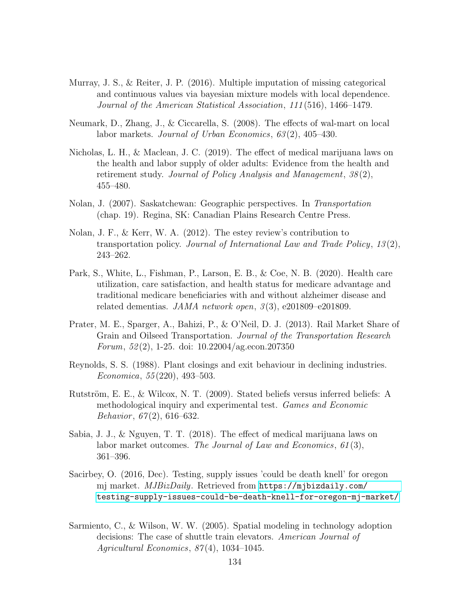- Murray, J. S., & Reiter, J. P. (2016). Multiple imputation of missing categorical and continuous values via bayesian mixture models with local dependence. Journal of the American Statistical Association, 111 (516), 1466–1479.
- Neumark, D., Zhang, J., & Ciccarella, S. (2008). The effects of wal-mart on local labor markets. Journal of Urban Economics, 63 (2), 405–430.
- Nicholas, L. H., & Maclean, J. C. (2019). The effect of medical marijuana laws on the health and labor supply of older adults: Evidence from the health and retirement study. Journal of Policy Analysis and Management, 38(2), 455–480.
- Nolan, J. (2007). Saskatchewan: Geographic perspectives. In Transportation (chap. 19). Regina, SK: Canadian Plains Research Centre Press.
- Nolan, J. F., & Kerr, W. A. (2012). The estey review's contribution to transportation policy. Journal of International Law and Trade Policy, 13 (2), 243–262.
- Park, S., White, L., Fishman, P., Larson, E. B., & Coe, N. B. (2020). Health care utilization, care satisfaction, and health status for medicare advantage and traditional medicare beneficiaries with and without alzheimer disease and related dementias. JAMA network open,  $\beta(3)$ , e201809–e201809.
- Prater, M. E., Sparger, A., Bahizi, P., & O'Neil, D. J. (2013). Rail Market Share of Grain and Oilseed Transportation. Journal of the Transportation Research Forum,  $52(2)$ , 1-25. doi:  $10.22004/\text{ag.econ}.207350$
- Reynolds, S. S. (1988). Plant closings and exit behaviour in declining industries. Economica, 55 (220), 493–503.
- Rutström, E. E., & Wilcox, N. T. (2009). Stated beliefs versus inferred beliefs: A methodological inquiry and experimental test. Games and Economic Behavior,  $67(2)$ , 616–632.
- Sabia, J. J., & Nguyen, T. T. (2018). The effect of medical marijuana laws on labor market outcomes. The Journal of Law and Economics, 61(3), 361–396.
- Sacirbey, O. (2016, Dec). Testing, supply issues 'could be death knell' for oregon mj market. MJBizDaily. Retrieved from [https://mjbizdaily.com/](https://mjbizdaily.com/testing-supply-issues-could-be-death-knell-for-oregon-mj-market/) [testing-supply-issues-could-be-death-knell-for-oregon-mj-market/](https://mjbizdaily.com/testing-supply-issues-could-be-death-knell-for-oregon-mj-market/)
- Sarmiento, C., & Wilson, W. W. (2005). Spatial modeling in technology adoption decisions: The case of shuttle train elevators. American Journal of Agricultural Economics,  $87(4)$ , 1034-1045.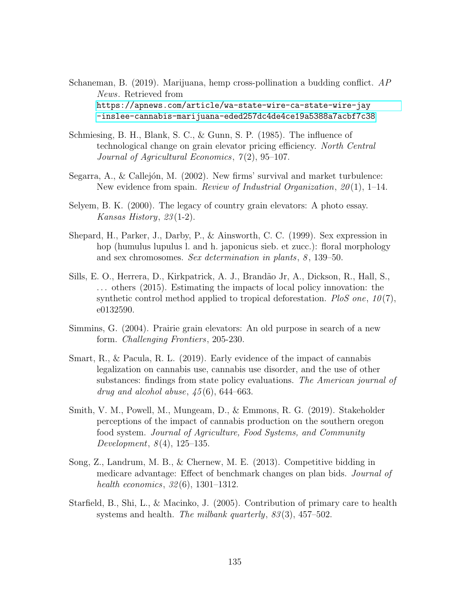Schaneman, B. (2019). Marijuana, hemp cross-pollination a budding conflict. AP News. Retrieved from [https://apnews.com/article/wa-state-wire-ca-state-wire-jay](https://apnews.com/article/wa-state-wire-ca-state-wire-jay-inslee-cannabis-marijuana-eded257dc4de4ce19a5388a7acbf7c38) [-inslee-cannabis-marijuana-eded257dc4de4ce19a5388a7acbf7c38](https://apnews.com/article/wa-state-wire-ca-state-wire-jay-inslee-cannabis-marijuana-eded257dc4de4ce19a5388a7acbf7c38)

- Schmiesing, B. H., Blank, S. C., & Gunn, S. P. (1985). The influence of technological change on grain elevator pricing efficiency. North Central Journal of Agricultural Economics,  $7(2)$ , 95-107.
- Segarra, A., & Callejón, M. (2002). New firms' survival and market turbulence: New evidence from spain. Review of Industrial Organization,  $20(1)$ , 1–14.
- Selyem, B. K. (2000). The legacy of country grain elevators: A photo essay. Kansas History,  $23(1-2)$ .
- Shepard, H., Parker, J., Darby, P., & Ainsworth, C. C. (1999). Sex expression in hop (humulus lupulus l. and h. japonicus sieb. et zucc.): floral morphology and sex chromosomes. Sex determination in plants, 8, 139–50.
- Sills, E. O., Herrera, D., Kirkpatrick, A. J., Brandão Jr, A., Dickson, R., Hall, S., . . . others (2015). Estimating the impacts of local policy innovation: the synthetic control method applied to tropical deforestation. PloS one,  $10(7)$ , e0132590.
- Simmins, G. (2004). Prairie grain elevators: An old purpose in search of a new form. Challenging Frontiers, 205-230.
- Smart, R., & Pacula, R. L. (2019). Early evidence of the impact of cannabis legalization on cannabis use, cannabis use disorder, and the use of other substances: findings from state policy evaluations. The American journal of drug and alcohol abuse,  $\frac{45}{6}$ , 644–663.
- Smith, V. M., Powell, M., Mungeam, D., & Emmons, R. G. (2019). Stakeholder perceptions of the impact of cannabis production on the southern oregon food system. Journal of Agriculture, Food Systems, and Community Development,  $8(4)$ , 125–135.
- Song, Z., Landrum, M. B., & Chernew, M. E. (2013). Competitive bidding in medicare advantage: Effect of benchmark changes on plan bids. Journal of health economics, 32 (6), 1301–1312.
- Starfield, B., Shi, L., & Macinko, J. (2005). Contribution of primary care to health systems and health. The milbank quarterly,  $83(3)$ ,  $457-502$ .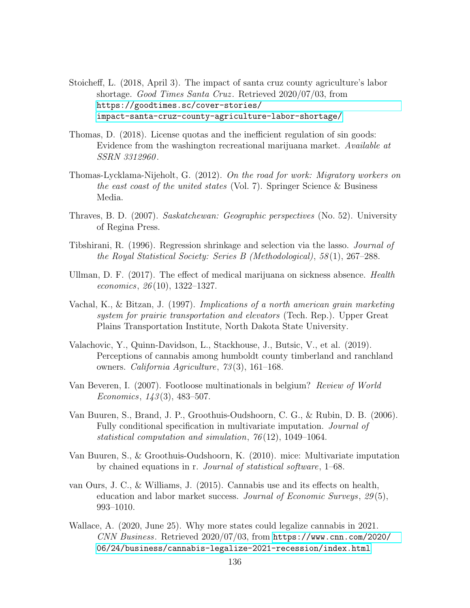- Stoicheff, L. (2018, April 3). The impact of santa cruz county agriculture's labor shortage. Good Times Santa Cruz. Retrieved 2020/07/03, from [https://goodtimes.sc/cover-stories/](https://goodtimes.sc/cover-stories/impact-santa-cruz-county-agriculture-labor-shortage/) [impact-santa-cruz-county-agriculture-labor-shortage/](https://goodtimes.sc/cover-stories/impact-santa-cruz-county-agriculture-labor-shortage/)
- Thomas, D. (2018). License quotas and the inefficient regulation of sin goods: Evidence from the washington recreational marijuana market. Available at SSRN 3312960.
- Thomas-Lycklama-Nijeholt, G. (2012). On the road for work: Migratory workers on the east coast of the united states (Vol. 7). Springer Science & Business Media.
- Thraves, B. D. (2007). Saskatchewan: Geographic perspectives (No. 52). University of Regina Press.
- Tibshirani, R. (1996). Regression shrinkage and selection via the lasso. Journal of the Royal Statistical Society: Series B (Methodological), 58 (1), 267–288.
- Ullman, D. F. (2017). The effect of medical marijuana on sickness absence. Health economics,  $26(10)$ , 1322–1327.
- Vachal, K., & Bitzan, J. (1997). Implications of a north american grain marketing system for prairie transportation and elevators (Tech. Rep.). Upper Great Plains Transportation Institute, North Dakota State University.
- Valachovic, Y., Quinn-Davidson, L., Stackhouse, J., Butsic, V., et al. (2019). Perceptions of cannabis among humboldt county timberland and ranchland owners. California Agriculture, 73 (3), 161–168.
- Van Beveren, I. (2007). Footloose multinationals in belgium? Review of World Economics,  $143(3)$ , 483-507.
- Van Buuren, S., Brand, J. P., Groothuis-Oudshoorn, C. G., & Rubin, D. B. (2006). Fully conditional specification in multivariate imputation. Journal of statistical computation and simulation, 76 (12), 1049–1064.
- Van Buuren, S., & Groothuis-Oudshoorn, K. (2010). mice: Multivariate imputation by chained equations in r. Journal of statistical software, 1–68.
- van Ours, J. C., & Williams, J. (2015). Cannabis use and its effects on health, education and labor market success. Journal of Economic Surveys, 29 (5), 993–1010.
- Wallace, A. (2020, June 25). Why more states could legalize cannabis in 2021. CNN Business. Retrieved 2020/07/03, from [https://www.cnn.com/2020/](https://www.cnn.com/2020/06/24/business/cannabis-legalize-2021-recession/index.html) [06/24/business/cannabis-legalize-2021-recession/index.html](https://www.cnn.com/2020/06/24/business/cannabis-legalize-2021-recession/index.html)